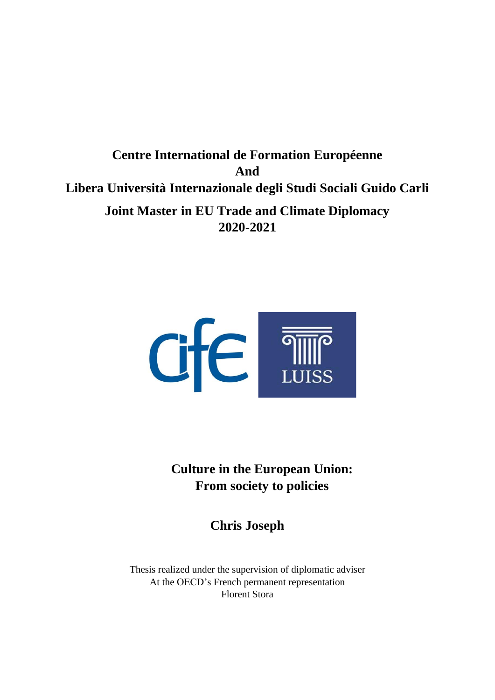**Centre International de Formation Européenne And Libera Università Internazionale degli Studi Sociali Guido Carli Joint Master in EU Trade and Climate Diplomacy 2020-2021**



**Culture in the European Union: From society to policies** 

**Chris Joseph**

Thesis realized under the supervision of diplomatic adviser At the OECD's French permanent representation Florent Stora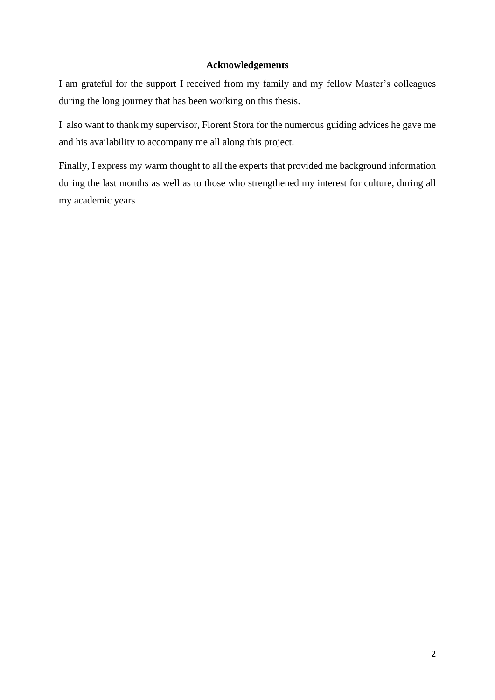## **Acknowledgements**

I am grateful for the support I received from my family and my fellow Master's colleagues during the long journey that has been working on this thesis.

I also want to thank my supervisor, Florent Stora for the numerous guiding advices he gave me and his availability to accompany me all along this project.

Finally, I express my warm thought to all the experts that provided me background information during the last months as well as to those who strengthened my interest for culture, during all my academic years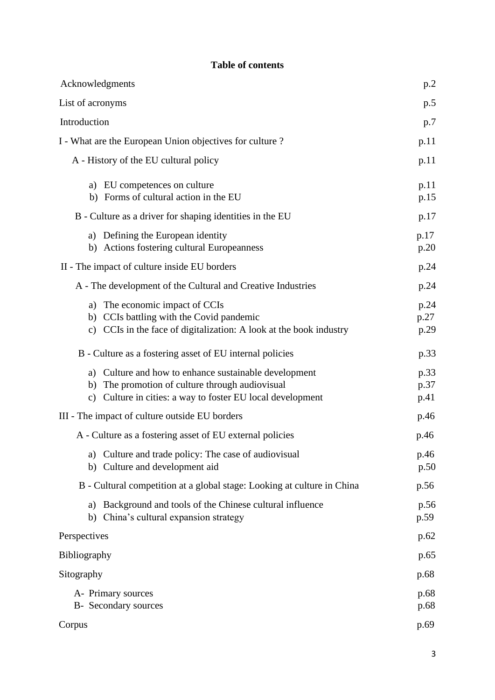| Acknowledgments                                                                                                                                                           | p.2                  |  |
|---------------------------------------------------------------------------------------------------------------------------------------------------------------------------|----------------------|--|
| List of acronyms                                                                                                                                                          |                      |  |
| Introduction                                                                                                                                                              |                      |  |
| I - What are the European Union objectives for culture?                                                                                                                   |                      |  |
| A - History of the EU cultural policy                                                                                                                                     | p.11                 |  |
| a) EU competences on culture<br>b) Forms of cultural action in the EU                                                                                                     | p.11<br>p.15         |  |
| B - Culture as a driver for shaping identities in the EU                                                                                                                  |                      |  |
| a) Defining the European identity<br>b) Actions fostering cultural Europeanness                                                                                           | p.17<br>p.20         |  |
| II - The impact of culture inside EU borders                                                                                                                              | p.24                 |  |
| A - The development of the Cultural and Creative Industries                                                                                                               | p.24                 |  |
| a) The economic impact of CCIs<br>b) CCIs battling with the Covid pandemic<br>c) CCIs in the face of digitalization: A look at the book industry                          | p.24<br>p.27<br>p.29 |  |
| B - Culture as a fostering asset of EU internal policies                                                                                                                  | p.33                 |  |
| a) Culture and how to enhance sustainable development<br>b) The promotion of culture through audiovisual<br>Culture in cities: a way to foster EU local development<br>c) | p.33<br>p.37<br>p.41 |  |
| III - The impact of culture outside EU borders                                                                                                                            |                      |  |
| A - Culture as a fostering asset of EU external policies                                                                                                                  |                      |  |
| a) Culture and trade policy: The case of audiovisual<br>b) Culture and development aid                                                                                    | p.46<br>p.50         |  |
| B - Cultural competition at a global stage: Looking at culture in China<br>p.56                                                                                           |                      |  |
| Background and tools of the Chinese cultural influence<br>a)<br>China's cultural expansion strategy<br>b)                                                                 | p.56<br>p.59         |  |
| Perspectives                                                                                                                                                              | p.62                 |  |
| Bibliography                                                                                                                                                              | p.65                 |  |
| Sitography                                                                                                                                                                | p.68                 |  |
| A- Primary sources<br>B- Secondary sources                                                                                                                                | p.68<br>p.68         |  |
| Corpus                                                                                                                                                                    | p.69                 |  |

# **Table of contents**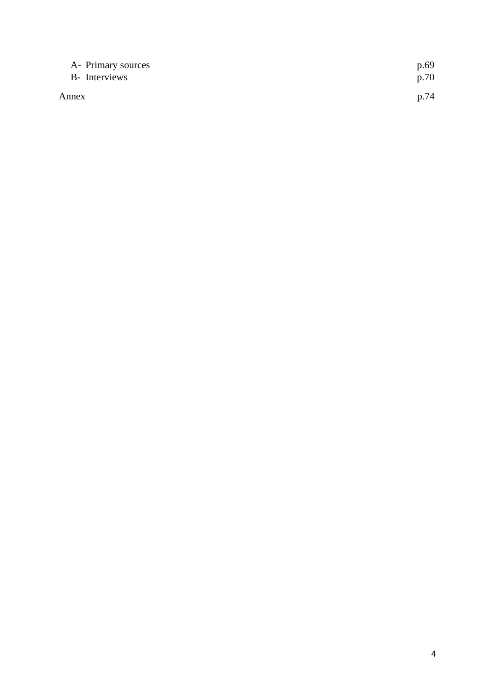| A- Primary sources | p.69 |
|--------------------|------|
| B- Interviews      | p.70 |
| Annex              | p.74 |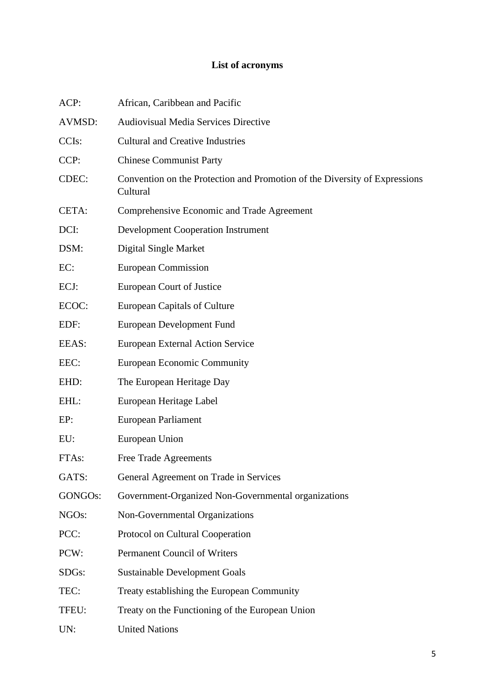# **List of acronyms**

| ACP:               | African, Caribbean and Pacific                                                         |
|--------------------|----------------------------------------------------------------------------------------|
| AVMSD:             | <b>Audiovisual Media Services Directive</b>                                            |
| CCI <sub>s</sub> : | <b>Cultural and Creative Industries</b>                                                |
| CCP:               | <b>Chinese Communist Party</b>                                                         |
| CDEC:              | Convention on the Protection and Promotion of the Diversity of Expressions<br>Cultural |
| CETA:              | Comprehensive Economic and Trade Agreement                                             |
| DCI:               | <b>Development Cooperation Instrument</b>                                              |
| DSM:               | Digital Single Market                                                                  |
| EC:                | <b>European Commission</b>                                                             |
| ECJ:               | European Court of Justice                                                              |
| ECOC:              | <b>European Capitals of Culture</b>                                                    |
| EDF:               | European Development Fund                                                              |
| EEAS:              | <b>European External Action Service</b>                                                |
| EEC:               | <b>European Economic Community</b>                                                     |
| EHD:               | The European Heritage Day                                                              |
| EHL:               | European Heritage Label                                                                |
| EP:                | European Parliament                                                                    |
| EU:                | European Union                                                                         |
| FTA <sub>s</sub> : | Free Trade Agreements                                                                  |
| GATS:              | General Agreement on Trade in Services                                                 |
| GONGOs:            | Government-Organized Non-Governmental organizations                                    |
| NGO <sub>s</sub> : | Non-Governmental Organizations                                                         |
| PCC:               | Protocol on Cultural Cooperation                                                       |
| PCW:               | <b>Permanent Council of Writers</b>                                                    |
| SDG <sub>s</sub> : | <b>Sustainable Development Goals</b>                                                   |
| TEC:               | Treaty establishing the European Community                                             |
| TFEU:              | Treaty on the Functioning of the European Union                                        |
| UN:                | <b>United Nations</b>                                                                  |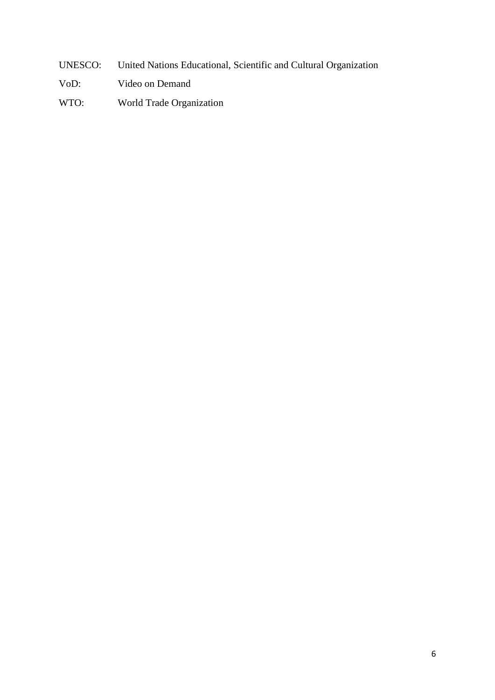- UNESCO: United Nations Educational, Scientific and Cultural Organization
- VoD: Video on Demand
- WTO: World Trade Organization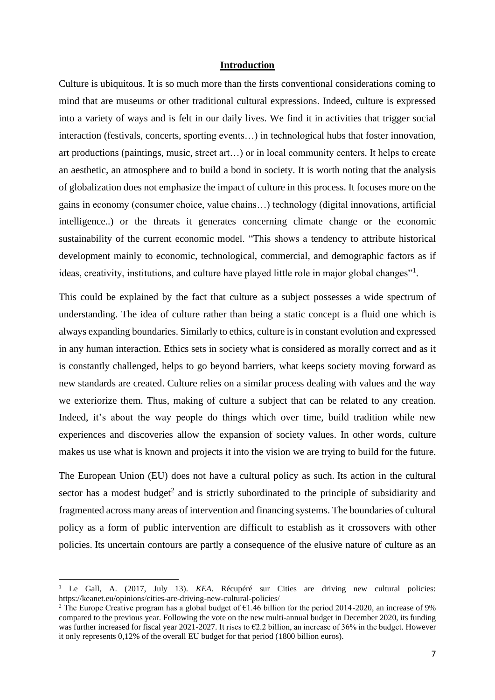## **Introduction**

Culture is ubiquitous. It is so much more than the firsts conventional considerations coming to mind that are museums or other traditional cultural expressions. Indeed, culture is expressed into a variety of ways and is felt in our daily lives. We find it in activities that trigger social interaction (festivals, concerts, sporting events…) in technological hubs that foster innovation, art productions (paintings, music, street art…) or in local community centers. It helps to create an aesthetic, an atmosphere and to build a bond in society. It is worth noting that the analysis of globalization does not emphasize the impact of culture in this process. It focuses more on the gains in economy (consumer choice, value chains…) technology (digital innovations, artificial intelligence..) or the threats it generates concerning climate change or the economic sustainability of the current economic model. "This shows a tendency to attribute historical development mainly to economic, technological, commercial, and demographic factors as if ideas, creativity, institutions, and culture have played little role in major global changes"<sup>1</sup>.

This could be explained by the fact that culture as a subject possesses a wide spectrum of understanding. The idea of culture rather than being a static concept is a fluid one which is always expanding boundaries. Similarly to ethics, culture is in constant evolution and expressed in any human interaction. Ethics sets in society what is considered as morally correct and as it is constantly challenged, helps to go beyond barriers, what keeps society moving forward as new standards are created. Culture relies on a similar process dealing with values and the way we exteriorize them. Thus, making of culture a subject that can be related to any creation. Indeed, it's about the way people do things which over time, build tradition while new experiences and discoveries allow the expansion of society values. In other words, culture makes us use what is known and projects it into the vision we are trying to build for the future.

The European Union (EU) does not have a cultural policy as such. Its action in the cultural sector has a modest budget<sup>2</sup> and is strictly subordinated to the principle of subsidiarity and fragmented across many areas of intervention and financing systems. The boundaries of cultural policy as a form of public intervention are difficult to establish as it crossovers with other policies. Its uncertain contours are partly a consequence of the elusive nature of culture as an

<sup>1</sup> Le Gall, A. (2017, July 13). *KEA*. Récupéré sur Cities are driving new cultural policies: https://keanet.eu/opinions/cities-are-driving-new-cultural-policies/

<sup>&</sup>lt;sup>2</sup> The Europe Creative program has a global budget of  $\epsilon$ 1.46 billion for the period 2014-2020, an increase of 9% compared to the previous year. Following the vote on the new multi-annual budget in December 2020, its funding was further increased for fiscal year 2021-2027. It rises to €2.2 billion, an increase of 36% in the budget. However it only represents 0,12% of the overall EU budget for that period (1800 billion euros).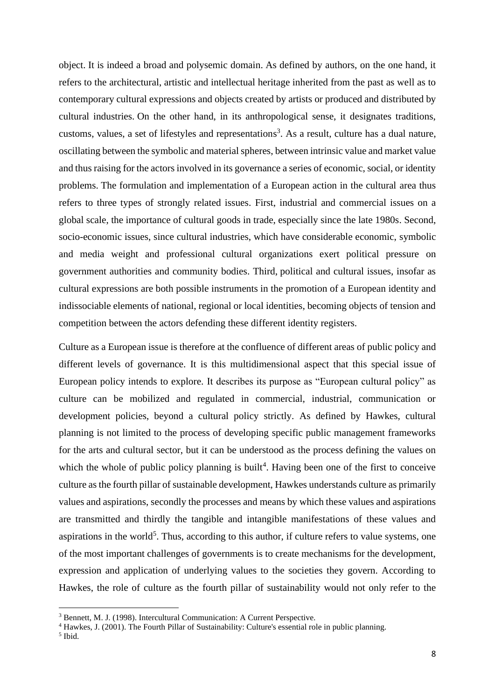object. It is indeed a broad and polysemic domain. As defined by authors, on the one hand, it refers to the architectural, artistic and intellectual heritage inherited from the past as well as to contemporary cultural expressions and objects created by artists or produced and distributed by cultural industries. On the other hand, in its anthropological sense, it designates traditions, customs, values, a set of lifestyles and representations<sup>3</sup>. As a result, culture has a dual nature, oscillating between the symbolic and material spheres, between intrinsic value and market value and thus raising for the actors involved in its governance a series of economic, social, or identity problems. The formulation and implementation of a European action in the cultural area thus refers to three types of strongly related issues. First, industrial and commercial issues on a global scale, the importance of cultural goods in trade, especially since the late 1980s. Second, socio-economic issues, since cultural industries, which have considerable economic, symbolic and media weight and professional cultural organizations exert political pressure on government authorities and community bodies. Third, political and cultural issues, insofar as cultural expressions are both possible instruments in the promotion of a European identity and indissociable elements of national, regional or local identities, becoming objects of tension and competition between the actors defending these different identity registers.

Culture as a European issue is therefore at the confluence of different areas of public policy and different levels of governance. It is this multidimensional aspect that this special issue of European policy intends to explore. It describes its purpose as "European cultural policy" as culture can be mobilized and regulated in commercial, industrial, communication or development policies, beyond a cultural policy strictly. As defined by Hawkes, cultural planning is not limited to the process of developing specific public management frameworks for the arts and cultural sector, but it can be understood as the process defining the values on which the whole of public policy planning is built<sup>4</sup>. Having been one of the first to conceive culture as the fourth pillar of sustainable development, Hawkes understands culture as primarily values and aspirations, secondly the processes and means by which these values and aspirations are transmitted and thirdly the tangible and intangible manifestations of these values and aspirations in the world<sup>5</sup>. Thus, according to this author, if culture refers to value systems, one of the most important challenges of governments is to create mechanisms for the development, expression and application of underlying values to the societies they govern. According to Hawkes, the role of culture as the fourth pillar of sustainability would not only refer to the

<sup>3</sup> Bennett, M. J. (1998). Intercultural Communication: A Current Perspective.

<sup>4</sup> Hawkes, J. (2001). The Fourth Pillar of Sustainability: Culture's essential role in public planning.

<sup>5</sup> Ibid.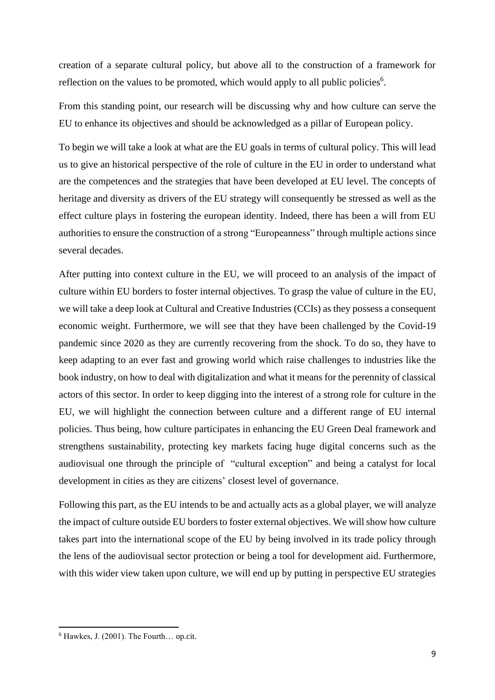creation of a separate cultural policy, but above all to the construction of a framework for reflection on the values to be promoted, which would apply to all public policies<sup>6</sup>.

From this standing point, our research will be discussing why and how culture can serve the EU to enhance its objectives and should be acknowledged as a pillar of European policy.

To begin we will take a look at what are the EU goals in terms of cultural policy. This will lead us to give an historical perspective of the role of culture in the EU in order to understand what are the competences and the strategies that have been developed at EU level. The concepts of heritage and diversity as drivers of the EU strategy will consequently be stressed as well as the effect culture plays in fostering the european identity. Indeed, there has been a will from EU authorities to ensure the construction of a strong "Europeanness" through multiple actions since several decades.

After putting into context culture in the EU, we will proceed to an analysis of the impact of culture within EU borders to foster internal objectives. To grasp the value of culture in the EU, we will take a deep look at Cultural and Creative Industries (CCIs) as they possess a consequent economic weight. Furthermore, we will see that they have been challenged by the Covid-19 pandemic since 2020 as they are currently recovering from the shock. To do so, they have to keep adapting to an ever fast and growing world which raise challenges to industries like the book industry, on how to deal with digitalization and what it means for the perennity of classical actors of this sector. In order to keep digging into the interest of a strong role for culture in the EU, we will highlight the connection between culture and a different range of EU internal policies. Thus being, how culture participates in enhancing the EU Green Deal framework and strengthens sustainability, protecting key markets facing huge digital concerns such as the audiovisual one through the principle of "cultural exception" and being a catalyst for local development in cities as they are citizens' closest level of governance.

Following this part, as the EU intends to be and actually acts as a global player, we will analyze the impact of culture outside EU borders to foster external objectives. We will show how culture takes part into the international scope of the EU by being involved in its trade policy through the lens of the audiovisual sector protection or being a tool for development aid. Furthermore, with this wider view taken upon culture, we will end up by putting in perspective EU strategies

 $6$  Hawkes, J. (2001). The Fourth... op.cit.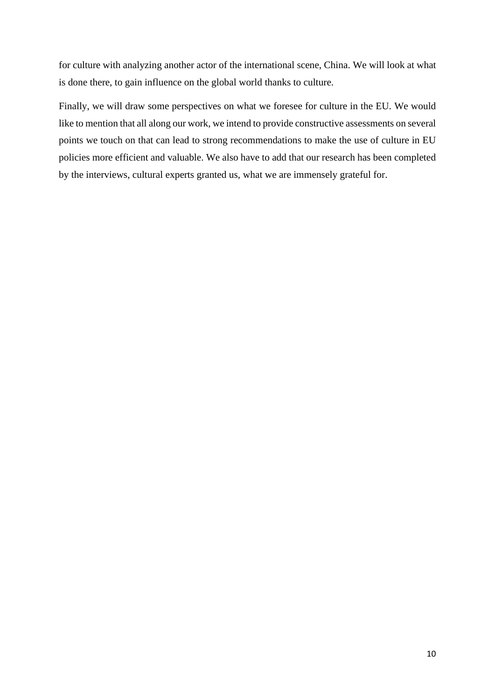for culture with analyzing another actor of the international scene, China. We will look at what is done there, to gain influence on the global world thanks to culture.

Finally, we will draw some perspectives on what we foresee for culture in the EU. We would like to mention that all along our work, we intend to provide constructive assessments on several points we touch on that can lead to strong recommendations to make the use of culture in EU policies more efficient and valuable. We also have to add that our research has been completed by the interviews, cultural experts granted us, what we are immensely grateful for.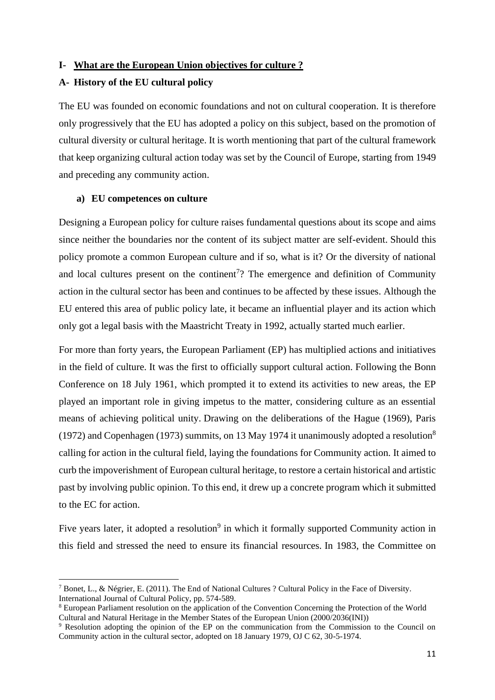## **I- What are the European Union objectives for culture ?**

### **A- History of the EU cultural policy**

The EU was founded on economic foundations and not on cultural cooperation. It is therefore only progressively that the EU has adopted a policy on this subject, based on the promotion of cultural diversity or cultural heritage. It is worth mentioning that part of the cultural framework that keep organizing cultural action today was set by the Council of Europe, starting from 1949 and preceding any community action.

### **a) EU competences on culture**

Designing a European policy for culture raises fundamental questions about its scope and aims since neither the boundaries nor the content of its subject matter are self-evident. Should this policy promote a common European culture and if so, what is it? Or the diversity of national and local cultures present on the continent<sup>7</sup>? The emergence and definition of Community action in the cultural sector has been and continues to be affected by these issues. Although the EU entered this area of public policy late, it became an influential player and its action which only got a legal basis with the Maastricht Treaty in 1992, actually started much earlier.

For more than forty years, the European Parliament (EP) has multiplied actions and initiatives in the field of culture. It was the first to officially support cultural action. Following the Bonn Conference on 18 July 1961, which prompted it to extend its activities to new areas, the EP played an important role in giving impetus to the matter, considering culture as an essential means of achieving political unity. Drawing on the deliberations of the Hague (1969), Paris (1972) and Copenhagen (1973) summits, on 13 May 1974 it unanimously adopted a resolution<sup>8</sup> calling for action in the cultural field, laying the foundations for Community action. It aimed to curb the impoverishment of European cultural heritage, to restore a certain historical and artistic past by involving public opinion. To this end, it drew up a concrete program which it submitted to the EC for action.

Five years later, it adopted a resolution<sup>9</sup> in which it formally supported Community action in this field and stressed the need to ensure its financial resources. In 1983, the Committee on

<sup>7</sup> Bonet, L., & Négrier, E. (2011). The End of National Cultures ? Cultural Policy in the Face of Diversity. International Journal of Cultural Policy, pp. 574-589.

<sup>8</sup> European Parliament resolution on the application of the Convention Concerning the Protection of the World Cultural and Natural Heritage in the Member States of the European Union (2000/2036(INI))

<sup>9</sup> Resolution adopting the opinion of the EP on the communication from the Commission to the Council on Community action in the cultural sector, adopted on 18 January 1979, OJ C 62, 30-5-1974.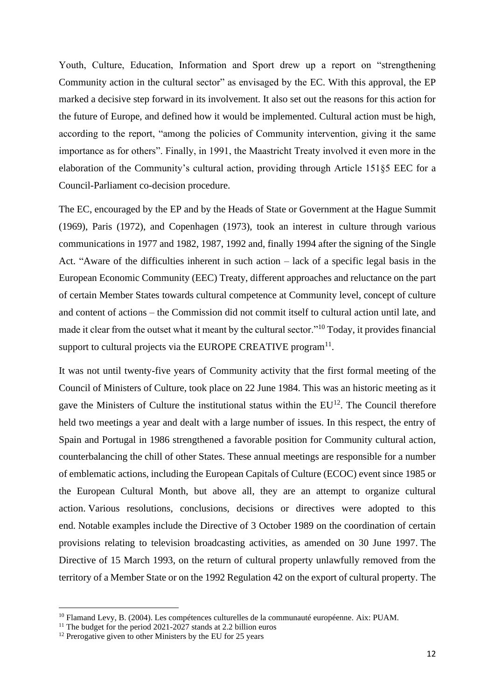Youth, Culture, Education, Information and Sport drew up a report on "strengthening Community action in the cultural sector" as envisaged by the EC. With this approval, the EP marked a decisive step forward in its involvement. It also set out the reasons for this action for the future of Europe, and defined how it would be implemented. Cultural action must be high, according to the report, "among the policies of Community intervention, giving it the same importance as for others". Finally, in 1991, the Maastricht Treaty involved it even more in the elaboration of the Community's cultural action, providing through Article 151§5 EEC for a Council-Parliament co-decision procedure.

The EC, encouraged by the EP and by the Heads of State or Government at the Hague Summit (1969), Paris (1972), and Copenhagen (1973), took an interest in culture through various communications in 1977 and 1982, 1987, 1992 and, finally 1994 after the signing of the Single Act. "Aware of the difficulties inherent in such action – lack of a specific legal basis in the European Economic Community (EEC) Treaty, different approaches and reluctance on the part of certain Member States towards cultural competence at Community level, concept of culture and content of actions – the Commission did not commit itself to cultural action until late, and made it clear from the outset what it meant by the cultural sector."<sup>10</sup> Today, it provides financial support to cultural projects via the EUROPE CREATIVE program $^{11}$ .

It was not until twenty-five years of Community activity that the first formal meeting of the Council of Ministers of Culture, took place on 22 June 1984. This was an historic meeting as it gave the Ministers of Culture the institutional status within the  $EU^{12}$ . The Council therefore held two meetings a year and dealt with a large number of issues. In this respect, the entry of Spain and Portugal in 1986 strengthened a favorable position for Community cultural action, counterbalancing the chill of other States. These annual meetings are responsible for a number of emblematic actions, including the European Capitals of Culture (ECOC) event since 1985 or the European Cultural Month, but above all, they are an attempt to organize cultural action. Various resolutions, conclusions, decisions or directives were adopted to this end. Notable examples include the Directive of 3 October 1989 on the coordination of certain provisions relating to television broadcasting activities, as amended on 30 June 1997. The Directive of 15 March 1993, on the return of cultural property unlawfully removed from the territory of a Member State or on the 1992 Regulation 42 on the export of cultural property. The

<sup>&</sup>lt;sup>10</sup> Flamand Levy, B. (2004). Les compétences culturelles de la communauté européenne. Aix: PUAM.

<sup>&</sup>lt;sup>11</sup> The budget for the period  $2021-2027$  stands at 2.2 billion euros

<sup>&</sup>lt;sup>12</sup> Prerogative given to other Ministers by the EU for 25 years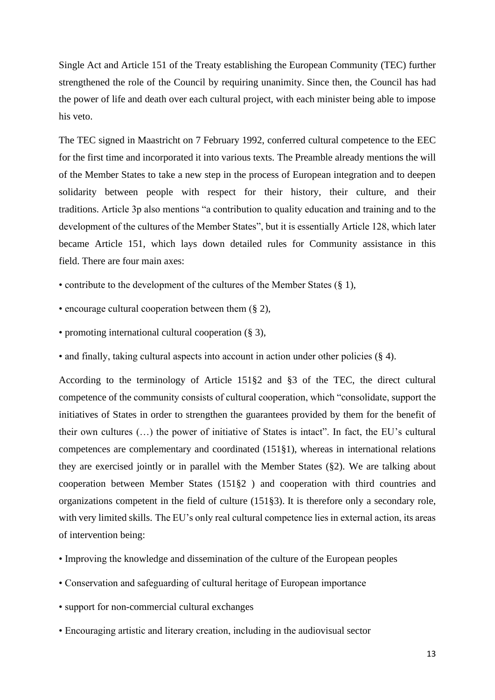Single Act and Article 151 of the Treaty establishing the European Community (TEC) further strengthened the role of the Council by requiring unanimity. Since then, the Council has had the power of life and death over each cultural project, with each minister being able to impose his veto.

The TEC signed in Maastricht on 7 February 1992, conferred cultural competence to the EEC for the first time and incorporated it into various texts. The Preamble already mentions the will of the Member States to take a new step in the process of European integration and to deepen solidarity between people with respect for their history, their culture, and their traditions. Article 3p also mentions "a contribution to quality education and training and to the development of the cultures of the Member States", but it is essentially Article 128, which later became Article 151, which lays down detailed rules for Community assistance in this field. There are four main axes:

- contribute to the development of the cultures of the Member States (§ 1),
- encourage cultural cooperation between them (§ 2),
- promoting international cultural cooperation (§ 3),
- and finally, taking cultural aspects into account in action under other policies (§ 4).

According to the terminology of Article 151§2 and §3 of the TEC, the direct cultural competence of the community consists of cultural cooperation, which "consolidate, support the initiatives of States in order to strengthen the guarantees provided by them for the benefit of their own cultures (…) the power of initiative of States is intact". In fact, the EU's cultural competences are complementary and coordinated (151§1), whereas in international relations they are exercised jointly or in parallel with the Member States (§2). We are talking about cooperation between Member States (151§2 ) and cooperation with third countries and organizations competent in the field of culture (151§3). It is therefore only a secondary role, with very limited skills. The EU's only real cultural competence lies in external action, its areas of intervention being:

- Improving the knowledge and dissemination of the culture of the European peoples
- Conservation and safeguarding of cultural heritage of European importance
- support for non-commercial cultural exchanges
- Encouraging artistic and literary creation, including in the audiovisual sector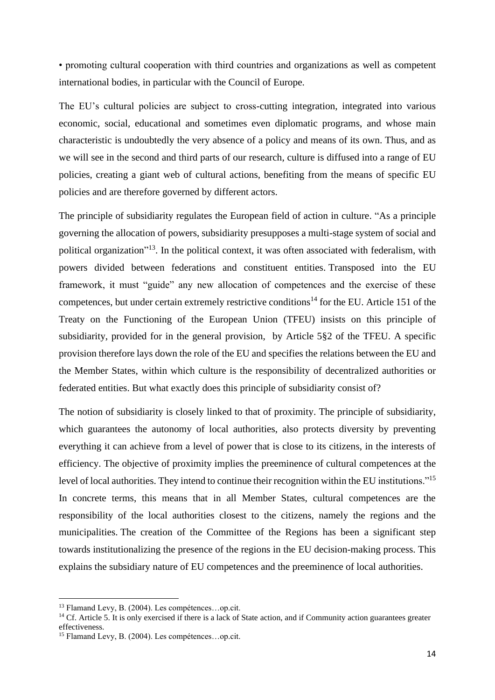• promoting cultural cooperation with third countries and organizations as well as competent international bodies, in particular with the Council of Europe.

The EU's cultural policies are subject to cross-cutting integration, integrated into various economic, social, educational and sometimes even diplomatic programs, and whose main characteristic is undoubtedly the very absence of a policy and means of its own. Thus, and as we will see in the second and third parts of our research, culture is diffused into a range of EU policies, creating a giant web of cultural actions, benefiting from the means of specific EU policies and are therefore governed by different actors.

The principle of subsidiarity regulates the European field of action in culture. "As a principle governing the allocation of powers, subsidiarity presupposes a multi-stage system of social and political organization"<sup>13</sup>. In the political context, it was often associated with federalism, with powers divided between federations and constituent entities. Transposed into the EU framework, it must "guide" any new allocation of competences and the exercise of these competences, but under certain extremely restrictive conditions<sup>14</sup> for the EU. Article 151 of the Treaty on the Functioning of the European Union (TFEU) insists on this principle of subsidiarity, provided for in the general provision, by Article 5§2 of the TFEU. A specific provision therefore lays down the role of the EU and specifies the relations between the EU and the Member States, within which culture is the responsibility of decentralized authorities or federated entities. But what exactly does this principle of subsidiarity consist of?

The notion of subsidiarity is closely linked to that of proximity. The principle of subsidiarity, which guarantees the autonomy of local authorities, also protects diversity by preventing everything it can achieve from a level of power that is close to its citizens, in the interests of efficiency. The objective of proximity implies the preeminence of cultural competences at the level of local authorities. They intend to continue their recognition within the EU institutions."<sup>15</sup> In concrete terms, this means that in all Member States, cultural competences are the responsibility of the local authorities closest to the citizens, namely the regions and the municipalities. The creation of the Committee of the Regions has been a significant step towards institutionalizing the presence of the regions in the EU decision-making process. This explains the subsidiary nature of EU competences and the preeminence of local authorities.

<sup>13</sup> Flamand Levy, B. (2004). Les compétences…op.cit.

 $14$  Cf. Article 5. It is only exercised if there is a lack of State action, and if Community action guarantees greater effectiveness.

<sup>15</sup> Flamand Levy, B. (2004). Les compétences…op.cit.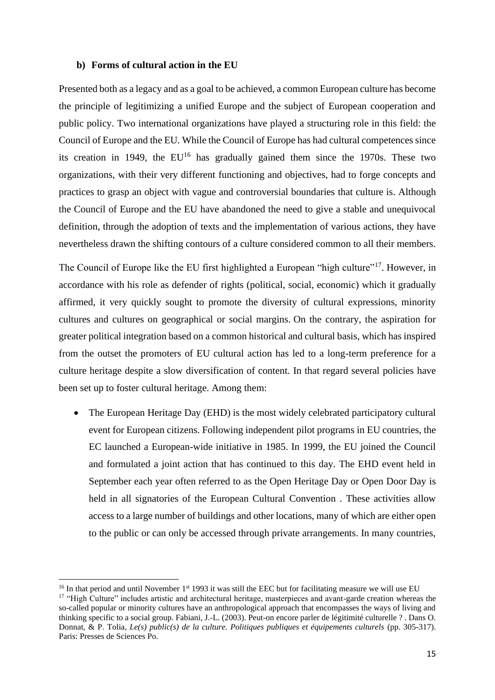#### **b) Forms of cultural action in the EU**

Presented both as a legacy and as a goal to be achieved, a common European culture has become the principle of legitimizing a unified Europe and the subject of European cooperation and public policy. Two international organizations have played a structuring role in this field: the Council of Europe and the EU. While the Council of Europe has had cultural competences since its creation in 1949, the  $EU^{16}$  has gradually gained them since the 1970s. These two organizations, with their very different functioning and objectives, had to forge concepts and practices to grasp an object with vague and controversial boundaries that culture is. Although the Council of Europe and the EU have abandoned the need to give a stable and unequivocal definition, through the adoption of texts and the implementation of various actions, they have nevertheless drawn the shifting contours of a culture considered common to all their members.

The Council of Europe like the EU first highlighted a European "high culture"<sup>17</sup>. However, in accordance with his role as defender of rights (political, social, economic) which it gradually affirmed, it very quickly sought to promote the diversity of cultural expressions, minority cultures and cultures on geographical or social margins. On the contrary, the aspiration for greater political integration based on a common historical and cultural basis, which has inspired from the outset the promoters of EU cultural action has led to a long-term preference for a culture heritage despite a slow diversification of content. In that regard several policies have been set up to foster cultural heritage. Among them:

• The European Heritage Day (EHD) is the most widely celebrated participatory cultural event for European citizens. Following independent pilot programs in EU countries, the EC launched a European-wide initiative in 1985. In 1999, the EU joined the Council and formulated a joint action that has continued to this day. The EHD event held in September each year often referred to as the Open Heritage Day or Open Door Day is held in all signatories of the European Cultural Convention . These activities allow access to a large number of buildings and other locations, many of which are either open to the public or can only be accessed through private arrangements. In many countries,

 $16$  In that period and until November  $1<sup>st</sup>$  1993 it was still the EEC but for facilitating measure we will use EU <sup>17</sup> "High Culture" includes artistic and architectural heritage, masterpieces and avant-garde creation whereas the so-called popular or minority cultures have an anthropological approach that encompasses the ways of living and thinking specific to a social group. Fabiani, J.-L. (2003). Peut-on encore parler de légitimité culturelle ? . Dans O. Donnat, & P. Tolia, *Le(s) public(s) de la culture. Politiques publiques et équipements culturels* (pp. 305-317). Paris: Presses de Sciences Po.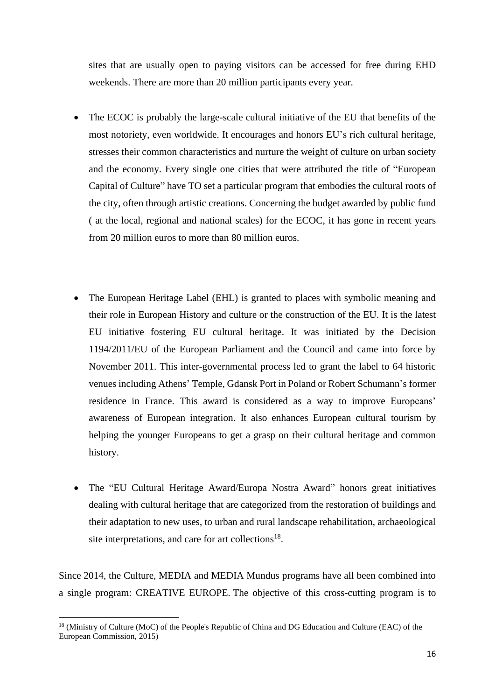sites that are usually open to paying visitors can be accessed for free during EHD weekends. There are more than 20 million participants every year.

- The ECOC is probably the large-scale cultural initiative of the EU that benefits of the most notoriety, even worldwide. It encourages and honors EU's rich cultural heritage, stresses their common characteristics and nurture the weight of culture on urban society and the economy. Every single one cities that were attributed the title of "European Capital of Culture" have TO set a particular program that embodies the cultural roots of the city, often through artistic creations. Concerning the budget awarded by public fund ( at the local, regional and national scales) for the ECOC, it has gone in recent years from 20 million euros to more than 80 million euros.
- The European Heritage Label (EHL) is granted to places with symbolic meaning and their role in European History and culture or the construction of the EU. It is the latest EU initiative fostering EU cultural heritage. It was initiated by the Decision 1194/2011/EU of the European Parliament and the Council and came into force by November 2011. This inter-governmental process led to grant the label to 64 historic venues including Athens' Temple, Gdansk Port in Poland or Robert Schumann's former residence in France. This award is considered as a way to improve Europeans' awareness of European integration. It also enhances European cultural tourism by helping the younger Europeans to get a grasp on their cultural heritage and common history.
- The "EU Cultural Heritage Award/Europa Nostra Award" honors great initiatives dealing with cultural heritage that are categorized from the restoration of buildings and their adaptation to new uses, to urban and rural landscape rehabilitation, archaeological site interpretations, and care for art collections<sup>18</sup>.

Since 2014, the Culture, MEDIA and MEDIA Mundus programs have all been combined into a single program: CREATIVE EUROPE. The objective of this cross-cutting program is to

<sup>&</sup>lt;sup>18</sup> (Ministry of Culture (MoC) of the People's Republic of China and DG Education and Culture (EAC) of the European Commission, 2015)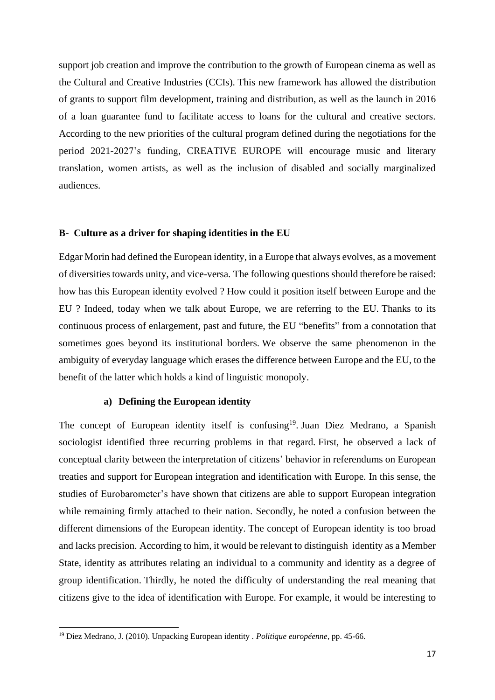support job creation and improve the contribution to the growth of European cinema as well as the Cultural and Creative Industries (CCIs). This new framework has allowed the distribution of grants to support film development, training and distribution, as well as the launch in 2016 of a loan guarantee fund to facilitate access to loans for the cultural and creative sectors. According to the new priorities of the cultural program defined during the negotiations for the period 2021-2027's funding, CREATIVE EUROPE will encourage music and literary translation, women artists, as well as the inclusion of disabled and socially marginalized audiences.

### **B- Culture as a driver for shaping identities in the EU**

Edgar Morin had defined the European identity, in a Europe that always evolves, as a movement of diversities towards unity, and vice-versa. The following questions should therefore be raised: how has this European identity evolved ? How could it position itself between Europe and the EU ? Indeed, today when we talk about Europe, we are referring to the EU. Thanks to its continuous process of enlargement, past and future, the EU "benefits" from a connotation that sometimes goes beyond its institutional borders. We observe the same phenomenon in the ambiguity of everyday language which erases the difference between Europe and the EU, to the benefit of the latter which holds a kind of linguistic monopoly.

### **a) Defining the European identity**

The concept of European identity itself is confusing<sup>19</sup>. Juan Diez Medrano, a Spanish sociologist identified three recurring problems in that regard. First, he observed a lack of conceptual clarity between the interpretation of citizens' behavior in referendums on European treaties and support for European integration and identification with Europe. In this sense, the studies of Eurobarometer's have shown that citizens are able to support European integration while remaining firmly attached to their nation. Secondly, he noted a confusion between the different dimensions of the European identity. The concept of European identity is too broad and lacks precision. According to him, it would be relevant to distinguish identity as a Member State, identity as attributes relating an individual to a community and identity as a degree of group identification. Thirdly, he noted the difficulty of understanding the real meaning that citizens give to the idea of identification with Europe. For example, it would be interesting to

<sup>19</sup> Diez Medrano, J. (2010). Unpacking European identity . *Politique européenne*, pp. 45-66.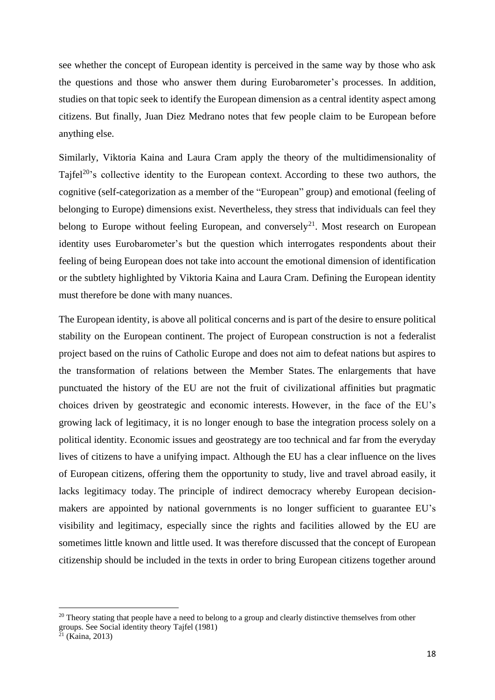see whether the concept of European identity is perceived in the same way by those who ask the questions and those who answer them during Eurobarometer's processes. In addition, studies on that topic seek to identify the European dimension as a central identity aspect among citizens. But finally, Juan Diez Medrano notes that few people claim to be European before anything else.

Similarly, Viktoria Kaina and Laura Cram apply the theory of the multidimensionality of Tajfel<sup>20</sup>'s collective identity to the European context. According to these two authors, the cognitive (self-categorization as a member of the "European" group) and emotional (feeling of belonging to Europe) dimensions exist. Nevertheless, they stress that individuals can feel they belong to Europe without feeling European, and conversely<sup>21</sup>. Most research on European identity uses Eurobarometer's but the question which interrogates respondents about their feeling of being European does not take into account the emotional dimension of identification or the subtlety highlighted by Viktoria Kaina and Laura Cram. Defining the European identity must therefore be done with many nuances.

The European identity, is above all political concerns and is part of the desire to ensure political stability on the European continent. The project of European construction is not a federalist project based on the ruins of Catholic Europe and does not aim to defeat nations but aspires to the transformation of relations between the Member States. The enlargements that have punctuated the history of the EU are not the fruit of civilizational affinities but pragmatic choices driven by geostrategic and economic interests. However, in the face of the EU's growing lack of legitimacy, it is no longer enough to base the integration process solely on a political identity. Economic issues and geostrategy are too technical and far from the everyday lives of citizens to have a unifying impact. Although the EU has a clear influence on the lives of European citizens, offering them the opportunity to study, live and travel abroad easily, it lacks legitimacy today. The principle of indirect democracy whereby European decisionmakers are appointed by national governments is no longer sufficient to guarantee EU's visibility and legitimacy, especially since the rights and facilities allowed by the EU are sometimes little known and little used. It was therefore discussed that the concept of European citizenship should be included in the texts in order to bring European citizens together around

<sup>&</sup>lt;sup>20</sup> Theory stating that people have a need to belong to a group and clearly distinctive themselves from other groups. See Social identity theory Tajfel (1981)

 $2^{21}$  (Kaina, 2013)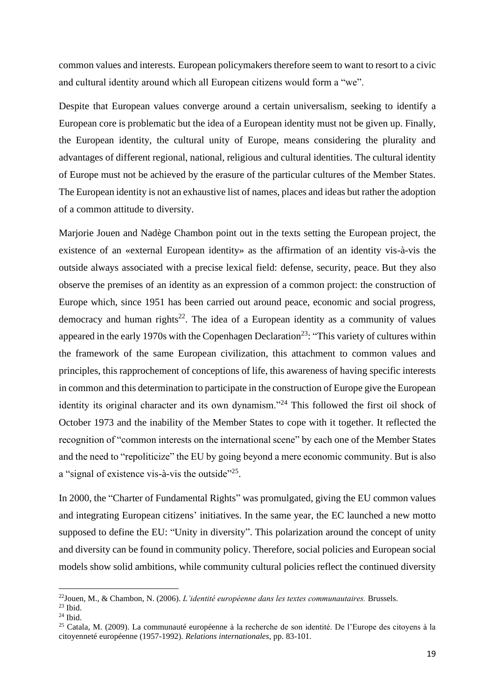common values and interests. European policymakers therefore seem to want to resort to a civic and cultural identity around which all European citizens would form a "we".

Despite that European values converge around a certain universalism, seeking to identify a European core is problematic but the idea of a European identity must not be given up. Finally, the European identity, the cultural unity of Europe, means considering the plurality and advantages of different regional, national, religious and cultural identities. The cultural identity of Europe must not be achieved by the erasure of the particular cultures of the Member States. The European identity is not an exhaustive list of names, places and ideas but rather the adoption of a common attitude to diversity.

Marjorie Jouen and Nadège Chambon point out in the texts setting the European project, the existence of an «external European identity» as the affirmation of an identity vis-à-vis the outside always associated with a precise lexical field: defense, security, peace. But they also observe the premises of an identity as an expression of a common project: the construction of Europe which, since 1951 has been carried out around peace, economic and social progress, democracy and human rights<sup>22</sup>. The idea of a European identity as a community of values appeared in the early 1970s with the Copenhagen Declaration<sup>23</sup>: "This variety of cultures within the framework of the same European civilization, this attachment to common values and principles, this rapprochement of conceptions of life, this awareness of having specific interests in common and this determination to participate in the construction of Europe give the European identity its original character and its own dynamism."<sup>24</sup> This followed the first oil shock of October 1973 and the inability of the Member States to cope with it together. It reflected the recognition of "common interests on the international scene" by each one of the Member States and the need to "repoliticize" the EU by going beyond a mere economic community. But is also a "signal of existence vis-à-vis the outside"<sup>25</sup>.

In 2000, the "Charter of Fundamental Rights" was promulgated, giving the EU common values and integrating European citizens' initiatives. In the same year, the EC launched a new motto supposed to define the EU: "Unity in diversity". This polarization around the concept of unity and diversity can be found in community policy. Therefore, social policies and European social models show solid ambitions, while community cultural policies reflect the continued diversity

<sup>22</sup>Jouen, M., & Chambon, N. (2006). *L'identité européenne dans les textes communautaires.* Brussels.

 $23$  Ibid.

 $24$  Ibid.

<sup>25</sup> Catala, M. (2009). La communauté européenne à la recherche de son identité. De l'Europe des citoyens à la citoyenneté européenne (1957-1992). *Relations internationales*, pp. 83-101.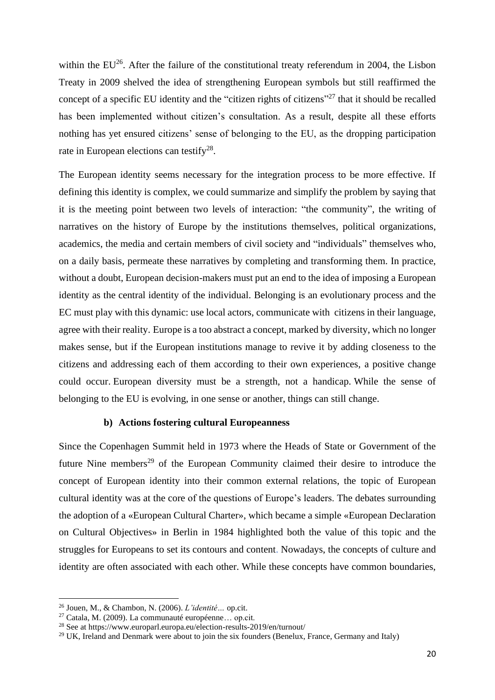within the  $EU^{26}$ . After the failure of the constitutional treaty referendum in 2004, the Lisbon Treaty in 2009 shelved the idea of strengthening European symbols but still reaffirmed the concept of a specific EU identity and the "citizen rights of citizens"<sup>27</sup> that it should be recalled has been implemented without citizen's consultation. As a result, despite all these efforts nothing has yet ensured citizens' sense of belonging to the EU, as the dropping participation rate in European elections can testify<sup>28</sup>.

The European identity seems necessary for the integration process to be more effective. If defining this identity is complex, we could summarize and simplify the problem by saying that it is the meeting point between two levels of interaction: "the community", the writing of narratives on the history of Europe by the institutions themselves, political organizations, academics, the media and certain members of civil society and "individuals" themselves who, on a daily basis, permeate these narratives by completing and transforming them. In practice, without a doubt, European decision-makers must put an end to the idea of imposing a European identity as the central identity of the individual. Belonging is an evolutionary process and the EC must play with this dynamic: use local actors, communicate with citizens in their language, agree with their reality. Europe is a too abstract a concept, marked by diversity, which no longer makes sense, but if the European institutions manage to revive it by adding closeness to the citizens and addressing each of them according to their own experiences, a positive change could occur. European diversity must be a strength, not a handicap. While the sense of belonging to the EU is evolving, in one sense or another, things can still change.

## **b) Actions fostering cultural Europeanness**

Since the Copenhagen Summit held in 1973 where the Heads of State or Government of the future Nine members<sup>29</sup> of the European Community claimed their desire to introduce the concept of European identity into their common external relations, the topic of European cultural identity was at the core of the questions of Europe's leaders. The debates surrounding the adoption of a «European Cultural Charter», which became a simple «European Declaration on Cultural Objectives» in Berlin in 1984 highlighted both the value of this topic and the struggles for Europeans to set its contours and content. Nowadays, the concepts of culture and identity are often associated with each other. While these concepts have common boundaries,

<sup>26</sup> Jouen, M., & Chambon, N. (2006). *L'identité…* op.cit.

<sup>27</sup> Catala, M. (2009). La communauté européenne… op.cit.

<sup>28</sup> See at https://www.europarl.europa.eu/election-results-2019/en/turnout/

 $29$  UK, Ireland and Denmark were about to join the six founders (Benelux, France, Germany and Italy)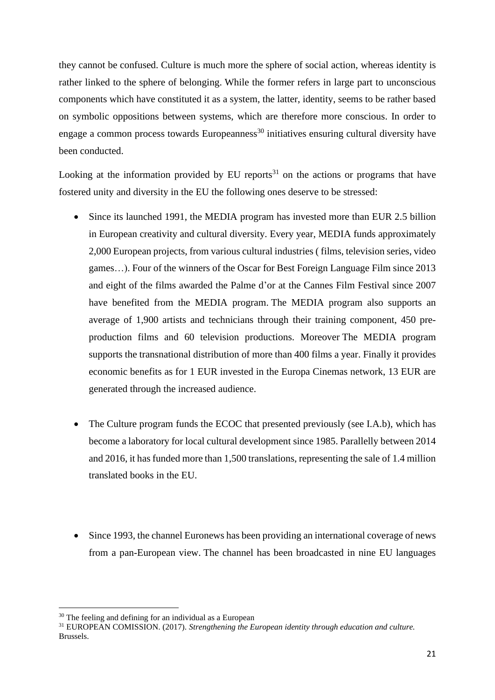they cannot be confused. Culture is much more the sphere of social action, whereas identity is rather linked to the sphere of belonging. While the former refers in large part to unconscious components which have constituted it as a system, the latter, identity, seems to be rather based on symbolic oppositions between systems, which are therefore more conscious. In order to engage a common process towards Europeanness<sup>30</sup> initiatives ensuring cultural diversity have been conducted.

Looking at the information provided by EU reports $31$  on the actions or programs that have fostered unity and diversity in the EU the following ones deserve to be stressed:

- Since its launched 1991, the MEDIA program has invested more than EUR 2.5 billion in European creativity and cultural diversity. Every year, MEDIA funds approximately 2,000 European projects, from various cultural industries ( films, television series, video games…). Four of the winners of the Oscar for Best Foreign Language Film since 2013 and eight of the films awarded the Palme d'or at the Cannes Film Festival since 2007 have benefited from the MEDIA program. The MEDIA program also supports an average of 1,900 artists and technicians through their training component, 450 preproduction films and 60 television productions. Moreover The MEDIA program supports the transnational distribution of more than 400 films a year. Finally it provides economic benefits as for 1 EUR invested in the Europa Cinemas network, 13 EUR are generated through the increased audience.
- The Culture program funds the ECOC that presented previously (see I.A.b), which has become a laboratory for local cultural development since 1985. Parallelly between 2014 and 2016, it has funded more than 1,500 translations, representing the sale of 1.4 million translated books in the EU.
- Since 1993, the channel Euronews has been providing an international coverage of news from a pan-European view. The channel has been broadcasted in nine EU languages

<sup>&</sup>lt;sup>30</sup> The feeling and defining for an individual as a European

<sup>31</sup> EUROPEAN COMISSION. (2017). *Strengthening the European identity through education and culture.* Brussels.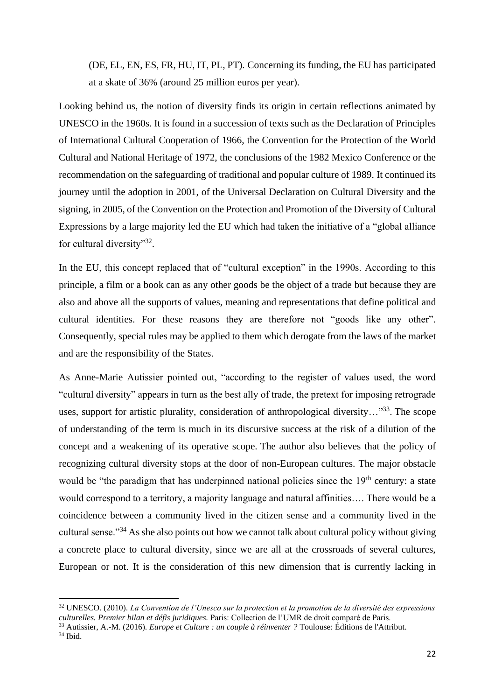(DE, EL, EN, ES, FR, HU, IT, PL, PT). Concerning its funding, the EU has participated at a skate of 36% (around 25 million euros per year).

Looking behind us, the notion of diversity finds its origin in certain reflections animated by UNESCO in the 1960s. It is found in a succession of texts such as the Declaration of Principles of International Cultural Cooperation of 1966, the Convention for the Protection of the World Cultural and National Heritage of 1972, the conclusions of the 1982 Mexico Conference or the recommendation on the safeguarding of traditional and popular culture of 1989. It continued its journey until the adoption in 2001, of the Universal Declaration on Cultural Diversity and the signing, in 2005, of the Convention on the Protection and Promotion of the Diversity of Cultural Expressions by a large majority led the EU which had taken the initiative of a "global alliance for cultural diversity"<sup>32</sup>.

In the EU, this concept replaced that of "cultural exception" in the 1990s. According to this principle, a film or a book can as any other goods be the object of a trade but because they are also and above all the supports of values, meaning and representations that define political and cultural identities. For these reasons they are therefore not "goods like any other". Consequently, special rules may be applied to them which derogate from the laws of the market and are the responsibility of the States.

As Anne-Marie Autissier pointed out, "according to the register of values used, the word "cultural diversity" appears in turn as the best ally of trade, the pretext for imposing retrograde uses, support for artistic plurality, consideration of anthropological diversity..."<sup>33</sup>. The scope of understanding of the term is much in its discursive success at the risk of a dilution of the concept and a weakening of its operative scope. The author also believes that the policy of recognizing cultural diversity stops at the door of non-European cultures. The major obstacle would be "the paradigm that has underpinned national policies since the  $19<sup>th</sup>$  century: a state would correspond to a territory, a majority language and natural affinities…. There would be a coincidence between a community lived in the citizen sense and a community lived in the cultural sense."<sup>34</sup> As she also points out how we cannot talk about cultural policy without giving a concrete place to cultural diversity, since we are all at the crossroads of several cultures, European or not. It is the consideration of this new dimension that is currently lacking in

<sup>32</sup> UNESCO. (2010). *La Convention de l'Unesco sur la protection et la promotion de la diversité des expressions culturelles. Premier bilan et défis juridiques.* Paris: Collection de l'UMR de droit comparé de Paris.

<sup>33</sup> Autissier, A.-M. (2016). *Europe et Culture : un couple à réinventer ?* Toulouse: Éditions de l'Attribut.

<sup>34</sup> Ibid.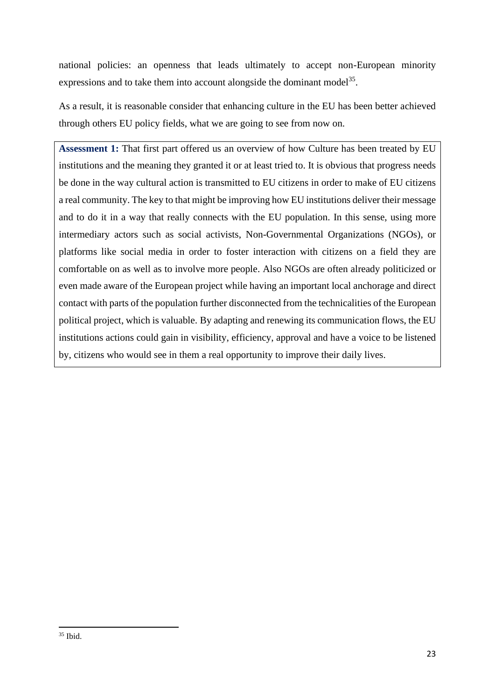national policies: an openness that leads ultimately to accept non-European minority expressions and to take them into account alongside the dominant model<sup>35</sup>.

As a result, it is reasonable consider that enhancing culture in the EU has been better achieved through others EU policy fields, what we are going to see from now on.

**Assessment 1:** That first part offered us an overview of how Culture has been treated by EU institutions and the meaning they granted it or at least tried to. It is obvious that progress needs be done in the way cultural action is transmitted to EU citizens in order to make of EU citizens a real community. The key to that might be improving how EU institutions deliver their message and to do it in a way that really connects with the EU population. In this sense, using more intermediary actors such as social activists, Non-Governmental Organizations (NGOs), or platforms like social media in order to foster interaction with citizens on a field they are comfortable on as well as to involve more people. Also NGOs are often already politicized or even made aware of the European project while having an important local anchorage and direct contact with parts of the population further disconnected from the technicalities of the European political project, which is valuable. By adapting and renewing its communication flows, the EU institutions actions could gain in visibility, efficiency, approval and have a voice to be listened by, citizens who would see in them a real opportunity to improve their daily lives.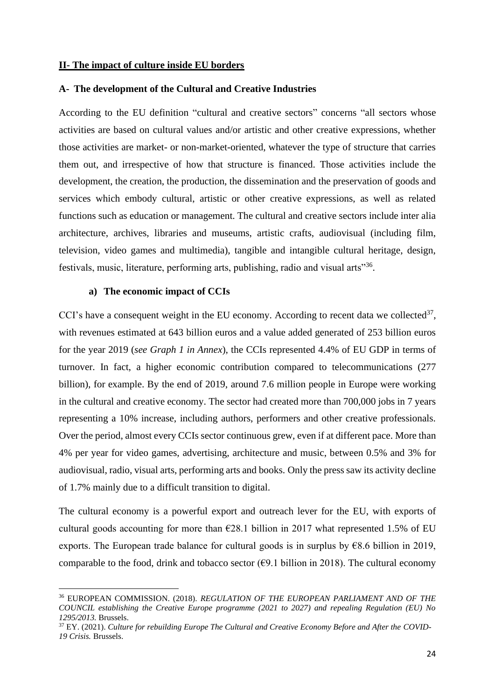### **II- The impact of culture inside EU borders**

#### **A- The development of the Cultural and Creative Industries**

According to the EU definition "cultural and creative sectors" concerns "all sectors whose activities are based on cultural values and/or artistic and other creative expressions, whether those activities are market- or non-market-oriented, whatever the type of structure that carries them out, and irrespective of how that structure is financed. Those activities include the development, the creation, the production, the dissemination and the preservation of goods and services which embody cultural, artistic or other creative expressions, as well as related functions such as education or management. The cultural and creative sectors include inter alia architecture, archives, libraries and museums, artistic crafts, audiovisual (including film, television, video games and multimedia), tangible and intangible cultural heritage, design, festivals, music, literature, performing arts, publishing, radio and visual arts"36.

#### **a) The economic impact of CCIs**

CCI's have a consequent weight in the EU economy. According to recent data we collected $37$ , with revenues estimated at 643 billion euros and a value added generated of 253 billion euros for the year 2019 (*see Graph 1 in Annex*), the CCIs represented 4.4% of EU GDP in terms of turnover. In fact, a higher economic contribution compared to telecommunications (277 billion), for example. By the end of 2019, around 7.6 million people in Europe were working in the cultural and creative economy. The sector had created more than 700,000 jobs in 7 years representing a 10% increase, including authors, performers and other creative professionals. Over the period, almost every CCIs sector continuous grew, even if at different pace. More than 4% per year for video games, advertising, architecture and music, between 0.5% and 3% for audiovisual, radio, visual arts, performing arts and books. Only the press saw its activity decline of 1.7% mainly due to a difficult transition to digital.

The cultural economy is a powerful export and outreach lever for the EU, with exports of cultural goods accounting for more than  $\epsilon$ 28.1 billion in 2017 what represented 1.5% of EU exports. The European trade balance for cultural goods is in surplus by  $68.6$  billion in 2019, comparable to the food, drink and tobacco sector ( $\epsilon$ 9.1 billion in 2018). The cultural economy

<sup>36</sup> EUROPEAN COMMISSION. (2018). *REGULATION OF THE EUROPEAN PARLIAMENT AND OF THE COUNCIL establishing the Creative Europe programme (2021 to 2027) and repealing Regulation (EU) No 1295/2013.* Brussels.

<sup>37</sup> EY. (2021). *Culture for rebuilding Europe The Cultural and Creative Economy Before and After the COVID-19 Crisis.* Brussels.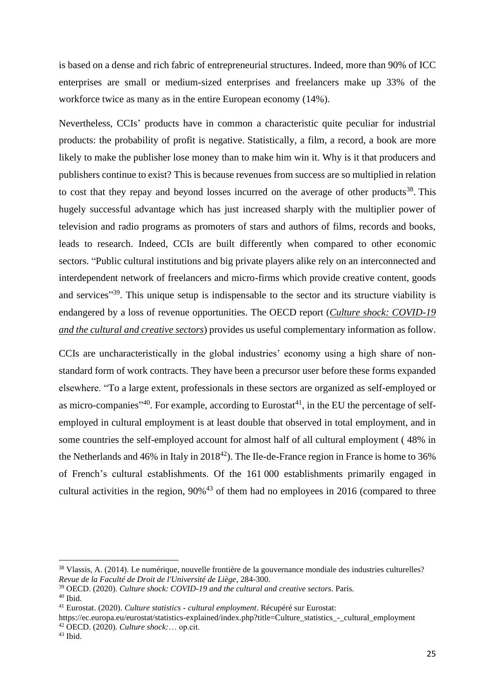is based on a dense and rich fabric of entrepreneurial structures. Indeed, more than 90% of ICC enterprises are small or medium-sized enterprises and freelancers make up 33% of the workforce twice as many as in the entire European economy (14%).

Nevertheless, CCIs' products have in common a characteristic quite peculiar for industrial products: the probability of profit is negative. Statistically, a film, a record, a book are more likely to make the publisher lose money than to make him win it. Why is it that producers and publishers continue to exist? This is because revenues from success are so multiplied in relation to cost that they repay and beyond losses incurred on the average of other products<sup>38</sup>. This hugely successful advantage which has just increased sharply with the multiplier power of television and radio programs as promoters of stars and authors of films, records and books, leads to research. Indeed, CCIs are built differently when compared to other economic sectors. "Public cultural institutions and big private players alike rely on an interconnected and interdependent network of freelancers and micro-firms which provide creative content, goods and services<sup>"39</sup>. This unique setup is indispensable to the sector and its structure viability is endangered by a loss of revenue opportunities. The OECD report (*Culture shock: COVID-19 and the cultural and creative sectors*) provides us useful complementary information as follow.

CCIs are uncharacteristically in the global industries' economy using a high share of nonstandard form of work contracts. They have been a precursor user before these forms expanded elsewhere. "To a large extent, professionals in these sectors are organized as self-employed or as micro-companies<sup> $,40}$ </sup>. For example, according to Eurostat<sup>41</sup>, in the EU the percentage of selfemployed in cultural employment is at least double that observed in total employment, and in some countries the self-employed account for almost half of all cultural employment ( 48% in the Netherlands and 46% in Italy in  $2018^{42}$ ). The Ile-de-France region in France is home to 36% of French's cultural establishments. Of the 161 000 establishments primarily engaged in cultural activities in the region,  $90\%$ <sup>43</sup> of them had no employees in 2016 (compared to three

<sup>38</sup> Vlassis, A. (2014). Le numérique, nouvelle frontière de la gouvernance mondiale des industries culturelles? *Revue de la Faculté de Droit de l'Université de Liège*, 284-300.

<sup>39</sup> OECD. (2020). *Culture shock: COVID-19 and the cultural and creative sectors.* Paris.

 $40$  Ibid.

<sup>41</sup> Eurostat. (2020). *Culture statistics - cultural employment*. Récupéré sur Eurostat:

https://ec.europa.eu/eurostat/statistics-explained/index.php?title=Culture\_statistics -\_cultural\_employment <sup>42</sup> OECD. (2020). *Culture shock:*… op.cit.

 $43$  Ibid.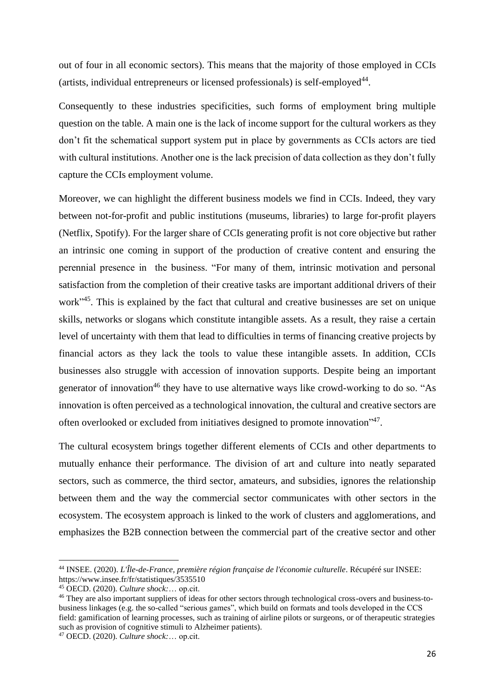out of four in all economic sectors). This means that the majority of those employed in CCIs (artists, individual entrepreneurs or licensed professionals) is self-employed<sup>44</sup>.

Consequently to these industries specificities, such forms of employment bring multiple question on the table. A main one is the lack of income support for the cultural workers as they don't fit the schematical support system put in place by governments as CCIs actors are tied with cultural institutions. Another one is the lack precision of data collection as they don't fully capture the CCIs employment volume.

Moreover, we can highlight the different business models we find in CCIs. Indeed, they vary between not-for-profit and public institutions (museums, libraries) to large for-profit players (Netflix, Spotify). For the larger share of CCIs generating profit is not core objective but rather an intrinsic one coming in support of the production of creative content and ensuring the perennial presence in the business. "For many of them, intrinsic motivation and personal satisfaction from the completion of their creative tasks are important additional drivers of their work<sup>345</sup>. This is explained by the fact that cultural and creative businesses are set on unique skills, networks or slogans which constitute intangible assets. As a result, they raise a certain level of uncertainty with them that lead to difficulties in terms of financing creative projects by financial actors as they lack the tools to value these intangible assets. In addition, CCIs businesses also struggle with accession of innovation supports. Despite being an important generator of innovation<sup>46</sup> they have to use alternative ways like crowd-working to do so. "As innovation is often perceived as a technological innovation, the cultural and creative sectors are often overlooked or excluded from initiatives designed to promote innovation"<sup>47</sup>.

The cultural ecosystem brings together different elements of CCIs and other departments to mutually enhance their performance. The division of art and culture into neatly separated sectors, such as commerce, the third sector, amateurs, and subsidies, ignores the relationship between them and the way the commercial sector communicates with other sectors in the ecosystem. The ecosystem approach is linked to the work of clusters and agglomerations, and emphasizes the B2B connection between the commercial part of the creative sector and other

<sup>44</sup> INSEE. (2020). *L'Île-de-France, première région française de l'économie culturelle*. Récupéré sur INSEE: https://www.insee.fr/fr/statistiques/3535510

<sup>45</sup> OECD. (2020). *Culture shock:*… op.cit.

<sup>&</sup>lt;sup>46</sup> They are also important suppliers of ideas for other sectors through technological cross-overs and business-tobusiness linkages (e.g. the so-called "serious games", which build on formats and tools developed in the CCS field: gamification of learning processes, such as training of airline pilots or surgeons, or of therapeutic strategies such as provision of cognitive stimuli to Alzheimer patients).

<sup>47</sup> OECD. (2020). *Culture shock:*… op.cit.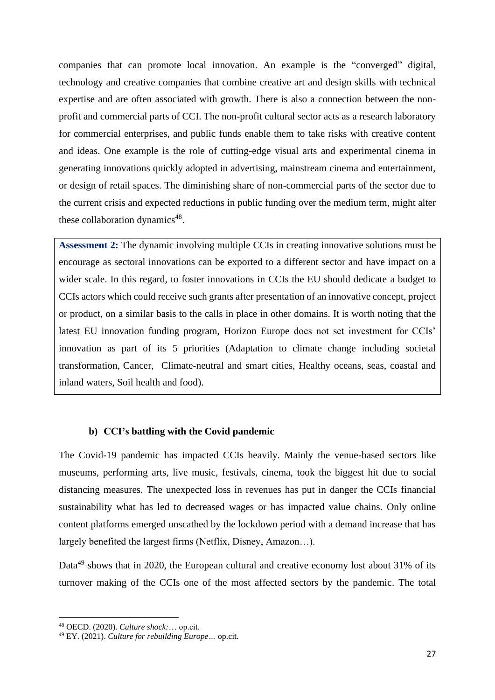companies that can promote local innovation. An example is the "converged" digital, technology and creative companies that combine creative art and design skills with technical expertise and are often associated with growth. There is also a connection between the nonprofit and commercial parts of CCI. The non-profit cultural sector acts as a research laboratory for commercial enterprises, and public funds enable them to take risks with creative content and ideas. One example is the role of cutting-edge visual arts and experimental cinema in generating innovations quickly adopted in advertising, mainstream cinema and entertainment, or design of retail spaces. The diminishing share of non-commercial parts of the sector due to the current crisis and expected reductions in public funding over the medium term, might alter these collaboration dynamics<sup>48</sup>.

**Assessment 2:** The dynamic involving multiple CCIs in creating innovative solutions must be encourage as sectoral innovations can be exported to a different sector and have impact on a wider scale. In this regard, to foster innovations in CCIs the EU should dedicate a budget to CCIs actors which could receive such grants after presentation of an innovative concept, project or product, on a similar basis to the calls in place in other domains. It is worth noting that the latest EU innovation funding program, Horizon Europe does not set investment for CCIs' innovation as part of its 5 priorities (Adaptation to climate change including societal transformation, Cancer, Climate-neutral and smart cities, Healthy oceans, seas, coastal and inland waters, Soil health and food).

## **b) CCI's battling with the Covid pandemic**

The Covid-19 pandemic has impacted CCIs heavily. Mainly the venue-based sectors like museums, performing arts, live music, festivals, cinema, took the biggest hit due to social distancing measures. The unexpected loss in revenues has put in danger the CCIs financial sustainability what has led to decreased wages or has impacted value chains. Only online content platforms emerged unscathed by the lockdown period with a demand increase that has largely benefited the largest firms (Netflix, Disney, Amazon…).

Data<sup>49</sup> shows that in 2020, the European cultural and creative economy lost about 31% of its turnover making of the CCIs one of the most affected sectors by the pandemic. The total

<sup>48</sup> OECD. (2020). *Culture shock:*… op.cit.

<sup>49</sup> EY. (2021). *Culture for rebuilding Europe…* op.cit.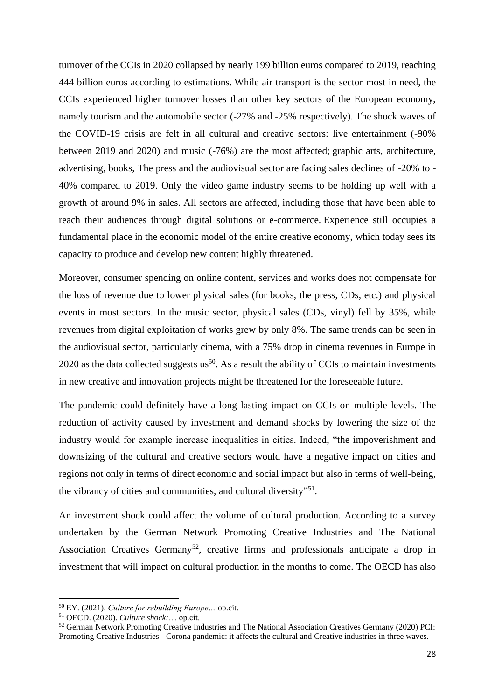turnover of the CCIs in 2020 collapsed by nearly 199 billion euros compared to 2019, reaching 444 billion euros according to estimations. While air transport is the sector most in need, the CCIs experienced higher turnover losses than other key sectors of the European economy, namely tourism and the automobile sector (-27% and -25% respectively). The shock waves of the COVID-19 crisis are felt in all cultural and creative sectors: live entertainment (-90% between 2019 and 2020) and music (-76%) are the most affected; graphic arts, architecture, advertising, books, The press and the audiovisual sector are facing sales declines of -20% to - 40% compared to 2019. Only the video game industry seems to be holding up well with a growth of around 9% in sales. All sectors are affected, including those that have been able to reach their audiences through digital solutions or e-commerce. Experience still occupies a fundamental place in the economic model of the entire creative economy, which today sees its capacity to produce and develop new content highly threatened.

Moreover, consumer spending on online content, services and works does not compensate for the loss of revenue due to lower physical sales (for books, the press, CDs, etc.) and physical events in most sectors. In the music sector, physical sales (CDs, vinyl) fell by 35%, while revenues from digital exploitation of works grew by only 8%. The same trends can be seen in the audiovisual sector, particularly cinema, with a 75% drop in cinema revenues in Europe in 2020 as the data collected suggests  $us^{50}$ . As a result the ability of CCIs to maintain investments in new creative and innovation projects might be threatened for the foreseeable future.

The pandemic could definitely have a long lasting impact on CCIs on multiple levels. The reduction of activity caused by investment and demand shocks by lowering the size of the industry would for example increase inequalities in cities. Indeed, "the impoverishment and downsizing of the cultural and creative sectors would have a negative impact on cities and regions not only in terms of direct economic and social impact but also in terms of well-being, the vibrancy of cities and communities, and cultural diversity"<sup>51</sup>.

An investment shock could affect the volume of cultural production. According to a survey undertaken by the German Network Promoting Creative Industries and The National Association Creatives Germany<sup>52</sup>, creative firms and professionals anticipate a drop in investment that will impact on cultural production in the months to come. The OECD has also

<sup>50</sup> EY. (2021). *Culture for rebuilding Europe…* op.cit.

<sup>51</sup> OECD. (2020). *Culture shock:*… op.cit.

<sup>52</sup> German Network Promoting Creative Industries and The National Association Creatives Germany (2020) PCI: Promoting Creative Industries - Corona pandemic: it affects the cultural and Creative industries in three waves.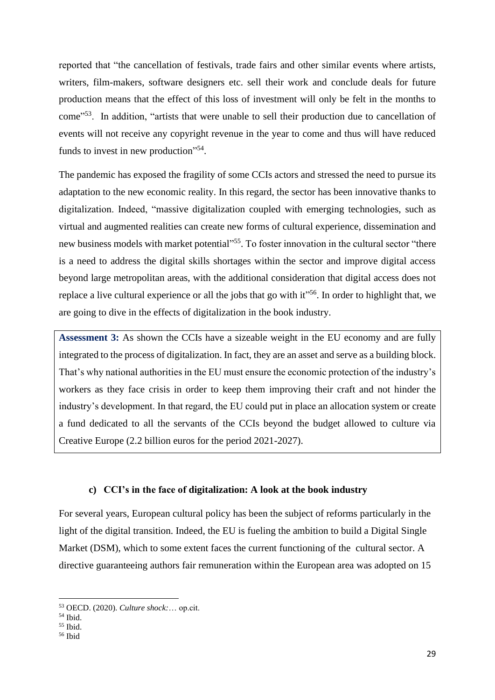reported that "the cancellation of festivals, trade fairs and other similar events where artists, writers, film-makers, software designers etc. sell their work and conclude deals for future production means that the effect of this loss of investment will only be felt in the months to come<sup>553</sup>. In addition, "artists that were unable to sell their production due to cancellation of events will not receive any copyright revenue in the year to come and thus will have reduced funds to invest in new production"<sup>54</sup>.

The pandemic has exposed the fragility of some CCIs actors and stressed the need to pursue its adaptation to the new economic reality. In this regard, the sector has been innovative thanks to digitalization. Indeed, "massive digitalization coupled with emerging technologies, such as virtual and augmented realities can create new forms of cultural experience, dissemination and new business models with market potential<sup>355</sup>. To foster innovation in the cultural sector "there is a need to address the digital skills shortages within the sector and improve digital access beyond large metropolitan areas, with the additional consideration that digital access does not replace a live cultural experience or all the jobs that go with it<sup>156</sup>. In order to highlight that, we are going to dive in the effects of digitalization in the book industry.

**Assessment 3:** As shown the CCIs have a sizeable weight in the EU economy and are fully integrated to the process of digitalization. In fact, they are an asset and serve as a building block. That's why national authorities in the EU must ensure the economic protection of the industry's workers as they face crisis in order to keep them improving their craft and not hinder the industry's development. In that regard, the EU could put in place an allocation system or create a fund dedicated to all the servants of the CCIs beyond the budget allowed to culture via Creative Europe (2.2 billion euros for the period 2021-2027).

## **c) CCI's in the face of digitalization: A look at the book industry**

For several years, European cultural policy has been the subject of reforms particularly in the light of the digital transition. Indeed, the EU is fueling the ambition to build a Digital Single Market (DSM), which to some extent faces the current functioning of the cultural sector. A directive guaranteeing authors fair remuneration within the European area was adopted on 15

<sup>53</sup> OECD. (2020). *Culture shock:*… op.cit.

<sup>54</sup> Ibid.

<sup>55</sup> Ibid.

<sup>56</sup> Ibid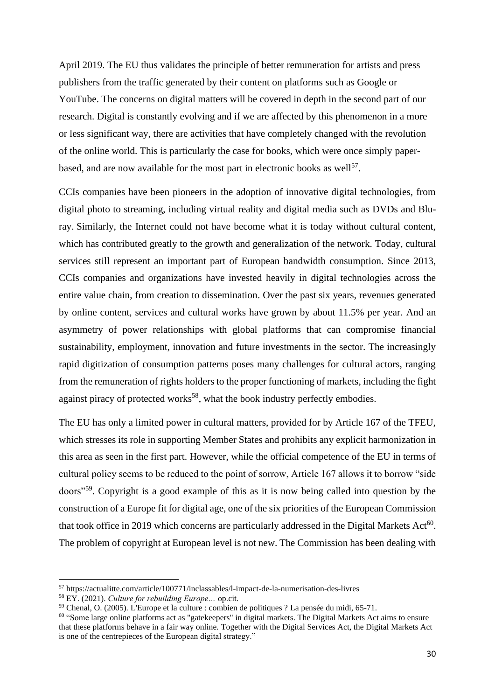April 2019. The EU thus validates the principle of better remuneration for artists and press publishers from the traffic generated by their content on platforms such as Google or YouTube. The concerns on digital matters will be covered in depth in the second part of our research. Digital is constantly evolving and if we are affected by this phenomenon in a more or less significant way, there are activities that have completely changed with the revolution of the online world. This is particularly the case for books, which were once simply paperbased, and are now available for the most part in electronic books as well<sup>57</sup>.

CCIs companies have been pioneers in the adoption of innovative digital technologies, from digital photo to streaming, including virtual reality and digital media such as DVDs and Bluray. Similarly, the Internet could not have become what it is today without cultural content, which has contributed greatly to the growth and generalization of the network. Today, cultural services still represent an important part of European bandwidth consumption. Since 2013, CCIs companies and organizations have invested heavily in digital technologies across the entire value chain, from creation to dissemination. Over the past six years, revenues generated by online content, services and cultural works have grown by about 11.5% per year. And an asymmetry of power relationships with global platforms that can compromise financial sustainability, employment, innovation and future investments in the sector. The increasingly rapid digitization of consumption patterns poses many challenges for cultural actors, ranging from the remuneration of rights holders to the proper functioning of markets, including the fight against piracy of protected works<sup>58</sup>, what the book industry perfectly embodies.

The EU has only a limited power in cultural matters, provided for by Article 167 of the TFEU, which stresses its role in supporting Member States and prohibits any explicit harmonization in this area as seen in the first part. However, while the official competence of the EU in terms of cultural policy seems to be reduced to the point of sorrow, Article 167 allows it to borrow "side doors"<sup>59</sup> . Copyright is a good example of this as it is now being called into question by the construction of a Europe fit for digital age, one of the six priorities of the European Commission that took office in 2019 which concerns are particularly addressed in the Digital Markets Act<sup>60</sup>. The problem of copyright at European level is not new. The Commission has been dealing with

<sup>57</sup> https://actualitte.com/article/100771/inclassables/l-impact-de-la-numerisation-des-livres

<sup>58</sup> EY. (2021). *Culture for rebuilding Europe…* op.cit.

<sup>59</sup> Chenal, O. (2005). L'Europe et la culture : combien de politiques ? La pensée du midi, 65-71.

<sup>&</sup>lt;sup>60</sup> "Some large online platforms act as "gatekeepers" in digital markets. The Digital Markets Act aims to ensure that these platforms behave in a fair way online. Together with the Digital Services Act, the Digital Markets Act is one of the centrepieces of the European digital strategy."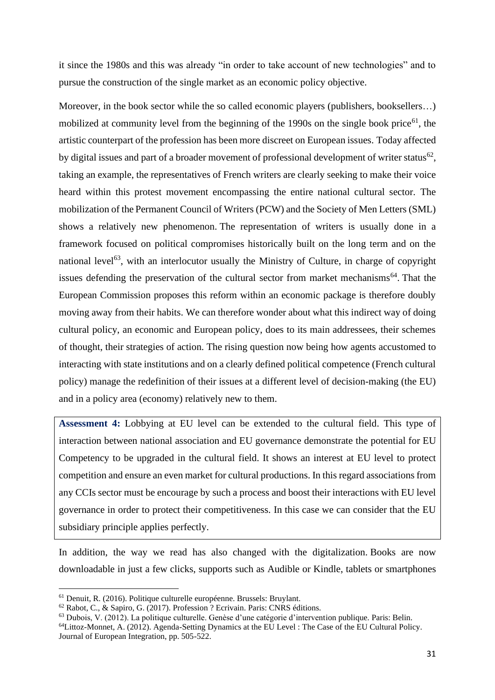it since the 1980s and this was already "in order to take account of new technologies" and to pursue the construction of the single market as an economic policy objective.

Moreover, in the book sector while the so called economic players (publishers, booksellers...) mobilized at community level from the beginning of the 1990s on the single book price<sup>61</sup>, the artistic counterpart of the profession has been more discreet on European issues. Today affected by digital issues and part of a broader movement of professional development of writer status<sup>62</sup>, taking an example, the representatives of French writers are clearly seeking to make their voice heard within this protest movement encompassing the entire national cultural sector. The mobilization of the Permanent Council of Writers (PCW) and the Society of Men Letters (SML) shows a relatively new phenomenon. The representation of writers is usually done in a framework focused on political compromises historically built on the long term and on the national level<sup>63</sup>, with an interlocutor usually the Ministry of Culture, in charge of copyright issues defending the preservation of the cultural sector from market mechanisms<sup>64</sup>. That the European Commission proposes this reform within an economic package is therefore doubly moving away from their habits. We can therefore wonder about what this indirect way of doing cultural policy, an economic and European policy, does to its main addressees, their schemes of thought, their strategies of action. The rising question now being how agents accustomed to interacting with state institutions and on a clearly defined political competence (French cultural policy) manage the redefinition of their issues at a different level of decision-making (the EU) and in a policy area (economy) relatively new to them.

**Assessment 4:** Lobbying at EU level can be extended to the cultural field. This type of interaction between national association and EU governance demonstrate the potential for EU Competency to be upgraded in the cultural field. It shows an interest at EU level to protect competition and ensure an even market for cultural productions. In this regard associations from any CCIs sector must be encourage by such a process and boost their interactions with EU level governance in order to protect their competitiveness. In this case we can consider that the EU subsidiary principle applies perfectly.

In addition, the way we read has also changed with the digitalization. Books are now downloadable in just a few clicks, supports such as Audible or Kindle, tablets or smartphones

<sup>61</sup> Denuit, R. (2016). Politique culturelle européenne. Brussels: Bruylant.

<sup>62</sup> Rabot, C., & Sapiro, G. (2017). Profession ? Ecrivain. Paris: CNRS éditions.

<sup>63</sup> Dubois, V. (2012). La politique culturelle. Genèse d'une catégorie d'intervention publique. Paris: Belin.

<sup>64</sup>Littoz-Monnet, A. (2012). Agenda-Setting Dynamics at the EU Level : The Case of the EU Cultural Policy. Journal of European Integration, pp. 505-522.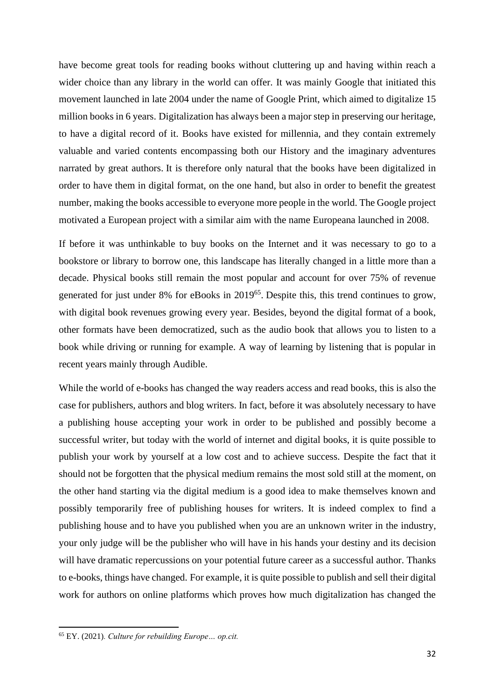have become great tools for reading books without cluttering up and having within reach a wider choice than any library in the world can offer. It was mainly Google that initiated this movement launched in late 2004 under the name of Google Print, which aimed to digitalize 15 million books in 6 years. Digitalization has always been a major step in preserving our heritage, to have a digital record of it. Books have existed for millennia, and they contain extremely valuable and varied contents encompassing both our History and the imaginary adventures narrated by great authors. It is therefore only natural that the books have been digitalized in order to have them in digital format, on the one hand, but also in order to benefit the greatest number, making the books accessible to everyone more people in the world. The Google project motivated a European project with a similar aim with the name Europeana launched in 2008.

If before it was unthinkable to buy books on the Internet and it was necessary to go to a bookstore or library to borrow one, this landscape has literally changed in a little more than a decade. Physical books still remain the most popular and account for over 75% of revenue generated for just under 8% for eBooks in 2019<sup>65</sup>. Despite this, this trend continues to grow, with digital book revenues growing every year. Besides, beyond the digital format of a book, other formats have been democratized, such as the audio book that allows you to listen to a book while driving or running for example. A way of learning by listening that is popular in recent years mainly through Audible.

While the world of e-books has changed the way readers access and read books, this is also the case for publishers, authors and blog writers. In fact, before it was absolutely necessary to have a publishing house accepting your work in order to be published and possibly become a successful writer, but today with the world of internet and digital books, it is quite possible to publish your work by yourself at a low cost and to achieve success. Despite the fact that it should not be forgotten that the physical medium remains the most sold still at the moment, on the other hand starting via the digital medium is a good idea to make themselves known and possibly temporarily free of publishing houses for writers. It is indeed complex to find a publishing house and to have you published when you are an unknown writer in the industry, your only judge will be the publisher who will have in his hands your destiny and its decision will have dramatic repercussions on your potential future career as a successful author. Thanks to e-books, things have changed. For example, it is quite possible to publish and sell their digital work for authors on online platforms which proves how much digitalization has changed the

<sup>65</sup> EY. (2021)*. Culture for rebuilding Europe… op.cit.*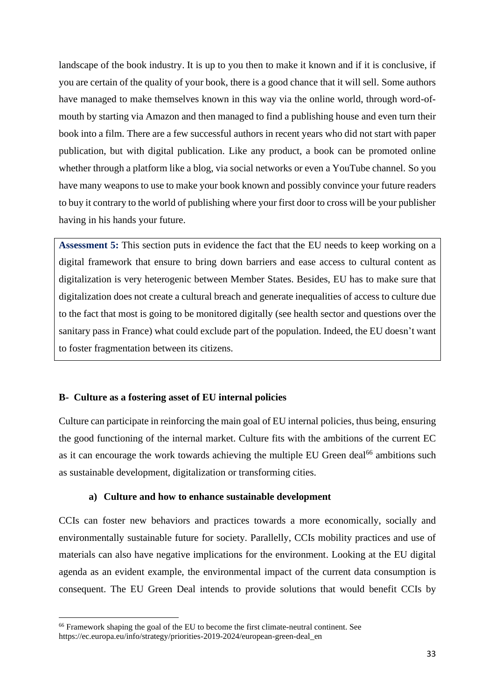landscape of the book industry. It is up to you then to make it known and if it is conclusive, if you are certain of the quality of your book, there is a good chance that it will sell. Some authors have managed to make themselves known in this way via the online world, through word-ofmouth by starting via Amazon and then managed to find a publishing house and even turn their book into a film. There are a few successful authors in recent years who did not start with paper publication, but with digital publication. Like any product, a book can be promoted online whether through a platform like a blog, via social networks or even a YouTube channel. So you have many weapons to use to make your book known and possibly convince your future readers to buy it contrary to the world of publishing where your first door to cross will be your publisher having in his hands your future.

**Assessment 5:** This section puts in evidence the fact that the EU needs to keep working on a digital framework that ensure to bring down barriers and ease access to cultural content as digitalization is very heterogenic between Member States. Besides, EU has to make sure that digitalization does not create a cultural breach and generate inequalities of access to culture due to the fact that most is going to be monitored digitally (see health sector and questions over the sanitary pass in France) what could exclude part of the population. Indeed, the EU doesn't want to foster fragmentation between its citizens.

## **B- Culture as a fostering asset of EU internal policies**

Culture can participate in reinforcing the main goal of EU internal policies, thus being, ensuring the good functioning of the internal market. Culture fits with the ambitions of the current EC as it can encourage the work towards achieving the multiple EU Green deal<sup>66</sup> ambitions such as sustainable development, digitalization or transforming cities.

## **a) Culture and how to enhance sustainable development**

CCIs can foster new behaviors and practices towards a more economically, socially and environmentally sustainable future for society. Parallelly, CCIs mobility practices and use of materials can also have negative implications for the environment. Looking at the EU digital agenda as an evident example, the environmental impact of the current data consumption is consequent. The EU Green Deal intends to provide solutions that would benefit CCIs by

<sup>66</sup> Framework shaping the goal of the EU to become the first climate-neutral continent. See https://ec.europa.eu/info/strategy/priorities-2019-2024/european-green-deal\_en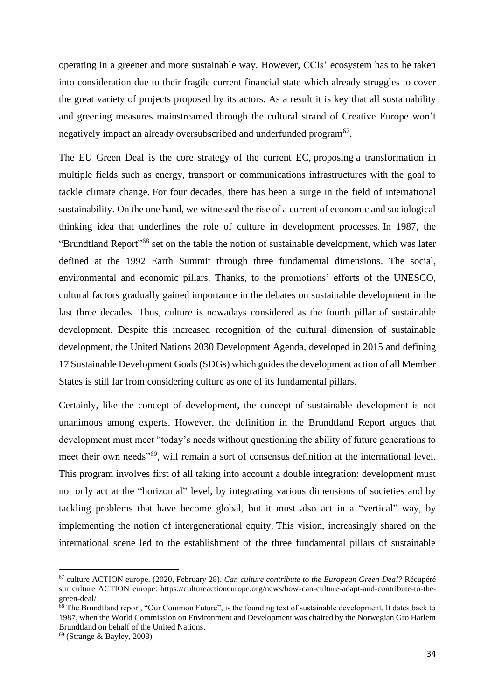operating in a greener and more sustainable way. However, CCIs' ecosystem has to be taken into consideration due to their fragile current financial state which already struggles to cover the great variety of projects proposed by its actors. As a result it is key that all sustainability and greening measures mainstreamed through the cultural strand of Creative Europe won't negatively impact an already oversubscribed and underfunded program<sup>67</sup>.

The EU Green Deal is the core strategy of the current EC, proposing a transformation in multiple fields such as energy, transport or communications infrastructures with the goal to tackle climate change. For four decades, there has been a surge in the field of international sustainability. On the one hand, we witnessed the rise of a current of economic and sociological thinking idea that underlines the role of culture in development processes. In 1987, the "Brundtland Report"<sup>68</sup> set on the table the notion of sustainable development, which was later defined at the 1992 Earth Summit through three fundamental dimensions. The social, environmental and economic pillars. Thanks, to the promotions' efforts of the UNESCO, cultural factors gradually gained importance in the debates on sustainable development in the last three decades. Thus, culture is nowadays considered as the fourth pillar of sustainable development. Despite this increased recognition of the cultural dimension of sustainable development, the United Nations 2030 Development Agenda, developed in 2015 and defining 17 Sustainable Development Goals (SDGs) which guidesthe development action of all Member States is still far from considering culture as one of its fundamental pillars.

Certainly, like the concept of development, the concept of sustainable development is not unanimous among experts. However, the definition in the Brundtland Report argues that development must meet "today's needs without questioning the ability of future generations to meet their own needs"<sup>69</sup>, will remain a sort of consensus definition at the international level. This program involves first of all taking into account a double integration: development must not only act at the "horizontal" level, by integrating various dimensions of societies and by tackling problems that have become global, but it must also act in a "vertical" way, by implementing the notion of intergenerational equity. This vision, increasingly shared on the international scene led to the establishment of the three fundamental pillars of sustainable

<sup>67</sup> culture ACTION europe. (2020, February 28). *Can culture contribute to the European Green Deal?* Récupéré sur culture ACTION europe: https://cultureactioneurope.org/news/how-can-culture-adapt-and-contribute-to-thegreen-deal/

 $68$  The Brundtland report, "Our Common Future", is the founding text of sustainable development. It dates back to 1987, when the World Commission on Environment and Development was chaired by the Norwegian Gro Harlem Brundtland on behalf of the United Nations.

 $69$  (Strange & Bayley, 2008)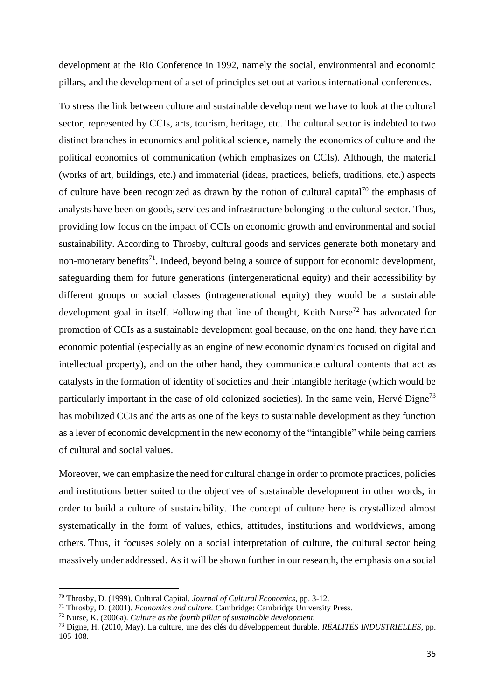development at the Rio Conference in 1992, namely the social, environmental and economic pillars, and the development of a set of principles set out at various international conferences.

To stress the link between culture and sustainable development we have to look at the cultural sector, represented by CCIs, arts, tourism, heritage, etc. The cultural sector is indebted to two distinct branches in economics and political science, namely the economics of culture and the political economics of communication (which emphasizes on CCIs). Although, the material (works of art, buildings, etc.) and immaterial (ideas, practices, beliefs, traditions, etc.) aspects of culture have been recognized as drawn by the notion of cultural capital<sup>70</sup> the emphasis of analysts have been on goods, services and infrastructure belonging to the cultural sector. Thus, providing low focus on the impact of CCIs on economic growth and environmental and social sustainability. According to Throsby, cultural goods and services generate both monetary and non-monetary benefits<sup>71</sup>. Indeed, beyond being a source of support for economic development, safeguarding them for future generations (intergenerational equity) and their accessibility by different groups or social classes (intragenerational equity) they would be a sustainable development goal in itself. Following that line of thought, Keith Nurse<sup>72</sup> has advocated for promotion of CCIs as a sustainable development goal because, on the one hand, they have rich economic potential (especially as an engine of new economic dynamics focused on digital and intellectual property), and on the other hand, they communicate cultural contents that act as catalysts in the formation of identity of societies and their intangible heritage (which would be particularly important in the case of old colonized societies). In the same vein, Hervé Digne<sup>73</sup> has mobilized CCIs and the arts as one of the keys to sustainable development as they function as a lever of economic development in the new economy of the "intangible" while being carriers of cultural and social values.

Moreover, we can emphasize the need for cultural change in order to promote practices, policies and institutions better suited to the objectives of sustainable development in other words, in order to build a culture of sustainability. The concept of culture here is crystallized almost systematically in the form of values, ethics, attitudes, institutions and worldviews, among others. Thus, it focuses solely on a social interpretation of culture, the cultural sector being massively under addressed. As it will be shown further in our research, the emphasis on a social

<sup>70</sup> Throsby, D. (1999). Cultural Capital. *Journal of Cultural Economics*, pp. 3-12.

<sup>71</sup> Throsby, D. (2001). *Economics and culture.* Cambridge: Cambridge University Press.

<sup>72</sup> Nurse, K. (2006a). *Culture as the fourth pillar of sustainable development.*

<sup>73</sup> Digne, H. (2010, May). La culture, une des clés du développement durable. *RÉALITÉS INDUSTRIELLES*, pp. 105-108.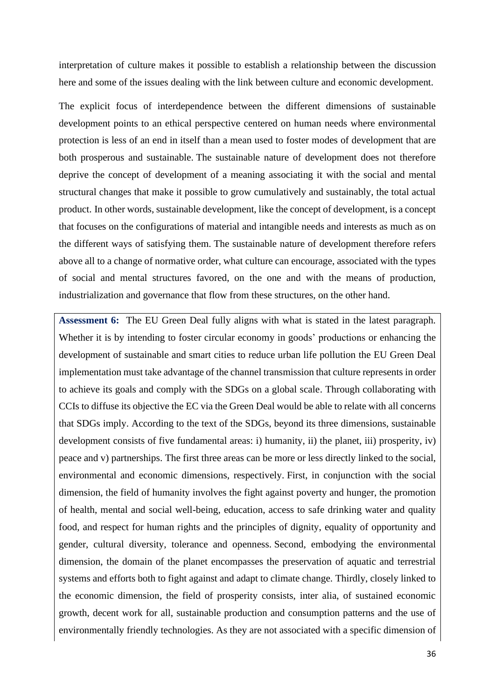interpretation of culture makes it possible to establish a relationship between the discussion here and some of the issues dealing with the link between culture and economic development.

The explicit focus of interdependence between the different dimensions of sustainable development points to an ethical perspective centered on human needs where environmental protection is less of an end in itself than a mean used to foster modes of development that are both prosperous and sustainable. The sustainable nature of development does not therefore deprive the concept of development of a meaning associating it with the social and mental structural changes that make it possible to grow cumulatively and sustainably, the total actual product. In other words, sustainable development, like the concept of development, is a concept that focuses on the configurations of material and intangible needs and interests as much as on the different ways of satisfying them. The sustainable nature of development therefore refers above all to a change of normative order, what culture can encourage, associated with the types of social and mental structures favored, on the one and with the means of production, industrialization and governance that flow from these structures, on the other hand.

**Assessment 6:** The EU Green Deal fully aligns with what is stated in the latest paragraph. Whether it is by intending to foster circular economy in goods' productions or enhancing the development of sustainable and smart cities to reduce urban life pollution the EU Green Deal implementation must take advantage of the channel transmission that culture represents in order to achieve its goals and comply with the SDGs on a global scale. Through collaborating with CCIs to diffuse its objective the EC via the Green Deal would be able to relate with all concerns that SDGs imply. According to the text of the SDGs, beyond its three dimensions, sustainable development consists of five fundamental areas: i) humanity, ii) the planet, iii) prosperity, iv) peace and v) partnerships. The first three areas can be more or less directly linked to the social, environmental and economic dimensions, respectively. First, in conjunction with the social dimension, the field of humanity involves the fight against poverty and hunger, the promotion of health, mental and social well-being, education, access to safe drinking water and quality food, and respect for human rights and the principles of dignity, equality of opportunity and gender, cultural diversity, tolerance and openness. Second, embodying the environmental dimension, the domain of the planet encompasses the preservation of aquatic and terrestrial systems and efforts both to fight against and adapt to climate change. Thirdly, closely linked to the economic dimension, the field of prosperity consists, inter alia, of sustained economic growth, decent work for all, sustainable production and consumption patterns and the use of environmentally friendly technologies. As they are not associated with a specific dimension of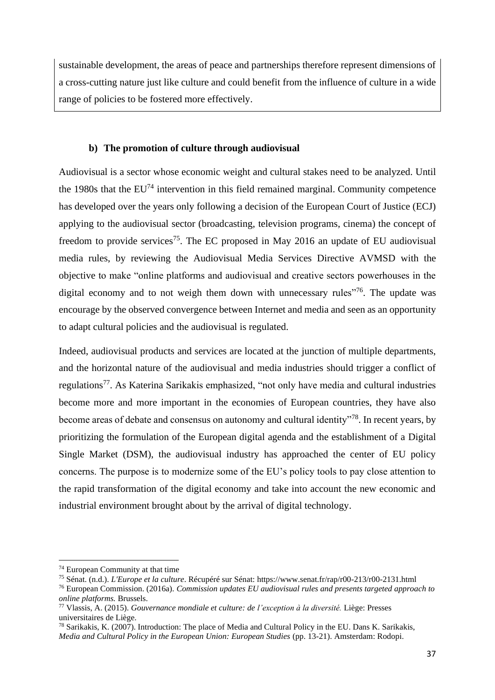sustainable development, the areas of peace and partnerships therefore represent dimensions of a cross-cutting nature just like culture and could benefit from the influence of culture in a wide range of policies to be fostered more effectively.

#### **b) The promotion of culture through audiovisual**

Audiovisual is a sector whose economic weight and cultural stakes need to be analyzed. Until the 1980s that the  $EU<sup>74</sup>$  intervention in this field remained marginal. Community competence has developed over the years only following a decision of the European Court of Justice (ECJ) applying to the audiovisual sector (broadcasting, television programs, cinema) the concept of freedom to provide services<sup>75</sup>. The EC proposed in May 2016 an update of EU audiovisual media rules, by reviewing the Audiovisual Media Services Directive AVMSD with the objective to make "online platforms and audiovisual and creative sectors powerhouses in the digital economy and to not weigh them down with unnecessary rules"<sup>76</sup>. The update was encourage by the observed convergence between Internet and media and seen as an opportunity to adapt cultural policies and the audiovisual is regulated.

Indeed, audiovisual products and services are located at the junction of multiple departments, and the horizontal nature of the audiovisual and media industries should trigger a conflict of regulations<sup>77</sup>. As Katerina Sarikakis emphasized, "not only have media and cultural industries become more and more important in the economies of European countries, they have also become areas of debate and consensus on autonomy and cultural identity<sup>"78</sup>. In recent years, by prioritizing the formulation of the European digital agenda and the establishment of a Digital Single Market (DSM), the audiovisual industry has approached the center of EU policy concerns. The purpose is to modernize some of the EU's policy tools to pay close attention to the rapid transformation of the digital economy and take into account the new economic and industrial environment brought about by the arrival of digital technology.

<sup>74</sup> European Community at that time

<sup>75</sup> Sénat. (n.d.). *L'Europe et la culture*. Récupéré sur Sénat: https://www.senat.fr/rap/r00-213/r00-2131.html

<sup>76</sup> European Commission. (2016a). *Commission updates EU audiovisual rules and presents targeted approach to online platforms.* Brussels.

<sup>77</sup> Vlassis, A. (2015). *Gouvernance mondiale et culture: de l'exception à la diversité.* Liège: Presses universitaires de Liège.

<sup>78</sup> Sarikakis, K. (2007). Introduction: The place of Media and Cultural Policy in the EU. Dans K. Sarikakis, *Media and Cultural Policy in the European Union: European Studies* (pp. 13-21). Amsterdam: Rodopi.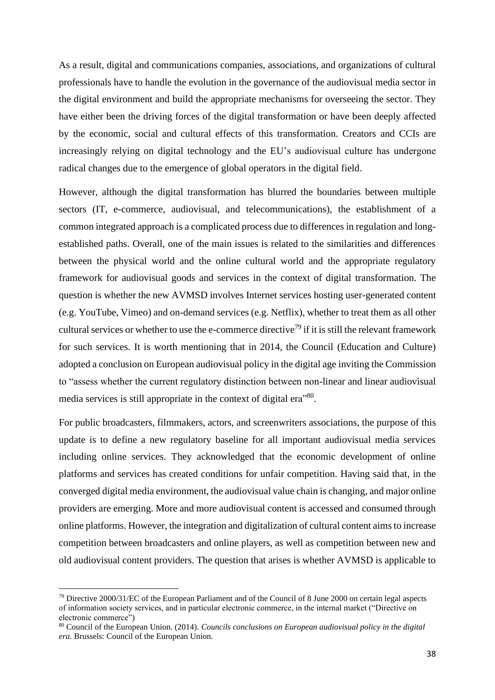As a result, digital and communications companies, associations, and organizations of cultural professionals have to handle the evolution in the governance of the audiovisual media sector in the digital environment and build the appropriate mechanisms for overseeing the sector. They have either been the driving forces of the digital transformation or have been deeply affected by the economic, social and cultural effects of this transformation. Creators and CCIs are increasingly relying on digital technology and the EU's audiovisual culture has undergone radical changes due to the emergence of global operators in the digital field.

However, although the digital transformation has blurred the boundaries between multiple sectors (IT, e-commerce, audiovisual, and telecommunications), the establishment of a common integrated approach is a complicated process due to differences in regulation and longestablished paths. Overall, one of the main issues is related to the similarities and differences between the physical world and the online cultural world and the appropriate regulatory framework for audiovisual goods and services in the context of digital transformation. The question is whether the new AVMSD involves Internet services hosting user-generated content (e.g. YouTube, Vimeo) and on-demand services (e.g. Netflix), whether to treat them as all other cultural services or whether to use the e-commerce directive<sup>79</sup> if it is still the relevant framework for such services. It is worth mentioning that in 2014, the Council (Education and Culture) adopted a conclusion on European audiovisual policy in the digital age inviting the Commission to "assess whether the current regulatory distinction between non-linear and linear audiovisual media services is still appropriate in the context of digital era<sup>"80</sup>.

For public broadcasters, filmmakers, actors, and screenwriters associations, the purpose of this update is to define a new regulatory baseline for all important audiovisual media services including online services. They acknowledged that the economic development of online platforms and services has created conditions for unfair competition. Having said that, in the converged digital media environment, the audiovisual value chain is changing, and major online providers are emerging. More and more audiovisual content is accessed and consumed through online platforms. However, the integration and digitalization of cultural content aims to increase competition between broadcasters and online players, as well as competition between new and old audiovisual content providers. The question that arises is whether AVMSD is applicable to

<sup>79</sup> Directive 2000/31/EC of the European Parliament and of the Council of 8 June 2000 on certain legal aspects of information society services, and in particular electronic commerce, in the internal market ("Directive on electronic commerce")

<sup>80</sup> Council of the European Union. (2014). *Councils conclusions on European audiovisual policy in the digital era.* Brussels: Council of the European Union.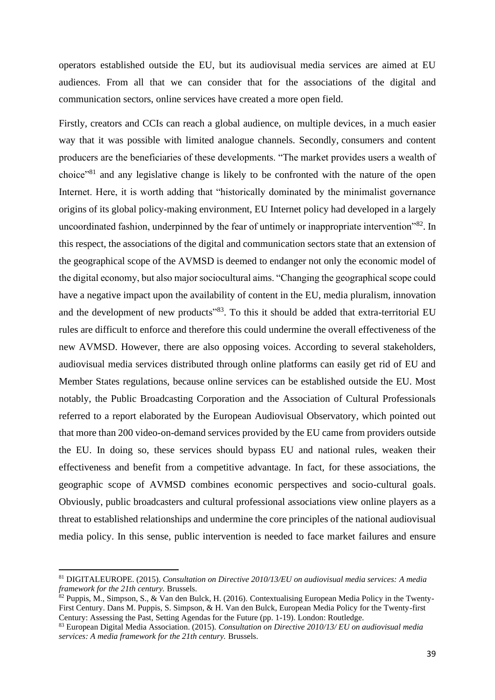operators established outside the EU, but its audiovisual media services are aimed at EU audiences. From all that we can consider that for the associations of the digital and communication sectors, online services have created a more open field.

Firstly, creators and CCIs can reach a global audience, on multiple devices, in a much easier way that it was possible with limited analogue channels. Secondly, consumers and content producers are the beneficiaries of these developments. "The market provides users a wealth of choice"<sup>81</sup> and any legislative change is likely to be confronted with the nature of the open Internet. Here, it is worth adding that "historically dominated by the minimalist governance origins of its global policy-making environment, EU Internet policy had developed in a largely uncoordinated fashion, underpinned by the fear of untimely or inappropriate intervention"<sup>82</sup>. In this respect, the associations of the digital and communication sectors state that an extension of the geographical scope of the AVMSD is deemed to endanger not only the economic model of the digital economy, but also major sociocultural aims. "Changing the geographical scope could have a negative impact upon the availability of content in the EU, media pluralism, innovation and the development of new products<sup>"83</sup>. To this it should be added that extra-territorial EU rules are difficult to enforce and therefore this could undermine the overall effectiveness of the new AVMSD. However, there are also opposing voices. According to several stakeholders, audiovisual media services distributed through online platforms can easily get rid of EU and Member States regulations, because online services can be established outside the EU. Most notably, the Public Broadcasting Corporation and the Association of Cultural Professionals referred to a report elaborated by the European Audiovisual Observatory, which pointed out that more than 200 video-on-demand services provided by the EU came from providers outside the EU. In doing so, these services should bypass EU and national rules, weaken their effectiveness and benefit from a competitive advantage. In fact, for these associations, the geographic scope of AVMSD combines economic perspectives and socio-cultural goals. Obviously, public broadcasters and cultural professional associations view online players as a threat to established relationships and undermine the core principles of the national audiovisual media policy. In this sense, public intervention is needed to face market failures and ensure

<sup>81</sup> DIGITALEUROPE. (2015). *Consultation on Directive 2010/13/EU on audiovisual media services: A media framework for the 21th century.* Brussels.

 $82$  Puppis, M., Simpson, S., & Van den Bulck, H. (2016). Contextualising European Media Policy in the Twenty-First Century. Dans M. Puppis, S. Simpson, & H. Van den Bulck, European Media Policy for the Twenty-first Century: Assessing the Past, Setting Agendas for the Future (pp. 1-19). London: Routledge.

<sup>83</sup> European Digital Media Association. (2015). *Consultation on Directive 2010/13/ EU on audiovisual media services: A media framework for the 21th century.* Brussels.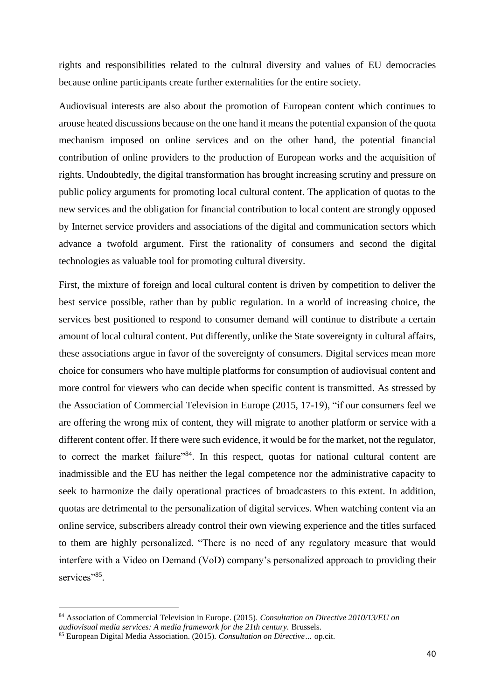rights and responsibilities related to the cultural diversity and values of EU democracies because online participants create further externalities for the entire society.

Audiovisual interests are also about the promotion of European content which continues to arouse heated discussions because on the one hand it means the potential expansion of the quota mechanism imposed on online services and on the other hand, the potential financial contribution of online providers to the production of European works and the acquisition of rights. Undoubtedly, the digital transformation has brought increasing scrutiny and pressure on public policy arguments for promoting local cultural content. The application of quotas to the new services and the obligation for financial contribution to local content are strongly opposed by Internet service providers and associations of the digital and communication sectors which advance a twofold argument. First the rationality of consumers and second the digital technologies as valuable tool for promoting cultural diversity.

First, the mixture of foreign and local cultural content is driven by competition to deliver the best service possible, rather than by public regulation. In a world of increasing choice, the services best positioned to respond to consumer demand will continue to distribute a certain amount of local cultural content. Put differently, unlike the State sovereignty in cultural affairs, these associations argue in favor of the sovereignty of consumers. Digital services mean more choice for consumers who have multiple platforms for consumption of audiovisual content and more control for viewers who can decide when specific content is transmitted. As stressed by the Association of Commercial Television in Europe (2015, 17-19), "if our consumers feel we are offering the wrong mix of content, they will migrate to another platform or service with a different content offer. If there were such evidence, it would be for the market, not the regulator, to correct the market failure"<sup>84</sup>. In this respect, quotas for national cultural content are inadmissible and the EU has neither the legal competence nor the administrative capacity to seek to harmonize the daily operational practices of broadcasters to this extent. In addition, quotas are detrimental to the personalization of digital services. When watching content via an online service, subscribers already control their own viewing experience and the titles surfaced to them are highly personalized. "There is no need of any regulatory measure that would interfere with a Video on Demand (VoD) company's personalized approach to providing their services"<sup>85</sup>.

<sup>84</sup> Association of Commercial Television in Europe. (2015). *Consultation on Directive 2010/13/EU on* 

*audiovisual media services: A media framework for the 21th century.* Brussels.

<sup>85</sup> European Digital Media Association. (2015). *Consultation on Directive…* op.cit.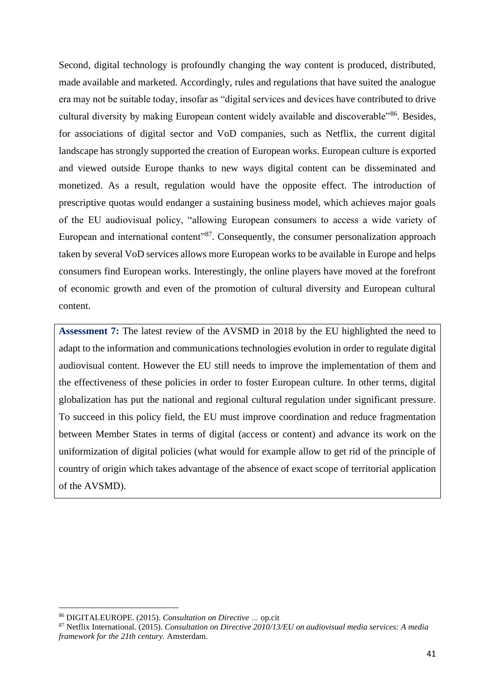Second, digital technology is profoundly changing the way content is produced, distributed, made available and marketed. Accordingly, rules and regulations that have suited the analogue era may not be suitable today, insofar as "digital services and devices have contributed to drive cultural diversity by making European content widely available and discoverable"<sup>86</sup>. Besides, for associations of digital sector and VoD companies, such as Netflix, the current digital landscape has strongly supported the creation of European works. European culture is exported and viewed outside Europe thanks to new ways digital content can be disseminated and monetized. As a result, regulation would have the opposite effect. The introduction of prescriptive quotas would endanger a sustaining business model, which achieves major goals of the EU audiovisual policy, "allowing European consumers to access a wide variety of European and international content<sup>37</sup>. Consequently, the consumer personalization approach taken by several VoD services allows more European works to be available in Europe and helps consumers find European works. Interestingly, the online players have moved at the forefront of economic growth and even of the promotion of cultural diversity and European cultural content.

**Assessment 7:** The latest review of the AVSMD in 2018 by the EU highlighted the need to adapt to the information and communications technologies evolution in order to regulate digital audiovisual content. However the EU still needs to improve the implementation of them and the effectiveness of these policies in order to foster European culture. In other terms, digital globalization has put the national and regional cultural regulation under significant pressure. To succeed in this policy field, the EU must improve coordination and reduce fragmentation between Member States in terms of digital (access or content) and advance its work on the uniformization of digital policies (what would for example allow to get rid of the principle of country of origin which takes advantage of the absence of exact scope of territorial application of the AVSMD).

<sup>86</sup> DIGITALEUROPE. (2015). *Consultation on Directive …* op.cit

<sup>87</sup> Netflix International. (2015). *Consultation on Directive 2010/13/EU on audiovisual media services: A media framework for the 21th century.* Amsterdam.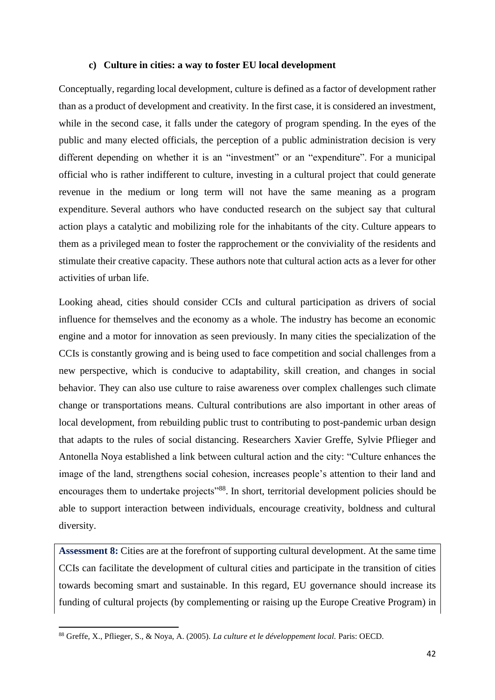#### **c) Culture in cities: a way to foster EU local development**

Conceptually, regarding local development, culture is defined as a factor of development rather than as a product of development and creativity. In the first case, it is considered an investment, while in the second case, it falls under the category of program spending. In the eyes of the public and many elected officials, the perception of a public administration decision is very different depending on whether it is an "investment" or an "expenditure". For a municipal official who is rather indifferent to culture, investing in a cultural project that could generate revenue in the medium or long term will not have the same meaning as a program expenditure. Several authors who have conducted research on the subject say that cultural action plays a catalytic and mobilizing role for the inhabitants of the city. Culture appears to them as a privileged mean to foster the rapprochement or the conviviality of the residents and stimulate their creative capacity. These authors note that cultural action acts as a lever for other activities of urban life.

Looking ahead, cities should consider CCIs and cultural participation as drivers of social influence for themselves and the economy as a whole. The industry has become an economic engine and a motor for innovation as seen previously. In many cities the specialization of the CCIs is constantly growing and is being used to face competition and social challenges from a new perspective, which is conducive to adaptability, skill creation, and changes in social behavior. They can also use culture to raise awareness over complex challenges such climate change or transportations means. Cultural contributions are also important in other areas of local development, from rebuilding public trust to contributing to post-pandemic urban design that adapts to the rules of social distancing. Researchers Xavier Greffe, Sylvie Pflieger and Antonella Noya established a link between cultural action and the city: "Culture enhances the image of the land, strengthens social cohesion, increases people's attention to their land and encourages them to undertake projects"<sup>88</sup>. In short, territorial development policies should be able to support interaction between individuals, encourage creativity, boldness and cultural diversity.

**Assessment 8:** Cities are at the forefront of supporting cultural development. At the same time CCIs can facilitate the development of cultural cities and participate in the transition of cities towards becoming smart and sustainable. In this regard, EU governance should increase its funding of cultural projects (by complementing or raising up the Europe Creative Program) in

<sup>88</sup> Greffe, X., Pflieger, S., & Noya, A. (2005). *La culture et le développement local.* Paris: OECD.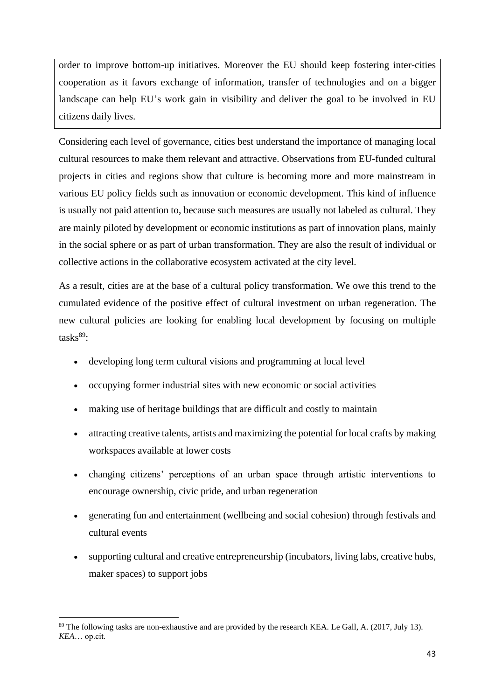order to improve bottom-up initiatives. Moreover the EU should keep fostering inter-cities cooperation as it favors exchange of information, transfer of technologies and on a bigger landscape can help EU's work gain in visibility and deliver the goal to be involved in EU citizens daily lives.

Considering each level of governance, cities best understand the importance of managing local cultural resources to make them relevant and attractive. Observations from EU-funded cultural projects in cities and regions show that culture is becoming more and more mainstream in various EU policy fields such as innovation or economic development. This kind of influence is usually not paid attention to, because such measures are usually not labeled as cultural. They are mainly piloted by development or economic institutions as part of innovation plans, mainly in the social sphere or as part of urban transformation. They are also the result of individual or collective actions in the collaborative ecosystem activated at the city level.

As a result, cities are at the base of a cultural policy transformation. We owe this trend to the cumulated evidence of the positive effect of cultural investment on urban regeneration. The new cultural policies are looking for enabling local development by focusing on multiple  $tasks<sup>89</sup>$ :

- developing long term cultural visions and programming at local level
- occupying former industrial sites with new economic or social activities
- making use of heritage buildings that are difficult and costly to maintain
- attracting creative talents, artists and maximizing the potential for local crafts by making workspaces available at lower costs
- changing citizens' perceptions of an urban space through artistic interventions to encourage ownership, civic pride, and urban regeneration
- generating fun and entertainment (wellbeing and social cohesion) through festivals and cultural events
- supporting cultural and creative entrepreneurship (incubators, living labs, creative hubs, maker spaces) to support jobs

<sup>89</sup> The following tasks are non-exhaustive and are provided by the research KEA. Le Gall, A. (2017, July 13). *KEA*… op.cit.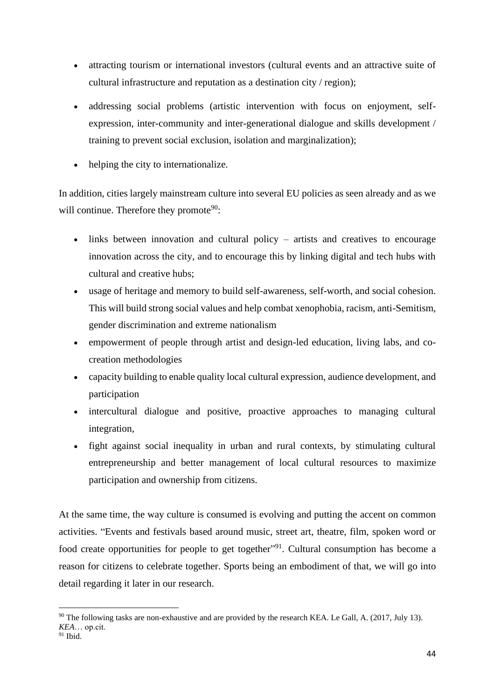- attracting tourism or international investors (cultural events and an attractive suite of cultural infrastructure and reputation as a destination city / region);
- addressing social problems (artistic intervention with focus on enjoyment, selfexpression, inter-community and inter-generational dialogue and skills development / training to prevent social exclusion, isolation and marginalization);
- helping the city to internationalize.

In addition, cities largely mainstream culture into several EU policies as seen already and as we will continue. Therefore they promote<sup>90</sup>:

- links between innovation and cultural policy artists and creatives to encourage innovation across the city, and to encourage this by linking digital and tech hubs with cultural and creative hubs;
- usage of heritage and memory to build self-awareness, self-worth, and social cohesion. This will build strong social values and help combat xenophobia, racism, anti-Semitism, gender discrimination and extreme nationalism
- empowerment of people through artist and design-led education, living labs, and cocreation methodologies
- capacity building to enable quality local cultural expression, audience development, and participation
- intercultural dialogue and positive, proactive approaches to managing cultural integration,
- fight against social inequality in urban and rural contexts, by stimulating cultural entrepreneurship and better management of local cultural resources to maximize participation and ownership from citizens.

At the same time, the way culture is consumed is evolving and putting the accent on common activities. "Events and festivals based around music, street art, theatre, film, spoken word or food create opportunities for people to get together"<sup>91</sup>. Cultural consumption has become a reason for citizens to celebrate together. Sports being an embodiment of that, we will go into detail regarding it later in our research.

 $90$  The following tasks are non-exhaustive and are provided by the research KEA. Le Gall, A. (2017, July 13). *KEA*… op.cit.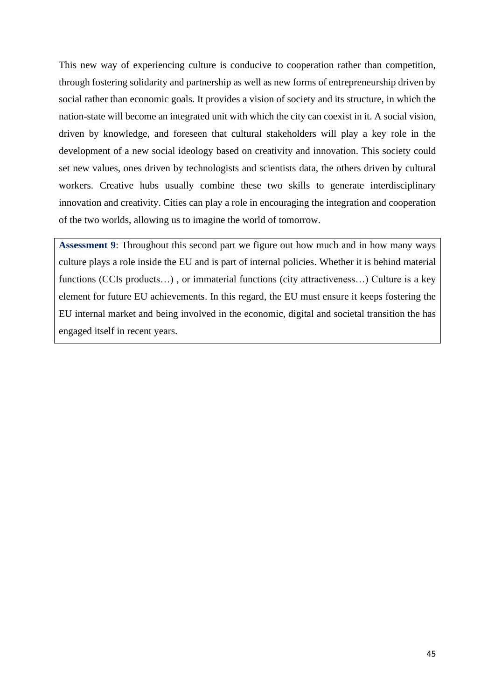This new way of experiencing culture is conducive to cooperation rather than competition, through fostering solidarity and partnership as well as new forms of entrepreneurship driven by social rather than economic goals. It provides a vision of society and its structure, in which the nation-state will become an integrated unit with which the city can coexist in it. A social vision, driven by knowledge, and foreseen that cultural stakeholders will play a key role in the development of a new social ideology based on creativity and innovation. This society could set new values, ones driven by technologists and scientists data, the others driven by cultural workers. Creative hubs usually combine these two skills to generate interdisciplinary innovation and creativity. Cities can play a role in encouraging the integration and cooperation of the two worlds, allowing us to imagine the world of tomorrow.

**Assessment 9**: Throughout this second part we figure out how much and in how many ways culture plays a role inside the EU and is part of internal policies. Whether it is behind material functions (CCIs products...), or immaterial functions (city attractiveness...) Culture is a key element for future EU achievements. In this regard, the EU must ensure it keeps fostering the EU internal market and being involved in the economic, digital and societal transition the has engaged itself in recent years.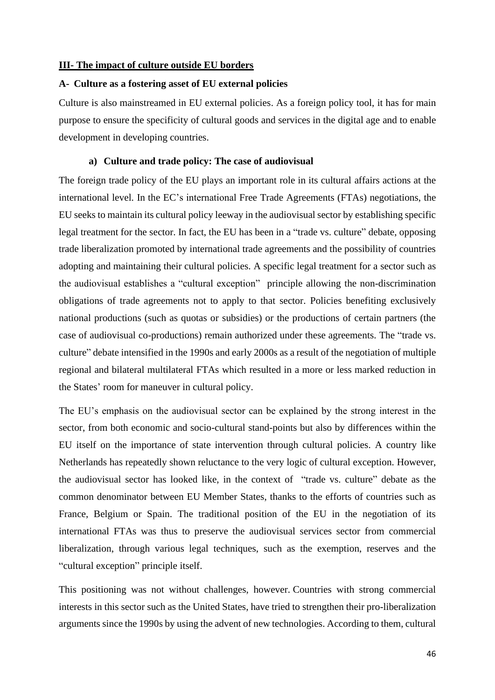#### **III- The impact of culture outside EU borders**

#### **A- Culture as a fostering asset of EU external policies**

Culture is also mainstreamed in EU external policies. As a foreign policy tool, it has for main purpose to ensure the specificity of cultural goods and services in the digital age and to enable development in developing countries.

#### **a) Culture and trade policy: The case of audiovisual**

The foreign trade policy of the EU plays an important role in its cultural affairs actions at the international level. In the EC's international Free Trade Agreements (FTAs) negotiations, the EU seeks to maintain its cultural policy leeway in the audiovisual sector by establishing specific legal treatment for the sector. In fact, the EU has been in a "trade vs. culture" debate, opposing trade liberalization promoted by international trade agreements and the possibility of countries adopting and maintaining their cultural policies. A specific legal treatment for a sector such as the audiovisual establishes a "cultural exception" principle allowing the non-discrimination obligations of trade agreements not to apply to that sector. Policies benefiting exclusively national productions (such as quotas or subsidies) or the productions of certain partners (the case of audiovisual co-productions) remain authorized under these agreements. The "trade vs. culture" debate intensified in the 1990s and early 2000s as a result of the negotiation of multiple regional and bilateral multilateral FTAs which resulted in a more or less marked reduction in the States' room for maneuver in cultural policy.

The EU's emphasis on the audiovisual sector can be explained by the strong interest in the sector, from both economic and socio-cultural stand-points but also by differences within the EU itself on the importance of state intervention through cultural policies. A country like Netherlands has repeatedly shown reluctance to the very logic of cultural exception. However, the audiovisual sector has looked like, in the context of "trade vs. culture" debate as the common denominator between EU Member States, thanks to the efforts of countries such as France, Belgium or Spain. The traditional position of the EU in the negotiation of its international FTAs was thus to preserve the audiovisual services sector from commercial liberalization, through various legal techniques, such as the exemption, reserves and the "cultural exception" principle itself.

This positioning was not without challenges, however. Countries with strong commercial interests in this sector such as the United States, have tried to strengthen their pro-liberalization arguments since the 1990s by using the advent of new technologies. According to them, cultural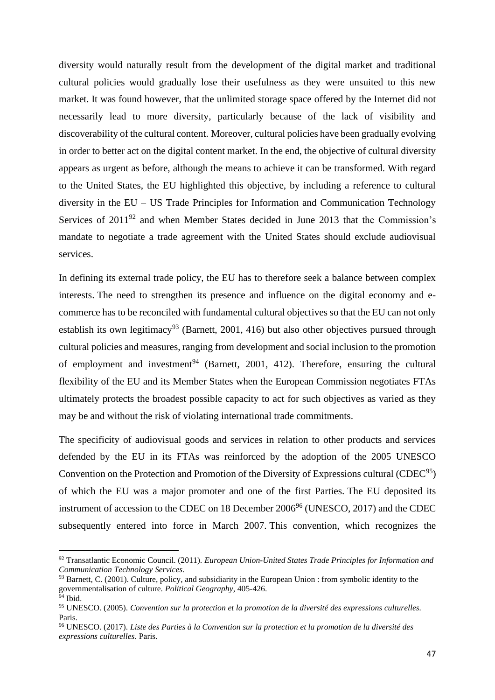diversity would naturally result from the development of the digital market and traditional cultural policies would gradually lose their usefulness as they were unsuited to this new market. It was found however, that the unlimited storage space offered by the Internet did not necessarily lead to more diversity, particularly because of the lack of visibility and discoverability of the cultural content. Moreover, cultural policies have been gradually evolving in order to better act on the digital content market. In the end, the objective of cultural diversity appears as urgent as before, although the means to achieve it can be transformed. With regard to the United States, the EU highlighted this objective, by including a reference to cultural diversity in the EU – US Trade Principles for Information and Communication Technology Services of  $2011<sup>92</sup>$  and when Member States decided in June 2013 that the Commission's mandate to negotiate a trade agreement with the United States should exclude audiovisual services.

In defining its external trade policy, the EU has to therefore seek a balance between complex interests. The need to strengthen its presence and influence on the digital economy and ecommerce has to be reconciled with fundamental cultural objectives so that the EU can not only establish its own legitimacy<sup>93</sup> (Barnett, 2001, 416) but also other objectives pursued through cultural policies and measures, ranging from development and social inclusion to the promotion of employment and investment<sup>94</sup> (Barnett, 2001, 412). Therefore, ensuring the cultural flexibility of the EU and its Member States when the European Commission negotiates FTAs ultimately protects the broadest possible capacity to act for such objectives as varied as they may be and without the risk of violating international trade commitments.

The specificity of audiovisual goods and services in relation to other products and services defended by the EU in its FTAs was reinforced by the adoption of the 2005 UNESCO Convention on the Protection and Promotion of the Diversity of Expressions cultural (CDEC<sup>95</sup>) of which the EU was a major promoter and one of the first Parties. The EU deposited its instrument of accession to the CDEC on  $18$  December  $2006<sup>96</sup>$  (UNESCO, 2017) and the CDEC subsequently entered into force in March 2007. This convention, which recognizes the

<sup>92</sup> Transatlantic Economic Council. (2011). *European Union-United States Trade Principles for Information and Communication Technology Services.*

<sup>&</sup>lt;sup>93</sup> Barnett, C. (2001). Culture, policy, and subsidiarity in the European Union : from symbolic identity to the governmentalisation of culture. *Political Geography*, 405-426.  $94$  Ibid.

<sup>95</sup> UNESCO. (2005). *Convention sur la protection et la promotion de la diversité des expressions culturelles.* Paris.

<sup>96</sup> UNESCO. (2017). *Liste des Parties à la Convention sur la protection et la promotion de la diversité des expressions culturelles.* Paris.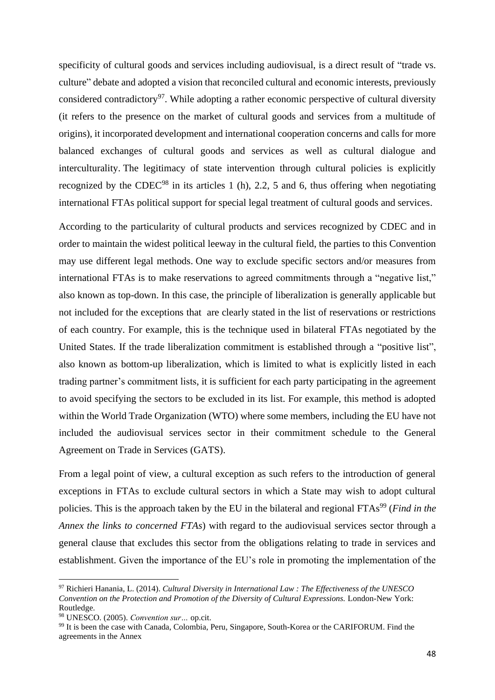specificity of cultural goods and services including audiovisual, is a direct result of "trade vs. culture" debate and adopted a vision that reconciled cultural and economic interests, previously considered contradictory<sup>97</sup>. While adopting a rather economic perspective of cultural diversity (it refers to the presence on the market of cultural goods and services from a multitude of origins), it incorporated development and international cooperation concerns and calls for more balanced exchanges of cultural goods and services as well as cultural dialogue and interculturality. The legitimacy of state intervention through cultural policies is explicitly recognized by the CDEC<sup>98</sup> in its articles 1 (h), 2.2, 5 and 6, thus offering when negotiating international FTAs political support for special legal treatment of cultural goods and services.

According to the particularity of cultural products and services recognized by CDEC and in order to maintain the widest political leeway in the cultural field, the parties to this Convention may use different legal methods. One way to exclude specific sectors and/or measures from international FTAs is to make reservations to agreed commitments through a "negative list," also known as top-down. In this case, the principle of liberalization is generally applicable but not included for the exceptions that are clearly stated in the list of reservations or restrictions of each country. For example, this is the technique used in bilateral FTAs negotiated by the United States. If the trade liberalization commitment is established through a "positive list", also known as bottom-up liberalization, which is limited to what is explicitly listed in each trading partner's commitment lists, it is sufficient for each party participating in the agreement to avoid specifying the sectors to be excluded in its list. For example, this method is adopted within the World Trade Organization (WTO) where some members, including the EU have not included the audiovisual services sector in their commitment schedule to the General Agreement on Trade in Services (GATS).

From a legal point of view, a cultural exception as such refers to the introduction of general exceptions in FTAs to exclude cultural sectors in which a State may wish to adopt cultural policies. This is the approach taken by the EU in the bilateral and regional FTAs<sup>99</sup> (*Find in the Annex the links to concerned FTAs*) with regard to the audiovisual services sector through a general clause that excludes this sector from the obligations relating to trade in services and establishment. Given the importance of the EU's role in promoting the implementation of the

<sup>97</sup> Richieri Hanania, L. (2014). *Cultural Diversity in International Law : The Effectiveness of the UNESCO Convention on the Protection and Promotion of the Diversity of Cultural Expressions.* London-New York: Routledge.

<sup>98</sup> UNESCO. (2005). *Convention sur…* op.cit.

<sup>99</sup> It is been the case with Canada, Colombia, Peru, Singapore, South-Korea or the CARIFORUM. Find the agreements in the Annex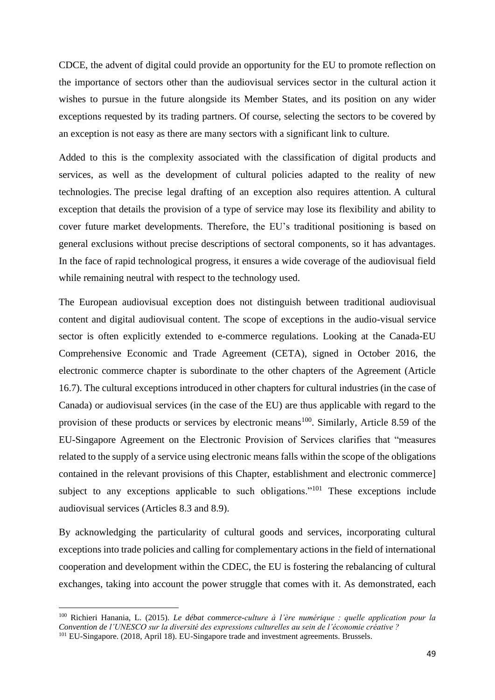CDCE, the advent of digital could provide an opportunity for the EU to promote reflection on the importance of sectors other than the audiovisual services sector in the cultural action it wishes to pursue in the future alongside its Member States, and its position on any wider exceptions requested by its trading partners. Of course, selecting the sectors to be covered by an exception is not easy as there are many sectors with a significant link to culture.

Added to this is the complexity associated with the classification of digital products and services, as well as the development of cultural policies adapted to the reality of new technologies. The precise legal drafting of an exception also requires attention. A cultural exception that details the provision of a type of service may lose its flexibility and ability to cover future market developments. Therefore, the EU's traditional positioning is based on general exclusions without precise descriptions of sectoral components, so it has advantages. In the face of rapid technological progress, it ensures a wide coverage of the audiovisual field while remaining neutral with respect to the technology used.

The European audiovisual exception does not distinguish between traditional audiovisual content and digital audiovisual content. The scope of exceptions in the audio-visual service sector is often explicitly extended to e-commerce regulations. Looking at the Canada-EU Comprehensive Economic and Trade Agreement (CETA), signed in October 2016, the electronic commerce chapter is subordinate to the other chapters of the Agreement (Article 16.7). The cultural exceptions introduced in other chapters for cultural industries (in the case of Canada) or audiovisual services (in the case of the EU) are thus applicable with regard to the provision of these products or services by electronic means<sup>100</sup>. Similarly, Article 8.59 of the EU-Singapore Agreement on the Electronic Provision of Services clarifies that "measures related to the supply of a service using electronic means falls within the scope of the obligations contained in the relevant provisions of this Chapter, establishment and electronic commerce] subject to any exceptions applicable to such obligations."<sup>101</sup> These exceptions include audiovisual services (Articles 8.3 and 8.9).

By acknowledging the particularity of cultural goods and services, incorporating cultural exceptions into trade policies and calling for complementary actions in the field of international cooperation and development within the CDEC, the EU is fostering the rebalancing of cultural exchanges, taking into account the power struggle that comes with it. As demonstrated, each

<sup>100</sup> Richieri Hanania, L. (2015). *Le débat commerce-culture à l'ère numérique : quelle application pour la Convention de l'UNESCO sur la diversité des expressions culturelles au sein de l'économie créative ?* <sup>101</sup> EU-Singapore. (2018, April 18). EU-Singapore trade and investment agreements. Brussels.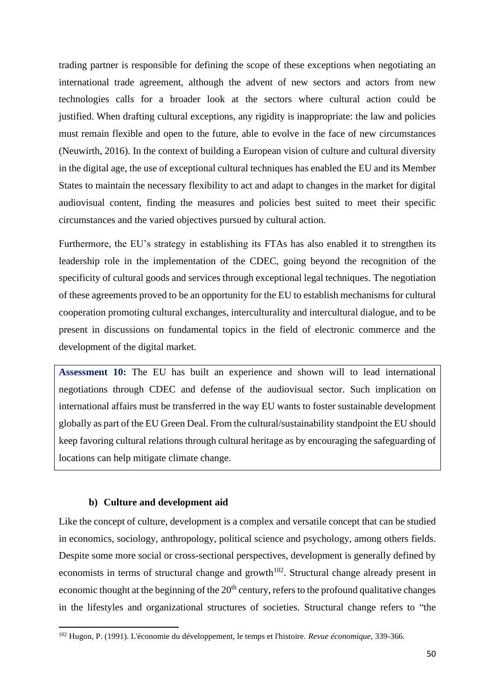trading partner is responsible for defining the scope of these exceptions when negotiating an international trade agreement, although the advent of new sectors and actors from new technologies calls for a broader look at the sectors where cultural action could be justified. When drafting cultural exceptions, any rigidity is inappropriate: the law and policies must remain flexible and open to the future, able to evolve in the face of new circumstances (Neuwirth, 2016). In the context of building a European vision of culture and cultural diversity in the digital age, the use of exceptional cultural techniques has enabled the EU and its Member States to maintain the necessary flexibility to act and adapt to changes in the market for digital audiovisual content, finding the measures and policies best suited to meet their specific circumstances and the varied objectives pursued by cultural action.

Furthermore, the EU's strategy in establishing its FTAs has also enabled it to strengthen its leadership role in the implementation of the CDEC, going beyond the recognition of the specificity of cultural goods and services through exceptional legal techniques. The negotiation of these agreements proved to be an opportunity for the EU to establish mechanisms for cultural cooperation promoting cultural exchanges, interculturality and intercultural dialogue, and to be present in discussions on fundamental topics in the field of electronic commerce and the development of the digital market.

**Assessment 10:** The EU has built an experience and shown will to lead international negotiations through CDEC and defense of the audiovisual sector. Such implication on international affairs must be transferred in the way EU wants to foster sustainable development globally as part of the EU Green Deal. From the cultural/sustainability standpoint the EU should keep favoring cultural relations through cultural heritage as by encouraging the safeguarding of locations can help mitigate climate change.

#### **b) Culture and development aid**

Like the concept of culture, development is a complex and versatile concept that can be studied in economics, sociology, anthropology, political science and psychology, among others fields. Despite some more social or cross-sectional perspectives, development is generally defined by economists in terms of structural change and growth<sup> $102$ </sup>. Structural change already present in economic thought at the beginning of the  $20<sup>th</sup>$  century, refers to the profound qualitative changes in the lifestyles and organizational structures of societies. Structural change refers to "the

<sup>102</sup> Hugon, P. (1991). L'économie du développement, le temps et l'histoire. *Revue économique*, 339-366.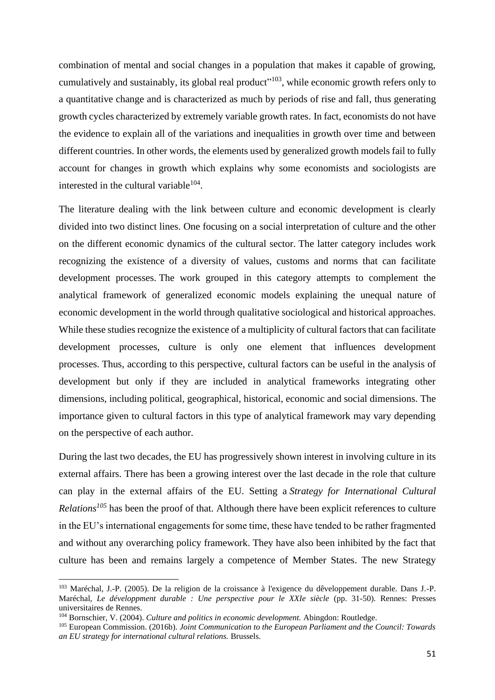combination of mental and social changes in a population that makes it capable of growing, cumulatively and sustainably, its global real product"<sup>103</sup>, while economic growth refers only to a quantitative change and is characterized as much by periods of rise and fall, thus generating growth cycles characterized by extremely variable growth rates. In fact, economists do not have the evidence to explain all of the variations and inequalities in growth over time and between different countries. In other words, the elements used by generalized growth models fail to fully account for changes in growth which explains why some economists and sociologists are interested in the cultural variable $104$ .

The literature dealing with the link between culture and economic development is clearly divided into two distinct lines. One focusing on a social interpretation of culture and the other on the different economic dynamics of the cultural sector. The latter category includes work recognizing the existence of a diversity of values, customs and norms that can facilitate development processes. The work grouped in this category attempts to complement the analytical framework of generalized economic models explaining the unequal nature of economic development in the world through qualitative sociological and historical approaches. While these studies recognize the existence of a multiplicity of cultural factors that can facilitate development processes, culture is only one element that influences development processes. Thus, according to this perspective, cultural factors can be useful in the analysis of development but only if they are included in analytical frameworks integrating other dimensions, including political, geographical, historical, economic and social dimensions. The importance given to cultural factors in this type of analytical framework may vary depending on the perspective of each author.

During the last two decades, the EU has progressively shown interest in involving culture in its external affairs. There has been a growing interest over the last decade in the role that culture can play in the external affairs of the EU. Setting a *Strategy for International Cultural Relations<sup>105</sup>* has been the proof of that. Although there have been explicit references to culture in the EU's international engagements for some time, these have tended to be rather fragmented and without any overarching policy framework. They have also been inhibited by the fact that culture has been and remains largely a competence of Member States. The new Strategy

<sup>103</sup> Maréchal, J.-P. (2005). De la religion de la croissance à l'exigence du dêveloppement durable. Dans J.-P. Maréchal, *Le développment durable : Une perspective pour le XXIe siècle* (pp. 31-50). Rennes: Presses universitaires de Rennes.

<sup>104</sup> Bornschier, V. (2004). *Culture and politics in economic development.* Abingdon: Routledge.

<sup>105</sup> European Commission. (2016b). *Joint Communication to the European Parliament and the Council: Towards an EU strategy for international cultural relations.* Brussels.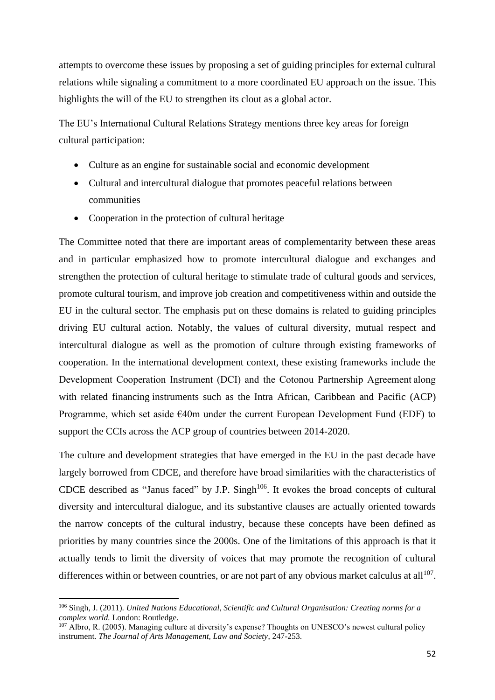attempts to overcome these issues by proposing a set of guiding principles for external cultural relations while signaling a commitment to a more coordinated EU approach on the issue. This highlights the will of the EU to strengthen its clout as a global actor.

The EU's International Cultural Relations Strategy mentions three key areas for foreign cultural participation:

- Culture as an engine for sustainable social and economic development
- Cultural and intercultural dialogue that promotes peaceful relations between communities
- Cooperation in the protection of cultural heritage

The Committee noted that there are important areas of complementarity between these areas and in particular emphasized how to promote intercultural dialogue and exchanges and strengthen the protection of cultural heritage to stimulate trade of cultural goods and services, promote cultural tourism, and improve job creation and competitiveness within and outside the EU in the cultural sector. The emphasis put on these domains is related to guiding principles driving EU cultural action. Notably, the values of cultural diversity, mutual respect and intercultural dialogue as well as the promotion of culture through existing frameworks of cooperation. In the international development context, these existing frameworks include the Development Cooperation Instrument (DCI) and the Cotonou Partnership Agreement along with related financing instruments such as the Intra African, Caribbean and Pacific (ACP) Programme, which set aside €40m under the current European Development Fund (EDF) to support the CCIs across the ACP group of countries between 2014-2020.

The culture and development strategies that have emerged in the EU in the past decade have largely borrowed from CDCE, and therefore have broad similarities with the characteristics of CDCE described as "Janus faced" by J.P. Singh<sup>106</sup>. It evokes the broad concepts of cultural diversity and intercultural dialogue, and its substantive clauses are actually oriented towards the narrow concepts of the cultural industry, because these concepts have been defined as priorities by many countries since the 2000s. One of the limitations of this approach is that it actually tends to limit the diversity of voices that may promote the recognition of cultural differences within or between countries, or are not part of any obvious market calculus at all<sup>107</sup>.

<sup>106</sup> Singh, J. (2011). *United Nations Educational, Scientific and Cultural Organisation: Creating norms for a complex world.* London: Routledge.

<sup>107</sup> Albro, R. (2005). Managing culture at diversity's expense? Thoughts on UNESCO's newest cultural policy instrument. *The Journal of Arts Management, Law and Society*, 247-253.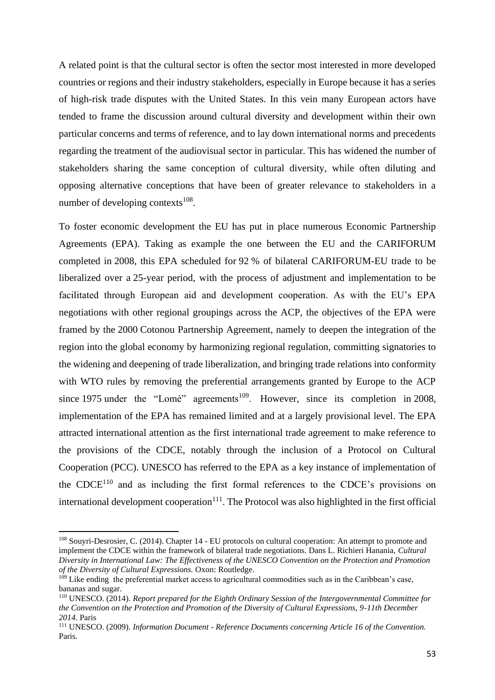A related point is that the cultural sector is often the sector most interested in more developed countries or regions and their industry stakeholders, especially in Europe because it has a series of high-risk trade disputes with the United States. In this vein many European actors have tended to frame the discussion around cultural diversity and development within their own particular concerns and terms of reference, and to lay down international norms and precedents regarding the treatment of the audiovisual sector in particular. This has widened the number of stakeholders sharing the same conception of cultural diversity, while often diluting and opposing alternative conceptions that have been of greater relevance to stakeholders in a number of developing contexts $108$ .

To foster economic development the EU has put in place numerous Economic Partnership Agreements (EPA). Taking as example the one between the EU and the CARIFORUM completed in 2008, this EPA scheduled for 92 % of bilateral CARIFORUM-EU trade to be liberalized over a 25-year period, with the process of adjustment and implementation to be facilitated through European aid and development cooperation. As with the EU's EPA negotiations with other regional groupings across the ACP, the objectives of the EPA were framed by the 2000 Cotonou Partnership Agreement, namely to deepen the integration of the region into the global economy by harmonizing regional regulation, committing signatories to the widening and deepening of trade liberalization, and bringing trade relations into conformity with WTO rules by removing the preferential arrangements granted by Europe to the ACP since 1975 under the "Lomé" agreements<sup>109</sup>. However, since its completion in 2008, implementation of the EPA has remained limited and at a largely provisional level. The EPA attracted international attention as the first international trade agreement to make reference to the provisions of the CDCE, notably through the inclusion of a Protocol on Cultural Cooperation (PCC). UNESCO has referred to the EPA as a key instance of implementation of the  $\text{CDCF}^{110}$  and as including the first formal references to the CDCE's provisions on international development cooperation $111$ . The Protocol was also highlighted in the first official

<sup>108</sup> Souyri-Desrosier, C. (2014). Chapter 14 - EU protocols on cultural cooperation: An attempt to promote and implement the CDCE within the framework of bilateral trade negotiations. Dans L. Richieri Hanania, *Cultural Diversity in International Law: The Effectiveness of the UNESCO Convention on the Protection and Promotion of the Diversity of Cultural Expressions.* Oxon: Routledge.

 $109$  Like ending the preferential market access to agricultural commodities such as in the Caribbean's case, bananas and sugar.

<sup>110</sup> UNESCO. (2014). *Report prepared for the Eighth Ordinary Session of the Intergovernmental Committee for the Convention on the Protection and Promotion of the Diversity of Cultural Expressions, 9-11th December 2014.* Paris

<sup>111</sup> UNESCO. (2009). *Information Document - Reference Documents concerning Article 16 of the Convention.* Paris.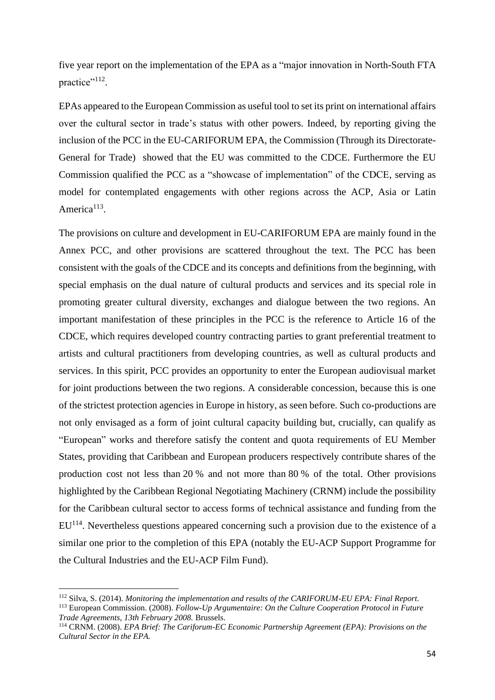five year report on the implementation of the EPA as a "major innovation in North-South FTA practice"<sup>112</sup>.

EPAs appeared to the European Commission as useful tool to set its print on international affairs over the cultural sector in trade's status with other powers. Indeed, by reporting giving the inclusion of the PCC in the EU-CARIFORUM EPA, the Commission (Through its Directorate-General for Trade) showed that the EU was committed to the CDCE. Furthermore the EU Commission qualified the PCC as a "showcase of implementation" of the CDCE, serving as model for contemplated engagements with other regions across the ACP, Asia or Latin America<sup>113</sup>.

The provisions on culture and development in EU-CARIFORUM EPA are mainly found in the Annex PCC, and other provisions are scattered throughout the text. The PCC has been consistent with the goals of the CDCE and its concepts and definitions from the beginning, with special emphasis on the dual nature of cultural products and services and its special role in promoting greater cultural diversity, exchanges and dialogue between the two regions. An important manifestation of these principles in the PCC is the reference to Article 16 of the CDCE, which requires developed country contracting parties to grant preferential treatment to artists and cultural practitioners from developing countries, as well as cultural products and services. In this spirit, PCC provides an opportunity to enter the European audiovisual market for joint productions between the two regions. A considerable concession, because this is one of the strictest protection agencies in Europe in history, as seen before. Such co-productions are not only envisaged as a form of joint cultural capacity building but, crucially, can qualify as "European" works and therefore satisfy the content and quota requirements of EU Member States, providing that Caribbean and European producers respectively contribute shares of the production cost not less than 20 % and not more than 80 % of the total. Other provisions highlighted by the Caribbean Regional Negotiating Machinery (CRNM) include the possibility for the Caribbean cultural sector to access forms of technical assistance and funding from the EU<sup>114</sup>. Nevertheless questions appeared concerning such a provision due to the existence of a similar one prior to the completion of this EPA (notably the EU-ACP Support Programme for the Cultural Industries and the EU-ACP Film Fund).

<sup>112</sup> Silva, S. (2014). *Monitoring the implementation and results of the CARIFORUM-EU EPA: Final Report.* <sup>113</sup> European Commission. (2008). *Follow-Up Argumentaire: On the Culture Cooperation Protocol in Future Trade Agreements, 13th February 2008.* Brussels.

<sup>114</sup> CRNM. (2008). *EPA Brief: The Cariforum-EC Economic Partnership Agreement (EPA): Provisions on the Cultural Sector in the EPA.*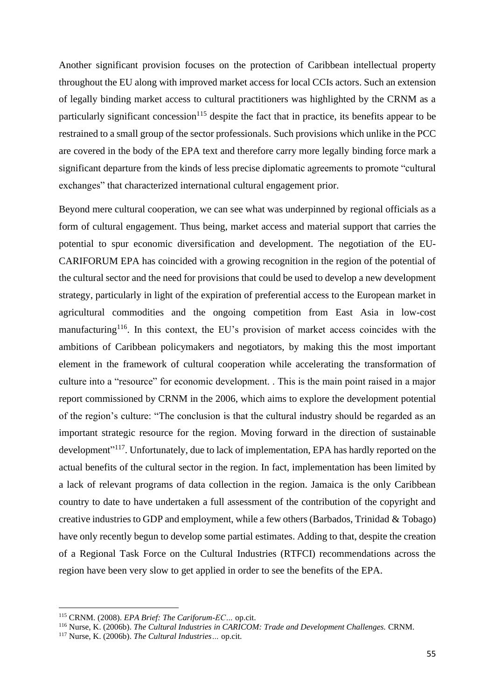Another significant provision focuses on the protection of Caribbean intellectual property throughout the EU along with improved market access for local CCIs actors. Such an extension of legally binding market access to cultural practitioners was highlighted by the CRNM as a particularly significant concession<sup>115</sup> despite the fact that in practice, its benefits appear to be restrained to a small group of the sector professionals. Such provisions which unlike in the PCC are covered in the body of the EPA text and therefore carry more legally binding force mark a significant departure from the kinds of less precise diplomatic agreements to promote "cultural exchanges" that characterized international cultural engagement prior.

Beyond mere cultural cooperation, we can see what was underpinned by regional officials as a form of cultural engagement. Thus being, market access and material support that carries the potential to spur economic diversification and development. The negotiation of the EU-CARIFORUM EPA has coincided with a growing recognition in the region of the potential of the cultural sector and the need for provisions that could be used to develop a new development strategy, particularly in light of the expiration of preferential access to the European market in agricultural commodities and the ongoing competition from East Asia in low-cost manufacturing<sup>116</sup>. In this context, the EU's provision of market access coincides with the ambitions of Caribbean policymakers and negotiators, by making this the most important element in the framework of cultural cooperation while accelerating the transformation of culture into a "resource" for economic development. . This is the main point raised in a major report commissioned by CRNM in the 2006, which aims to explore the development potential of the region's culture: "The conclusion is that the cultural industry should be regarded as an important strategic resource for the region. Moving forward in the direction of sustainable development"<sup>117</sup>. Unfortunately, due to lack of implementation, EPA has hardly reported on the actual benefits of the cultural sector in the region. In fact, implementation has been limited by a lack of relevant programs of data collection in the region. Jamaica is the only Caribbean country to date to have undertaken a full assessment of the contribution of the copyright and creative industries to GDP and employment, while a few others (Barbados, Trinidad & Tobago) have only recently begun to develop some partial estimates. Adding to that, despite the creation of a Regional Task Force on the Cultural Industries (RTFCI) recommendations across the region have been very slow to get applied in order to see the benefits of the EPA.

<sup>115</sup> CRNM. (2008). *EPA Brief: The Cariforum-EC…* op.cit.

<sup>116</sup> Nurse, K. (2006b). *The Cultural Industries in CARICOM: Trade and Development Challenges.* CRNM.

<sup>117</sup> Nurse, K. (2006b). *The Cultural Industries…* op.cit.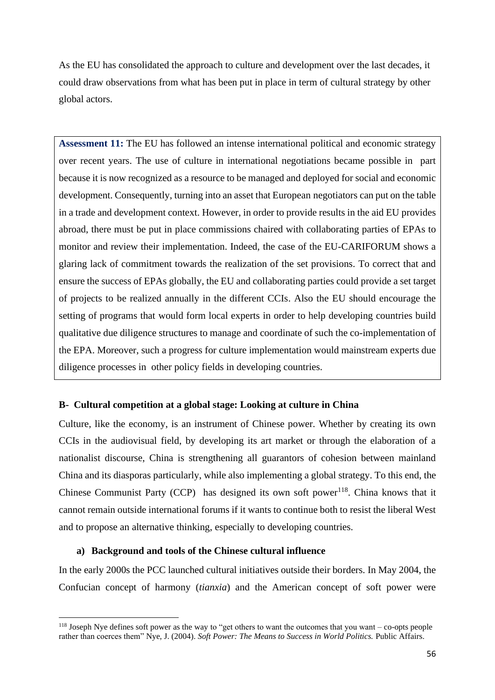As the EU has consolidated the approach to culture and development over the last decades, it could draw observations from what has been put in place in term of cultural strategy by other global actors.

**Assessment 11:** The EU has followed an intense international political and economic strategy over recent years. The use of culture in international negotiations became possible in part because it is now recognized as a resource to be managed and deployed for social and economic development. Consequently, turning into an asset that European negotiators can put on the table in a trade and development context. However, in order to provide results in the aid EU provides abroad, there must be put in place commissions chaired with collaborating parties of EPAs to monitor and review their implementation. Indeed, the case of the EU-CARIFORUM shows a glaring lack of commitment towards the realization of the set provisions. To correct that and ensure the success of EPAs globally, the EU and collaborating parties could provide a set target of projects to be realized annually in the different CCIs. Also the EU should encourage the setting of programs that would form local experts in order to help developing countries build qualitative due diligence structures to manage and coordinate of such the co-implementation of the EPA. Moreover, such a progress for culture implementation would mainstream experts due diligence processes in other policy fields in developing countries.

## **B- Cultural competition at a global stage: Looking at culture in China**

Culture, like the economy, is an instrument of Chinese power. Whether by creating its own CCIs in the audiovisual field, by developing its art market or through the elaboration of a nationalist discourse, China is strengthening all guarantors of cohesion between mainland China and its diasporas particularly, while also implementing a global strategy. To this end, the Chinese Communist Party (CCP) has designed its own soft power<sup>118</sup>. China knows that it cannot remain outside international forums if it wants to continue both to resist the liberal West and to propose an alternative thinking, especially to developing countries.

#### **a) Background and tools of the Chinese cultural influence**

In the early 2000s the PCC launched cultural initiatives outside their borders. In May 2004, the Confucian concept of harmony (*tianxia*) and the American concept of soft power were

<sup>&</sup>lt;sup>118</sup> Joseph Nye defines soft power as the way to "get others to want the outcomes that you want – co-opts people rather than coerces them" Nye, J. (2004). *Soft Power: The Means to Success in World Politics.* Public Affairs.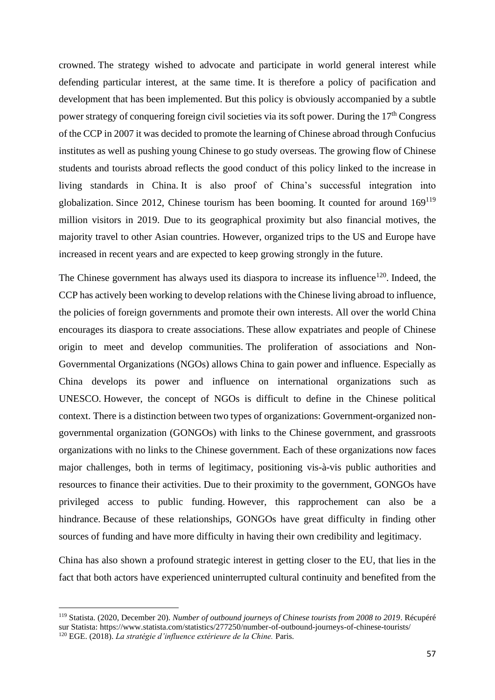crowned. The strategy wished to advocate and participate in world general interest while defending particular interest, at the same time. It is therefore a policy of pacification and development that has been implemented. But this policy is obviously accompanied by a subtle power strategy of conquering foreign civil societies via its soft power. During the 17<sup>th</sup> Congress of the CCP in 2007 it was decided to promote the learning of Chinese abroad through Confucius institutes as well as pushing young Chinese to go study overseas. The growing flow of Chinese students and tourists abroad reflects the good conduct of this policy linked to the increase in living standards in China. It is also proof of China's successful integration into globalization. Since 2012, Chinese tourism has been booming. It counted for around 169<sup>119</sup> million visitors in 2019. Due to its geographical proximity but also financial motives, the majority travel to other Asian countries. However, organized trips to the US and Europe have increased in recent years and are expected to keep growing strongly in the future.

The Chinese government has always used its diaspora to increase its influence<sup>120</sup>. Indeed, the CCP has actively been working to develop relations with the Chinese living abroad to influence, the policies of foreign governments and promote their own interests. All over the world China encourages its diaspora to create associations. These allow expatriates and people of Chinese origin to meet and develop communities. The proliferation of associations and Non-Governmental Organizations (NGOs) allows China to gain power and influence. Especially as China develops its power and influence on international organizations such as UNESCO. However, the concept of NGOs is difficult to define in the Chinese political context. There is a distinction between two types of organizations: Government-organized nongovernmental organization (GONGOs) with links to the Chinese government, and grassroots organizations with no links to the Chinese government. Each of these organizations now faces major challenges, both in terms of legitimacy, positioning vis-à-vis public authorities and resources to finance their activities. Due to their proximity to the government, GONGOs have privileged access to public funding. However, this rapprochement can also be a hindrance. Because of these relationships, GONGOs have great difficulty in finding other sources of funding and have more difficulty in having their own credibility and legitimacy.

China has also shown a profound strategic interest in getting closer to the EU, that lies in the fact that both actors have experienced uninterrupted cultural continuity and benefited from the

<sup>119</sup> Statista. (2020, December 20). *Number of outbound journeys of Chinese tourists from 2008 to 2019*. Récupéré sur Statista: https://www.statista.com/statistics/277250/number-of-outbound-journeys-of-chinese-tourists/ <sup>120</sup> EGE. (2018). *La stratégie d'influence extérieure de la Chine.* Paris.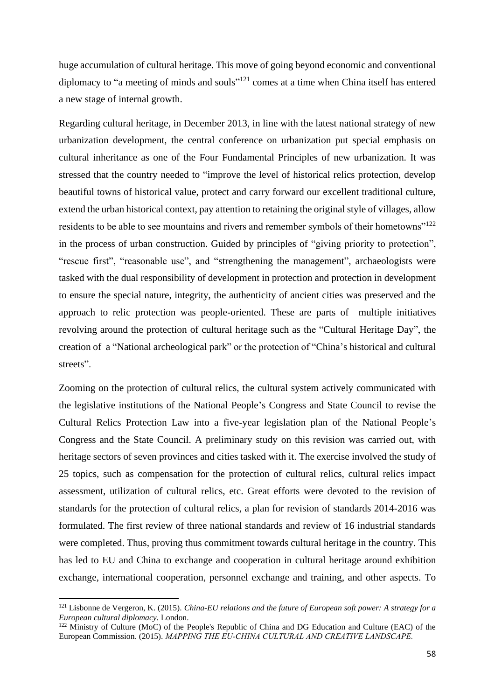huge accumulation of cultural heritage. This move of going beyond economic and conventional diplomacy to "a meeting of minds and souls"<sup>121</sup> comes at a time when China itself has entered a new stage of internal growth.

Regarding cultural heritage, in December 2013, in line with the latest national strategy of new urbanization development, the central conference on urbanization put special emphasis on cultural inheritance as one of the Four Fundamental Principles of new urbanization. It was stressed that the country needed to "improve the level of historical relics protection, develop beautiful towns of historical value, protect and carry forward our excellent traditional culture, extend the urban historical context, pay attention to retaining the original style of villages, allow residents to be able to see mountains and rivers and remember symbols of their hometowns"<sup>122</sup> in the process of urban construction. Guided by principles of "giving priority to protection", "rescue first", "reasonable use", and "strengthening the management", archaeologists were tasked with the dual responsibility of development in protection and protection in development to ensure the special nature, integrity, the authenticity of ancient cities was preserved and the approach to relic protection was people-oriented. These are parts of multiple initiatives revolving around the protection of cultural heritage such as the "Cultural Heritage Day", the creation of a "National archeological park" or the protection of "China's historical and cultural streets".

Zooming on the protection of cultural relics, the cultural system actively communicated with the legislative institutions of the National People's Congress and State Council to revise the Cultural Relics Protection Law into a five-year legislation plan of the National People's Congress and the State Council. A preliminary study on this revision was carried out, with heritage sectors of seven provinces and cities tasked with it. The exercise involved the study of 25 topics, such as compensation for the protection of cultural relics, cultural relics impact assessment, utilization of cultural relics, etc. Great efforts were devoted to the revision of standards for the protection of cultural relics, a plan for revision of standards 2014-2016 was formulated. The first review of three national standards and review of 16 industrial standards were completed. Thus, proving thus commitment towards cultural heritage in the country. This has led to EU and China to exchange and cooperation in cultural heritage around exhibition exchange, international cooperation, personnel exchange and training, and other aspects. To

<sup>121</sup> Lisbonne de Vergeron, K. (2015). *China-EU relations and the future of European soft power: A strategy for a European cultural diplomacy.* London.

<sup>&</sup>lt;sup>122</sup> Ministry of Culture (MoC) of the People's Republic of China and DG Education and Culture (EAC) of the European Commission. (2015). *MAPPING THE EU‐CHINA CULTURAL AND CREATIVE LANDSCAPE.*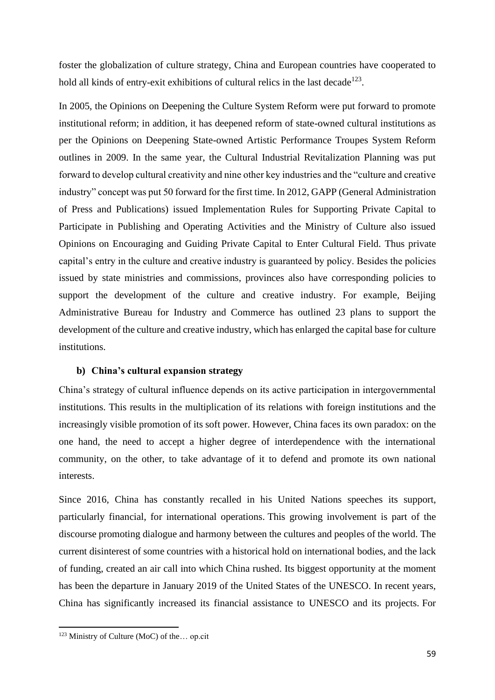foster the globalization of culture strategy, China and European countries have cooperated to hold all kinds of entry-exit exhibitions of cultural relics in the last decade<sup>123</sup>.

In 2005, the Opinions on Deepening the Culture System Reform were put forward to promote institutional reform; in addition, it has deepened reform of state-owned cultural institutions as per the Opinions on Deepening State-owned Artistic Performance Troupes System Reform outlines in 2009. In the same year, the Cultural Industrial Revitalization Planning was put forward to develop cultural creativity and nine other key industries and the "culture and creative industry" concept was put 50 forward for the first time. In 2012, GAPP (General Administration of Press and Publications) issued Implementation Rules for Supporting Private Capital to Participate in Publishing and Operating Activities and the Ministry of Culture also issued Opinions on Encouraging and Guiding Private Capital to Enter Cultural Field. Thus private capital's entry in the culture and creative industry is guaranteed by policy. Besides the policies issued by state ministries and commissions, provinces also have corresponding policies to support the development of the culture and creative industry. For example, Beijing Administrative Bureau for Industry and Commerce has outlined 23 plans to support the development of the culture and creative industry, which has enlarged the capital base for culture institutions.

#### **b) China's cultural expansion strategy**

China's strategy of cultural influence depends on its active participation in intergovernmental institutions. This results in the multiplication of its relations with foreign institutions and the increasingly visible promotion of its soft power. However, China faces its own paradox: on the one hand, the need to accept a higher degree of interdependence with the international community, on the other, to take advantage of it to defend and promote its own national interests.

Since 2016, China has constantly recalled in his United Nations speeches its support, particularly financial, for international operations. This growing involvement is part of the discourse promoting dialogue and harmony between the cultures and peoples of the world. The current disinterest of some countries with a historical hold on international bodies, and the lack of funding, created an air call into which China rushed. Its biggest opportunity at the moment has been the departure in January 2019 of the United States of the UNESCO. In recent years, China has significantly increased its financial assistance to UNESCO and its projects. For

<sup>123</sup> Ministry of Culture (MoC) of the… op.cit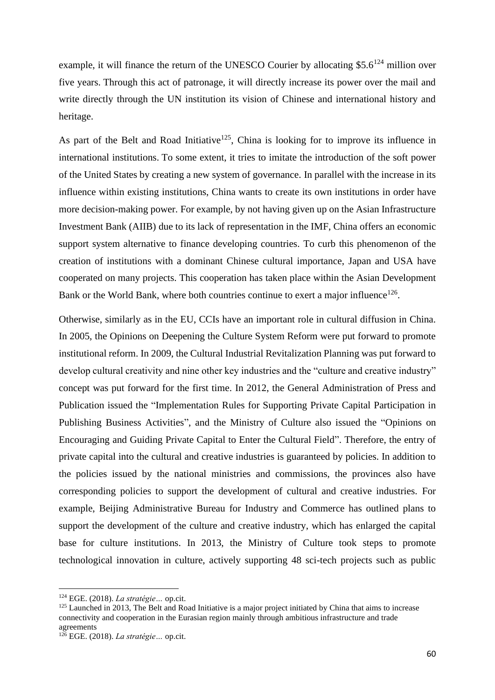example, it will finance the return of the UNESCO Courier by allocating  $$5.6^{124}$  million over five years. Through this act of patronage, it will directly increase its power over the mail and write directly through the UN institution its vision of Chinese and international history and heritage.

As part of the Belt and Road Initiative<sup>125</sup>, China is looking for to improve its influence in international institutions. To some extent, it tries to imitate the introduction of the soft power of the United States by creating a new system of governance. In parallel with the increase in its influence within existing institutions, China wants to create its own institutions in order have more decision-making power. For example, by not having given up on the Asian Infrastructure Investment Bank (AIIB) due to its lack of representation in the IMF, China offers an economic support system alternative to finance developing countries. To curb this phenomenon of the creation of institutions with a dominant Chinese cultural importance, Japan and USA have cooperated on many projects. This cooperation has taken place within the Asian Development Bank or the World Bank, where both countries continue to exert a major influence  $126$ .

Otherwise, similarly as in the EU, CCIs have an important role in cultural diffusion in China. In 2005, the Opinions on Deepening the Culture System Reform were put forward to promote institutional reform. In 2009, the Cultural Industrial Revitalization Planning was put forward to develop cultural creativity and nine other key industries and the "culture and creative industry" concept was put forward for the first time. In 2012, the General Administration of Press and Publication issued the "Implementation Rules for Supporting Private Capital Participation in Publishing Business Activities", and the Ministry of Culture also issued the "Opinions on Encouraging and Guiding Private Capital to Enter the Cultural Field". Therefore, the entry of private capital into the cultural and creative industries is guaranteed by policies. In addition to the policies issued by the national ministries and commissions, the provinces also have corresponding policies to support the development of cultural and creative industries. For example, Beijing Administrative Bureau for Industry and Commerce has outlined plans to support the development of the culture and creative industry, which has enlarged the capital base for culture institutions. In 2013, the Ministry of Culture took steps to promote technological innovation in culture, actively supporting 48 sci-tech projects such as public

<sup>124</sup> EGE. (2018). *La stratégie…* op.cit.

<sup>&</sup>lt;sup>125</sup> Launched in 2013, The Belt and Road Initiative is a major project initiated by China that aims to increase connectivity and cooperation in the Eurasian region mainly through ambitious infrastructure and trade agreements

<sup>126</sup> EGE. (2018). *La stratégie…* op.cit.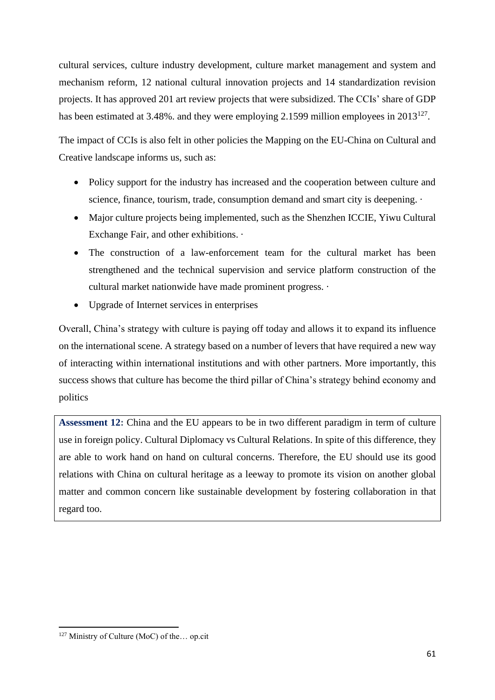cultural services, culture industry development, culture market management and system and mechanism reform, 12 national cultural innovation projects and 14 standardization revision projects. It has approved 201 art review projects that were subsidized. The CCIs' share of GDP has been estimated at 3.48%, and they were employing 2.1599 million employees in  $2013^{127}$ .

The impact of CCIs is also felt in other policies the Mapping on the EU-China on Cultural and Creative landscape informs us, such as:

- Policy support for the industry has increased and the cooperation between culture and science, finance, tourism, trade, consumption demand and smart city is deepening.  $\cdot$
- Major culture projects being implemented, such as the Shenzhen ICCIE, Yiwu Cultural Exchange Fair, and other exhibitions. ·
- The construction of a law-enforcement team for the cultural market has been strengthened and the technical supervision and service platform construction of the cultural market nationwide have made prominent progress. ·
- Upgrade of Internet services in enterprises

Overall, China's strategy with culture is paying off today and allows it to expand its influence on the international scene. A strategy based on a number of levers that have required a new way of interacting within international institutions and with other partners. More importantly, this success shows that culture has become the third pillar of China's strategy behind economy and politics

**Assessment 12:** China and the EU appears to be in two different paradigm in term of culture use in foreign policy. Cultural Diplomacy vs Cultural Relations. In spite of this difference, they are able to work hand on hand on cultural concerns. Therefore, the EU should use its good relations with China on cultural heritage as a leeway to promote its vision on another global matter and common concern like sustainable development by fostering collaboration in that regard too.

<sup>127</sup> Ministry of Culture (MoC) of the… op.cit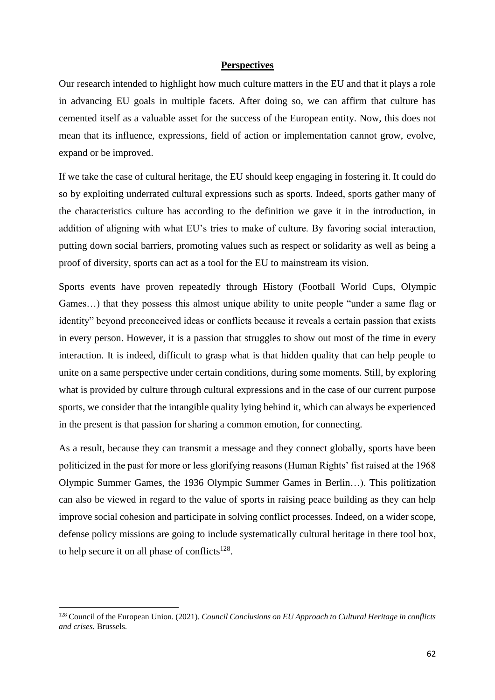#### **Perspectives**

Our research intended to highlight how much culture matters in the EU and that it plays a role in advancing EU goals in multiple facets. After doing so, we can affirm that culture has cemented itself as a valuable asset for the success of the European entity. Now, this does not mean that its influence, expressions, field of action or implementation cannot grow, evolve, expand or be improved.

If we take the case of cultural heritage, the EU should keep engaging in fostering it. It could do so by exploiting underrated cultural expressions such as sports. Indeed, sports gather many of the characteristics culture has according to the definition we gave it in the introduction, in addition of aligning with what EU's tries to make of culture. By favoring social interaction, putting down social barriers, promoting values such as respect or solidarity as well as being a proof of diversity, sports can act as a tool for the EU to mainstream its vision.

Sports events have proven repeatedly through History (Football World Cups, Olympic Games…) that they possess this almost unique ability to unite people "under a same flag or identity" beyond preconceived ideas or conflicts because it reveals a certain passion that exists in every person. However, it is a passion that struggles to show out most of the time in every interaction. It is indeed, difficult to grasp what is that hidden quality that can help people to unite on a same perspective under certain conditions, during some moments. Still, by exploring what is provided by culture through cultural expressions and in the case of our current purpose sports, we consider that the intangible quality lying behind it, which can always be experienced in the present is that passion for sharing a common emotion, for connecting.

As a result, because they can transmit a message and they connect globally, sports have been politicized in the past for more or less glorifying reasons (Human Rights' fist raised at the 1968 Olympic Summer Games, the 1936 Olympic Summer Games in Berlin…). This politization can also be viewed in regard to the value of sports in raising peace building as they can help improve social cohesion and participate in solving conflict processes. Indeed, on a wider scope, defense policy missions are going to include systematically cultural heritage in there tool box, to help secure it on all phase of conflicts $128$ .

<sup>128</sup> Council of the European Union. (2021). *Council Conclusions on EU Approach to Cultural Heritage in conflicts and crises.* Brussels.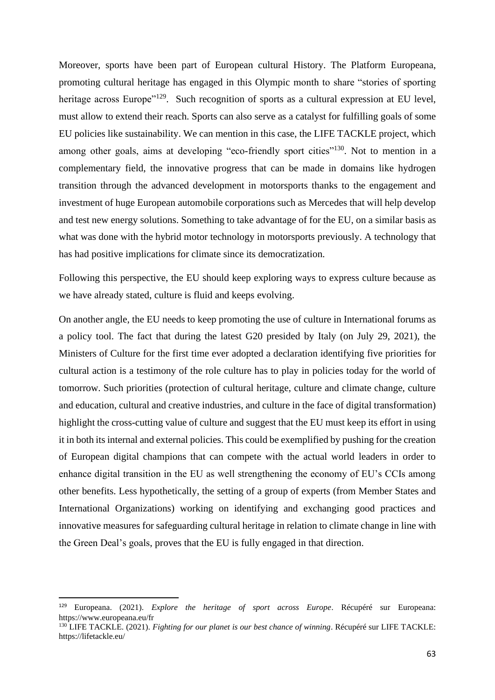Moreover, sports have been part of European cultural History. The Platform Europeana, promoting cultural heritage has engaged in this Olympic month to share "stories of sporting heritage across Europe"<sup>129</sup>. Such recognition of sports as a cultural expression at EU level, must allow to extend their reach. Sports can also serve as a catalyst for fulfilling goals of some EU policies like sustainability. We can mention in this case, the LIFE TACKLE project, which among other goals, aims at developing "eco-friendly sport cities"<sup>130</sup>. Not to mention in a complementary field, the innovative progress that can be made in domains like hydrogen transition through the advanced development in motorsports thanks to the engagement and investment of huge European automobile corporations such as Mercedes that will help develop and test new energy solutions. Something to take advantage of for the EU, on a similar basis as what was done with the hybrid motor technology in motorsports previously. A technology that has had positive implications for climate since its democratization.

Following this perspective, the EU should keep exploring ways to express culture because as we have already stated, culture is fluid and keeps evolving.

On another angle, the EU needs to keep promoting the use of culture in International forums as a policy tool. The fact that during the latest G20 presided by Italy (on July 29, 2021), the Ministers of Culture for the first time ever adopted a declaration identifying five priorities for cultural action is a testimony of the role culture has to play in policies today for the world of tomorrow. Such priorities (protection of cultural heritage, culture and climate change, culture and education, cultural and creative industries, and culture in the face of digital transformation) highlight the cross-cutting value of culture and suggest that the EU must keep its effort in using it in both its internal and external policies. This could be exemplified by pushing for the creation of European digital champions that can compete with the actual world leaders in order to enhance digital transition in the EU as well strengthening the economy of EU's CCIs among other benefits. Less hypothetically, the setting of a group of experts (from Member States and International Organizations) working on identifying and exchanging good practices and innovative measures for safeguarding cultural heritage in relation to climate change in line with the Green Deal's goals, proves that the EU is fully engaged in that direction.

<sup>129</sup> Europeana. (2021). *Explore the heritage of sport across Europe*. Récupéré sur Europeana: https://www.europeana.eu/fr

<sup>130</sup> LIFE TACKLE. (2021). *Fighting for our planet is our best chance of winning*. Récupéré sur LIFE TACKLE: https://lifetackle.eu/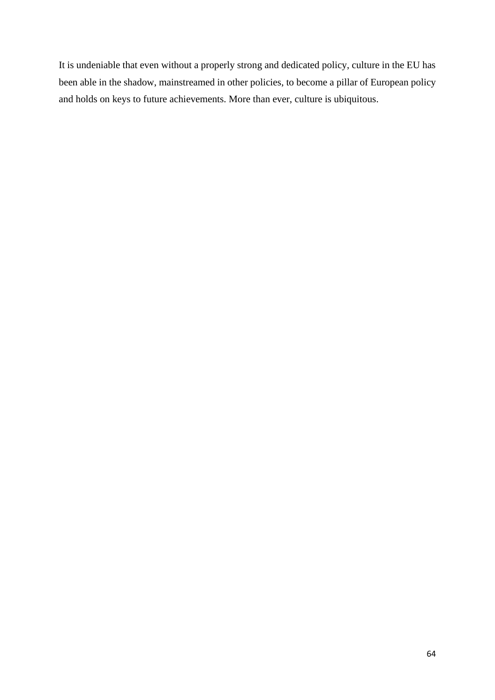It is undeniable that even without a properly strong and dedicated policy, culture in the EU has been able in the shadow, mainstreamed in other policies, to become a pillar of European policy and holds on keys to future achievements. More than ever, culture is ubiquitous.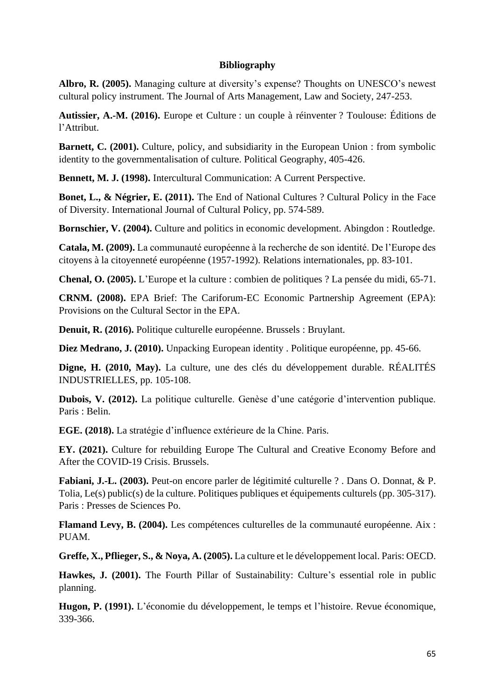### **Bibliography**

**Albro, R. (2005).** Managing culture at diversity's expense? Thoughts on UNESCO's newest cultural policy instrument. The Journal of Arts Management, Law and Society, 247-253.

**Autissier, A.-M. (2016).** Europe et Culture : un couple à réinventer ? Toulouse: Éditions de l'Attribut.

**Barnett, C. (2001).** Culture, policy, and subsidiarity in the European Union : from symbolic identity to the governmentalisation of culture. Political Geography, 405-426.

**Bennett, M. J. (1998).** Intercultural Communication: A Current Perspective.

**Bonet, L., & Négrier, E. (2011).** The End of National Cultures ? Cultural Policy in the Face of Diversity. International Journal of Cultural Policy, pp. 574-589.

**Bornschier, V. (2004).** Culture and politics in economic development. Abingdon : Routledge.

**Catala, M. (2009).** La communauté européenne à la recherche de son identité. De l'Europe des citoyens à la citoyenneté européenne (1957-1992). Relations internationales, pp. 83-101.

**Chenal, O. (2005).** L'Europe et la culture : combien de politiques ? La pensée du midi, 65-71.

**CRNM. (2008).** EPA Brief: The Cariforum-EC Economic Partnership Agreement (EPA): Provisions on the Cultural Sector in the EPA.

**Denuit, R. (2016).** Politique culturelle européenne. Brussels : Bruylant.

**Diez Medrano, J. (2010).** Unpacking European identity . Politique européenne, pp. 45-66.

**Digne, H. (2010, May).** La culture, une des clés du développement durable. RÉALITÉS INDUSTRIELLES, pp. 105-108.

**Dubois, V. (2012).** La politique culturelle. Genèse d'une catégorie d'intervention publique. Paris : Belin.

**EGE. (2018).** La stratégie d'influence extérieure de la Chine. Paris.

**EY. (2021).** Culture for rebuilding Europe The Cultural and Creative Economy Before and After the COVID-19 Crisis. Brussels.

**Fabiani, J.-L. (2003).** Peut-on encore parler de légitimité culturelle ? . Dans O. Donnat, & P. Tolia, Le(s) public(s) de la culture. Politiques publiques et équipements culturels (pp. 305-317). Paris : Presses de Sciences Po.

**Flamand Levy, B. (2004).** Les compétences culturelles de la communauté européenne. Aix : PUAM.

**Greffe, X., Pflieger, S., & Noya, A. (2005).** La culture et le développement local. Paris: OECD.

**Hawkes, J. (2001).** The Fourth Pillar of Sustainability: Culture's essential role in public planning.

Hugon, P. (1991). L'économie du développement, le temps et l'histoire. Revue économique, 339-366.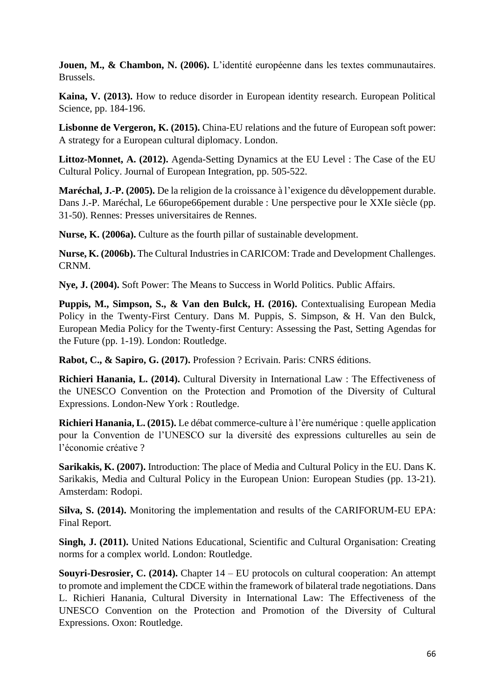**Jouen, M., & Chambon, N. (2006).** L'identité européenne dans les textes communautaires. Brussels.

**Kaina, V. (2013).** How to reduce disorder in European identity research. European Political Science, pp. 184-196.

**Lisbonne de Vergeron, K. (2015).** China-EU relations and the future of European soft power: A strategy for a European cultural diplomacy. London.

**Littoz-Monnet, A. (2012).** Agenda-Setting Dynamics at the EU Level : The Case of the EU Cultural Policy. Journal of European Integration, pp. 505-522.

**Maréchal, J.-P. (2005).** De la religion de la croissance à l'exigence du dêveloppement durable. Dans J.-P. Maréchal, Le 66urope66pement durable : Une perspective pour le XXIe siècle (pp. 31-50). Rennes: Presses universitaires de Rennes.

**Nurse, K. (2006a).** Culture as the fourth pillar of sustainable development.

**Nurse, K. (2006b).** The Cultural Industries in CARICOM: Trade and Development Challenges. CRNM.

**Nye, J. (2004).** Soft Power: The Means to Success in World Politics. Public Affairs.

**Puppis, M., Simpson, S., & Van den Bulck, H. (2016).** Contextualising European Media Policy in the Twenty-First Century. Dans M. Puppis, S. Simpson, & H. Van den Bulck, European Media Policy for the Twenty-first Century: Assessing the Past, Setting Agendas for the Future (pp. 1-19). London: Routledge.

**Rabot, C., & Sapiro, G. (2017).** Profession ? Ecrivain. Paris: CNRS éditions.

**Richieri Hanania, L. (2014).** Cultural Diversity in International Law : The Effectiveness of the UNESCO Convention on the Protection and Promotion of the Diversity of Cultural Expressions. London-New York : Routledge.

**Richieri Hanania, L. (2015).** Le débat commerce-culture à l'ère numérique : quelle application pour la Convention de l'UNESCO sur la diversité des expressions culturelles au sein de l'économie créative ?

**Sarikakis, K. (2007).** Introduction: The place of Media and Cultural Policy in the EU. Dans K. Sarikakis, Media and Cultural Policy in the European Union: European Studies (pp. 13-21). Amsterdam: Rodopi.

**Silva, S. (2014).** Monitoring the implementation and results of the CARIFORUM-EU EPA: Final Report.

**Singh, J. (2011).** United Nations Educational, Scientific and Cultural Organisation: Creating norms for a complex world. London: Routledge.

**Souyri-Desrosier, C. (2014).** Chapter 14 – EU protocols on cultural cooperation: An attempt to promote and implement the CDCE within the framework of bilateral trade negotiations. Dans L. Richieri Hanania, Cultural Diversity in International Law: The Effectiveness of the UNESCO Convention on the Protection and Promotion of the Diversity of Cultural Expressions. Oxon: Routledge.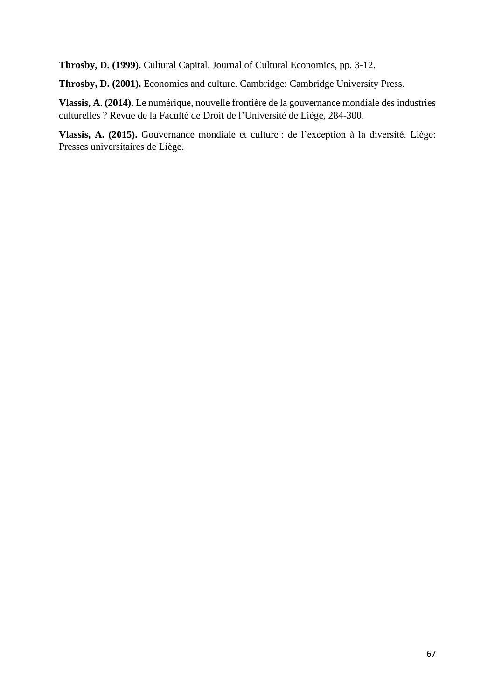**Throsby, D. (1999).** Cultural Capital. Journal of Cultural Economics, pp. 3-12.

**Throsby, D. (2001).** Economics and culture. Cambridge: Cambridge University Press.

**Vlassis, A. (2014).** Le numérique, nouvelle frontière de la gouvernance mondiale des industries culturelles ? Revue de la Faculté de Droit de l'Université de Liège, 284-300.

**Vlassis, A. (2015).** Gouvernance mondiale et culture : de l'exception à la diversité. Liège: Presses universitaires de Liège.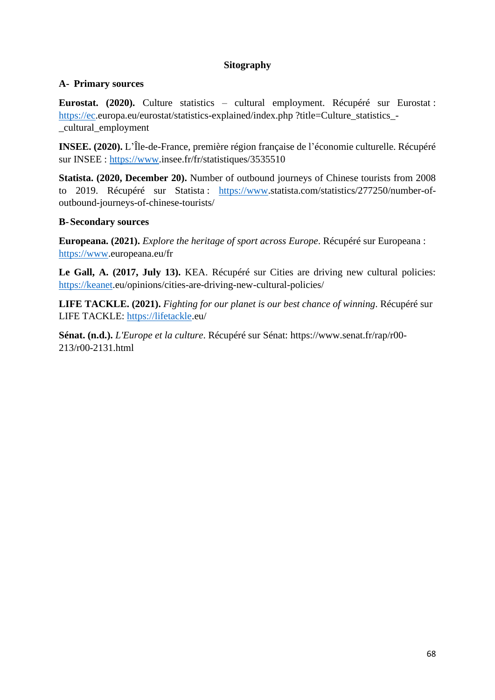## **Sitography**

## **A- Primary sources**

**Eurostat. (2020).** Culture statistics – cultural employment. Récupéré sur Eurostat : [https://ec.](https://ec/)europa.eu/eurostat/statistics-explained/index.php ?title=Culture\_statistics -\_cultural\_employment

**INSEE. (2020).** L'Île-de-France, première région française de l'économie culturelle. Récupéré sur INSEE : [https://www.](https://www/)insee.fr/fr/statistiques/3535510

**Statista. (2020, December 20).** Number of outbound journeys of Chinese tourists from 2008 to 2019. Récupéré sur Statista : [https://www.](https://www/)statista.com/statistics/277250/number-ofoutbound-journeys-of-chinese-tourists/

## **B-Secondary sources**

**Europeana. (2021).** *Explore the heritage of sport across Europe*. Récupéré sur Europeana : [https://www.](https://www/)europeana.eu/fr

**Le Gall, A. (2017, July 13).** KEA. Récupéré sur Cities are driving new cultural policies: [https://keanet.](https://keanet/)eu/opinions/cities-are-driving-new-cultural-policies/

**LIFE TACKLE. (2021).** *Fighting for our planet is our best chance of winning*. Récupéré sur LIFE TACKLE: [https://lifetackle.](https://lifetackle/)eu/

**Sénat. (n.d.).** *L'Europe et la culture*. Récupéré sur Sénat: https://www.senat.fr/rap/r00- 213/r00-2131.html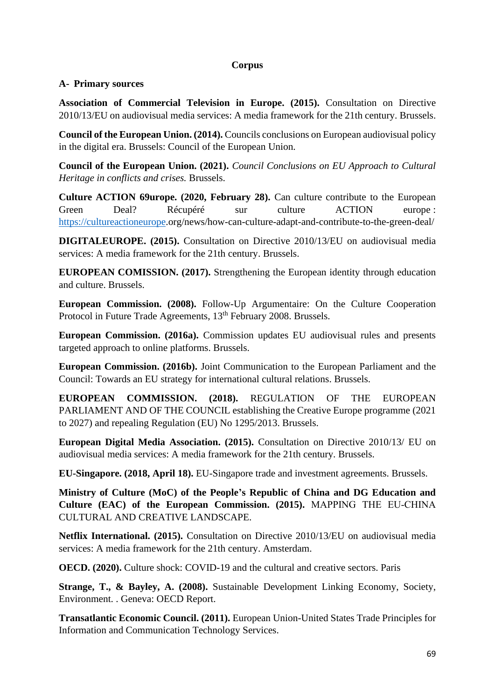## **Corpus**

## **A- Primary sources**

**Association of Commercial Television in Europe. (2015).** Consultation on Directive 2010/13/EU on audiovisual media services: A media framework for the 21th century. Brussels.

**Council of the European Union. (2014).** Councils conclusions on European audiovisual policy in the digital era. Brussels: Council of the European Union.

**Council of the European Union. (2021).** *Council Conclusions on EU Approach to Cultural Heritage in conflicts and crises.* Brussels.

**Culture ACTION 69urope. (2020, February 28).** Can culture contribute to the European Green Deal? Récupéré sur culture ACTION europe : [https://cultureactioneurope.](https://cultureactioneurope/)org/news/how-can-culture-adapt-and-contribute-to-the-green-deal/

**DIGITALEUROPE. (2015).** Consultation on Directive 2010/13/EU on audiovisual media services: A media framework for the 21th century. Brussels.

**EUROPEAN COMISSION. (2017).** Strengthening the European identity through education and culture. Brussels.

**European Commission. (2008).** Follow-Up Argumentaire: On the Culture Cooperation Protocol in Future Trade Agreements, 13<sup>th</sup> February 2008. Brussels.

**European Commission. (2016a).** Commission updates EU audiovisual rules and presents targeted approach to online platforms. Brussels.

**European Commission. (2016b).** Joint Communication to the European Parliament and the Council: Towards an EU strategy for international cultural relations. Brussels.

**EUROPEAN COMMISSION. (2018).** REGULATION OF THE EUROPEAN PARLIAMENT AND OF THE COUNCIL establishing the Creative Europe programme (2021 to 2027) and repealing Regulation (EU) No 1295/2013. Brussels.

**European Digital Media Association. (2015).** Consultation on Directive 2010/13/ EU on audiovisual media services: A media framework for the 21th century. Brussels.

**EU-Singapore. (2018, April 18).** EU-Singapore trade and investment agreements. Brussels.

**Ministry of Culture (MoC) of the People's Republic of China and DG Education and Culture (EAC) of the European Commission. (2015).** MAPPING THE EU‐CHINA CULTURAL AND CREATIVE LANDSCAPE.

**Netflix International. (2015).** Consultation on Directive 2010/13/EU on audiovisual media services: A media framework for the 21th century. Amsterdam.

**OECD. (2020).** Culture shock: COVID-19 and the cultural and creative sectors. Paris

**Strange, T., & Bayley, A. (2008).** Sustainable Development Linking Economy, Society, Environment. . Geneva: OECD Report.

**Transatlantic Economic Council. (2011).** European Union-United States Trade Principles for Information and Communication Technology Services.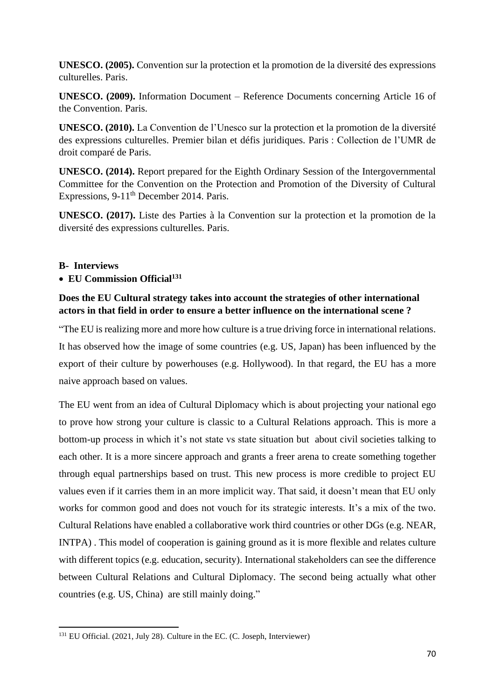**UNESCO. (2005).** Convention sur la protection et la promotion de la diversité des expressions culturelles. Paris.

**UNESCO. (2009).** Information Document – Reference Documents concerning Article 16 of the Convention. Paris.

**UNESCO. (2010).** La Convention de l'Unesco sur la protection et la promotion de la diversité des expressions culturelles. Premier bilan et défis juridiques. Paris : Collection de l'UMR de droit comparé de Paris.

**UNESCO. (2014).** Report prepared for the Eighth Ordinary Session of the Intergovernmental Committee for the Convention on the Protection and Promotion of the Diversity of Cultural Expressions, 9-11<sup>th</sup> December 2014. Paris.

**UNESCO. (2017).** Liste des Parties à la Convention sur la protection et la promotion de la diversité des expressions culturelles. Paris.

### **B- Interviews**

## • **EU Commission Official<sup>131</sup>**

## **Does the EU Cultural strategy takes into account the strategies of other international actors in that field in order to ensure a better influence on the international scene ?**

"The EU is realizing more and more how culture is a true driving force in international relations. It has observed how the image of some countries (e.g. US, Japan) has been influenced by the export of their culture by powerhouses (e.g. Hollywood). In that regard, the EU has a more naive approach based on values.

The EU went from an idea of Cultural Diplomacy which is about projecting your national ego to prove how strong your culture is classic to a Cultural Relations approach. This is more a bottom-up process in which it's not state vs state situation but about civil societies talking to each other. It is a more sincere approach and grants a freer arena to create something together through equal partnerships based on trust. This new process is more credible to project EU values even if it carries them in an more implicit way. That said, it doesn't mean that EU only works for common good and does not vouch for its strategic interests. It's a mix of the two. Cultural Relations have enabled a collaborative work third countries or other DGs (e.g. NEAR, INTPA) . This model of cooperation is gaining ground as it is more flexible and relates culture with different topics (e.g. education, security). International stakeholders can see the difference between Cultural Relations and Cultural Diplomacy. The second being actually what other countries (e.g. US, China) are still mainly doing."

<sup>131</sup> EU Official. (2021, July 28). Culture in the EC. (C. Joseph, Interviewer)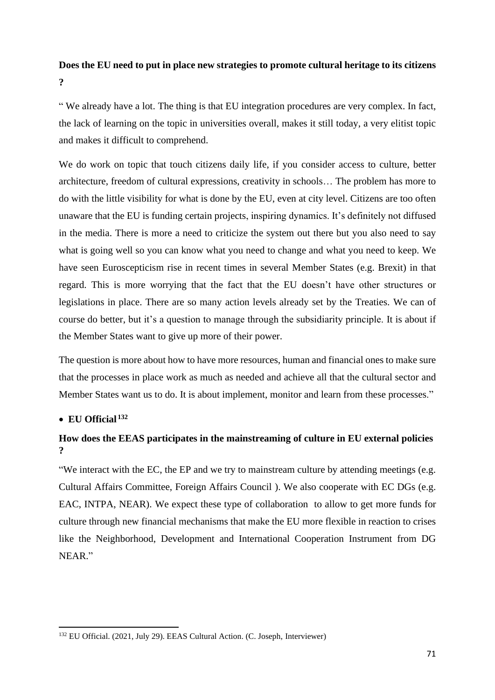# **Does the EU need to put in place new strategies to promote cultural heritage to its citizens ?**

" We already have a lot. The thing is that EU integration procedures are very complex. In fact, the lack of learning on the topic in universities overall, makes it still today, a very elitist topic and makes it difficult to comprehend.

We do work on topic that touch citizens daily life, if you consider access to culture, better architecture, freedom of cultural expressions, creativity in schools… The problem has more to do with the little visibility for what is done by the EU, even at city level. Citizens are too often unaware that the EU is funding certain projects, inspiring dynamics. It's definitely not diffused in the media. There is more a need to criticize the system out there but you also need to say what is going well so you can know what you need to change and what you need to keep. We have seen Euroscepticism rise in recent times in several Member States (e.g. Brexit) in that regard. This is more worrying that the fact that the EU doesn't have other structures or legislations in place. There are so many action levels already set by the Treaties. We can of course do better, but it's a question to manage through the subsidiarity principle. It is about if the Member States want to give up more of their power.

The question is more about how to have more resources, human and financial ones to make sure that the processes in place work as much as needed and achieve all that the cultural sector and Member States want us to do. It is about implement, monitor and learn from these processes."

## • **EU Official <sup>132</sup>**

# **How does the EEAS participates in the mainstreaming of culture in EU external policies ?**

"We interact with the EC, the EP and we try to mainstream culture by attending meetings (e.g. Cultural Affairs Committee, Foreign Affairs Council ). We also cooperate with EC DGs (e.g. EAC, INTPA, NEAR). We expect these type of collaboration to allow to get more funds for culture through new financial mechanisms that make the EU more flexible in reaction to crises like the Neighborhood, Development and International Cooperation Instrument from DG NEAR."

<sup>132</sup> EU Official. (2021, July 29). EEAS Cultural Action. (C. Joseph, Interviewer)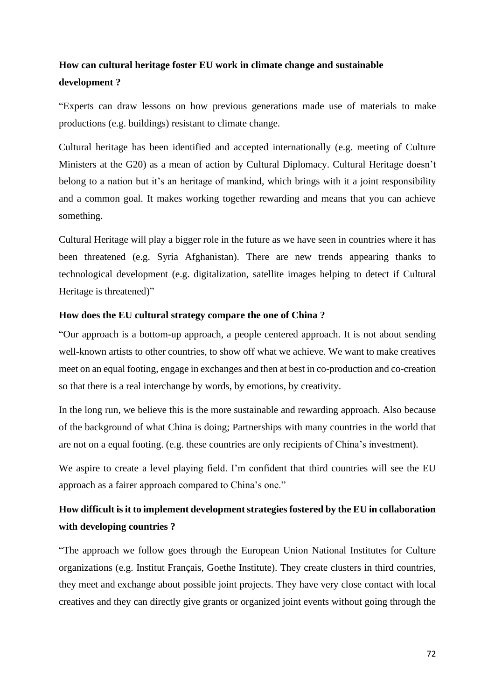# **How can cultural heritage foster EU work in climate change and sustainable development ?**

"Experts can draw lessons on how previous generations made use of materials to make productions (e.g. buildings) resistant to climate change.

Cultural heritage has been identified and accepted internationally (e.g. meeting of Culture Ministers at the G20) as a mean of action by Cultural Diplomacy. Cultural Heritage doesn't belong to a nation but it's an heritage of mankind, which brings with it a joint responsibility and a common goal. It makes working together rewarding and means that you can achieve something.

Cultural Heritage will play a bigger role in the future as we have seen in countries where it has been threatened (e.g. Syria Afghanistan). There are new trends appearing thanks to technological development (e.g. digitalization, satellite images helping to detect if Cultural Heritage is threatened)"

### **How does the EU cultural strategy compare the one of China ?**

"Our approach is a bottom-up approach, a people centered approach. It is not about sending well-known artists to other countries, to show off what we achieve. We want to make creatives meet on an equal footing, engage in exchanges and then at best in co-production and co-creation so that there is a real interchange by words, by emotions, by creativity.

In the long run, we believe this is the more sustainable and rewarding approach. Also because of the background of what China is doing; Partnerships with many countries in the world that are not on a equal footing. (e.g. these countries are only recipients of China's investment).

We aspire to create a level playing field. I'm confident that third countries will see the EU approach as a fairer approach compared to China's one."

# **How difficult is it to implement development strategies fostered by the EU in collaboration with developing countries ?**

"The approach we follow goes through the European Union National Institutes for Culture organizations (e.g. Institut Français, Goethe Institute). They create clusters in third countries, they meet and exchange about possible joint projects. They have very close contact with local creatives and they can directly give grants or organized joint events without going through the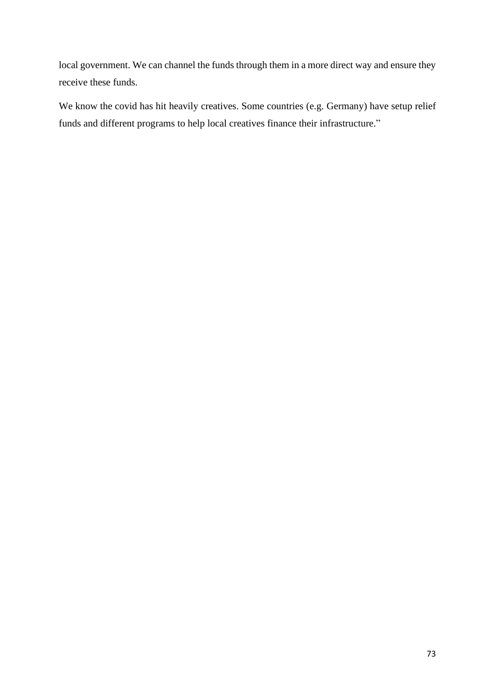local government. We can channel the funds through them in a more direct way and ensure they receive these funds.

We know the covid has hit heavily creatives. Some countries (e.g. Germany) have setup relief funds and different programs to help local creatives finance their infrastructure."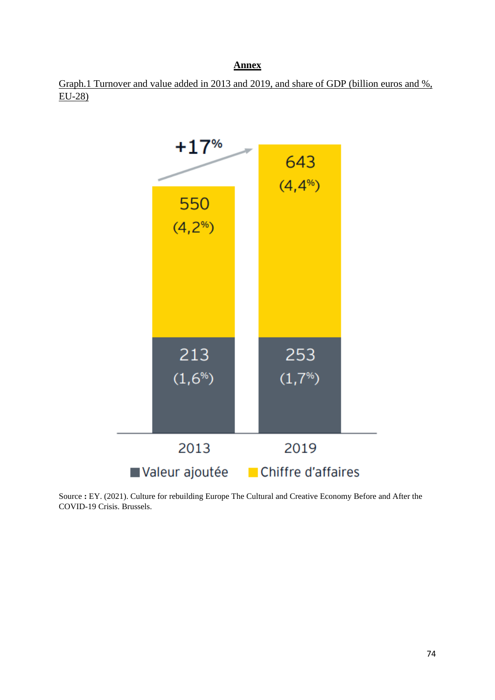## **Annex**

Graph.1 Turnover and value added in 2013 and 2019, and share of GDP (billion euros and %, EU-28)



Source **:** EY. (2021). Culture for rebuilding Europe The Cultural and Creative Economy Before and After the COVID-19 Crisis. Brussels.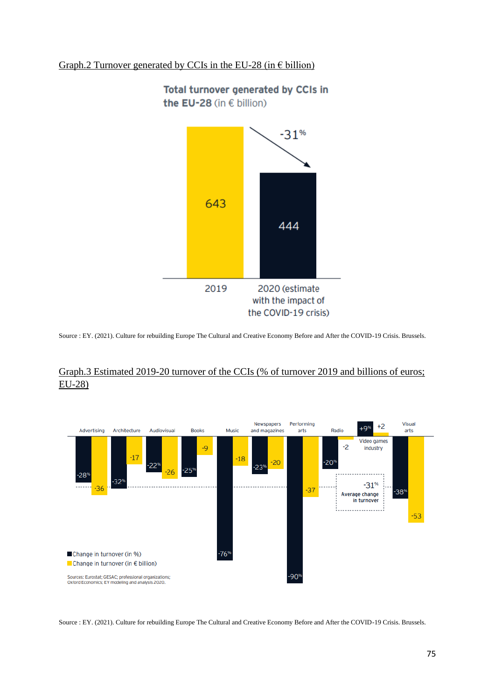## Graph.2 Turnover generated by CCIs in the EU-28 (in  $\epsilon$  billion)



Total turnover generated by CCIs in the EU-28 (in € billion)

Source : EY. (2021). Culture for rebuilding Europe The Cultural and Creative Economy Before and After the COVID-19 Crisis. Brussels.

## Graph.3 Estimated 2019-20 turnover of the CCIs (% of turnover 2019 and billions of euros; EU-28)



Source : EY. (2021). Culture for rebuilding Europe The Cultural and Creative Economy Before and After the COVID-19 Crisis. Brussels.